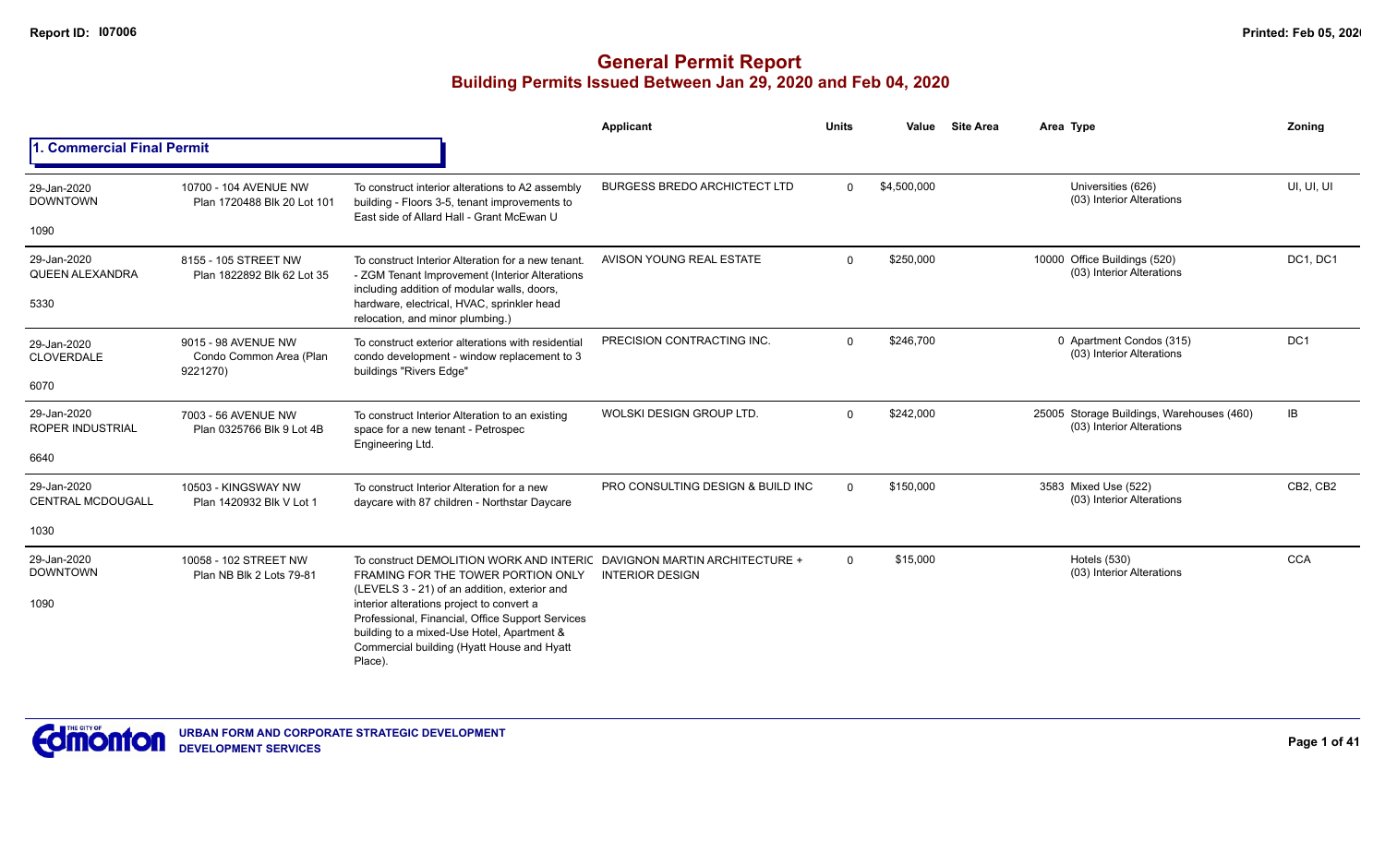|                                                 |                                                            |                                                                                                                                                                                                                                                                                                                                                                       | <b>Applicant</b>                    | <b>Units</b> | Value       | <b>Site Area</b> | Area Type                                                              | Zoning          |
|-------------------------------------------------|------------------------------------------------------------|-----------------------------------------------------------------------------------------------------------------------------------------------------------------------------------------------------------------------------------------------------------------------------------------------------------------------------------------------------------------------|-------------------------------------|--------------|-------------|------------------|------------------------------------------------------------------------|-----------------|
| <b>1. Commercial Final Permit</b>               |                                                            |                                                                                                                                                                                                                                                                                                                                                                       |                                     |              |             |                  |                                                                        |                 |
| 29-Jan-2020<br><b>DOWNTOWN</b><br>1090          | 10700 - 104 AVENUE NW<br>Plan 1720488 Blk 20 Lot 101       | To construct interior alterations to A2 assembly<br>building - Floors 3-5, tenant improvements to<br>East side of Allard Hall - Grant McEwan U                                                                                                                                                                                                                        | <b>BURGESS BREDO ARCHICTECT LTD</b> | $\Omega$     | \$4,500,000 |                  | Universities (626)<br>(03) Interior Alterations                        | UI, UI, UI      |
| 29-Jan-2020<br><b>QUEEN ALEXANDRA</b><br>5330   | 8155 - 105 STREET NW<br>Plan 1822892 Blk 62 Lot 35         | To construct Interior Alteration for a new tenant.<br>- ZGM Tenant Improvement (Interior Alterations<br>including addition of modular walls, doors,<br>hardware, electrical, HVAC, sprinkler head<br>relocation, and minor plumbing.)                                                                                                                                 | AVISON YOUNG REAL ESTATE            | $\Omega$     | \$250,000   |                  | 10000 Office Buildings (520)<br>(03) Interior Alterations              | DC1, DC1        |
| 29-Jan-2020<br><b>CLOVERDALE</b><br>6070        | 9015 - 98 AVENUE NW<br>Condo Common Area (Plan<br>9221270) | To construct exterior alterations with residential<br>condo development - window replacement to 3<br>buildings "Rivers Edge"                                                                                                                                                                                                                                          | PRECISION CONTRACTING INC.          | $\Omega$     | \$246,700   |                  | 0 Apartment Condos (315)<br>(03) Interior Alterations                  | DC <sub>1</sub> |
| 29-Jan-2020<br><b>ROPER INDUSTRIAL</b><br>6640  | 7003 - 56 AVENUE NW<br>Plan 0325766 Blk 9 Lot 4B           | To construct Interior Alteration to an existing<br>space for a new tenant - Petrospec<br>Engineering Ltd.                                                                                                                                                                                                                                                             | WOLSKI DESIGN GROUP LTD.            | $\Omega$     | \$242,000   |                  | 25005 Storage Buildings, Warehouses (460)<br>(03) Interior Alterations | IB              |
| 29-Jan-2020<br><b>CENTRAL MCDOUGALL</b><br>1030 | 10503 - KINGSWAY NW<br>Plan 1420932 Blk V Lot 1            | To construct Interior Alteration for a new<br>daycare with 87 children - Northstar Daycare                                                                                                                                                                                                                                                                            | PRO CONSULTING DESIGN & BUILD INC   | $\Omega$     | \$150,000   |                  | 3583 Mixed Use (522)<br>(03) Interior Alterations                      | CB2, CB2        |
| 29-Jan-2020<br><b>DOWNTOWN</b><br>1090          | 10058 - 102 STREET NW<br>Plan NB Blk 2 Lots 79-81          | To construct DEMOLITION WORK AND INTERIC DAVIGNON MARTIN ARCHITECTURE +<br>FRAMING FOR THE TOWER PORTION ONLY<br>(LEVELS 3 - 21) of an addition, exterior and<br>interior alterations project to convert a<br>Professional, Financial, Office Support Services<br>building to a mixed-Use Hotel, Apartment &<br>Commercial building (Hyatt House and Hyatt<br>Place). | <b>INTERIOR DESIGN</b>              | $\mathbf{0}$ | \$15,000    |                  | <b>Hotels (530)</b><br>(03) Interior Alterations                       | <b>CCA</b>      |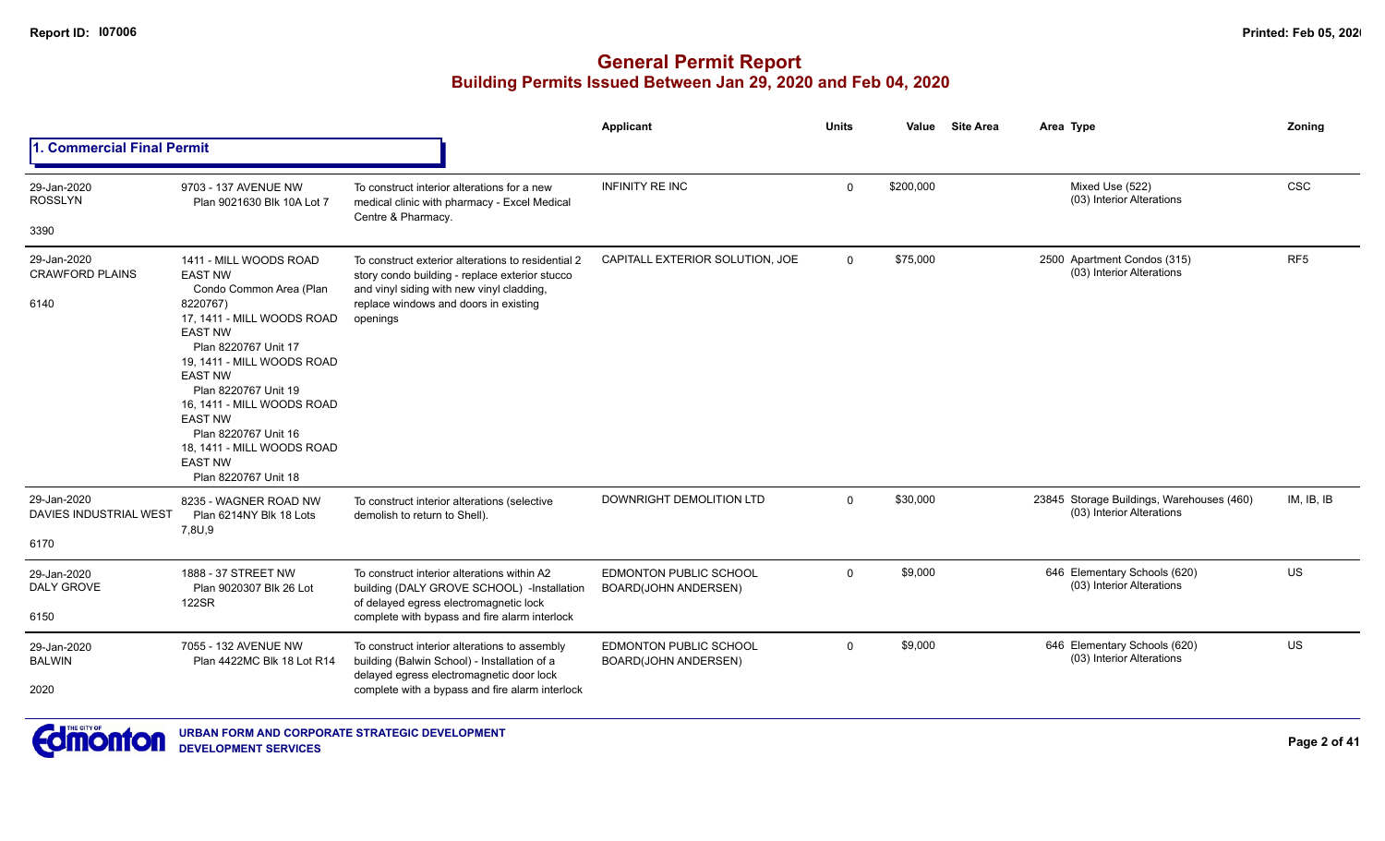|                                               |                                                                                                                                                                                                                                                                                                                                                         |                                                                                                                                                                                                        | <b>Applicant</b>                                      | <b>Units</b> | Value     | <b>Site Area</b> | Area Type                                                              | Zoning          |
|-----------------------------------------------|---------------------------------------------------------------------------------------------------------------------------------------------------------------------------------------------------------------------------------------------------------------------------------------------------------------------------------------------------------|--------------------------------------------------------------------------------------------------------------------------------------------------------------------------------------------------------|-------------------------------------------------------|--------------|-----------|------------------|------------------------------------------------------------------------|-----------------|
| . Commercial Final Permit                     |                                                                                                                                                                                                                                                                                                                                                         |                                                                                                                                                                                                        |                                                       |              |           |                  |                                                                        |                 |
| 29-Jan-2020<br><b>ROSSLYN</b>                 | 9703 - 137 AVENUE NW<br>Plan 9021630 Blk 10A Lot 7                                                                                                                                                                                                                                                                                                      | To construct interior alterations for a new<br>medical clinic with pharmacy - Excel Medical<br>Centre & Pharmacy.                                                                                      | <b>INFINITY RE INC</b>                                | $\mathbf{0}$ | \$200,000 |                  | Mixed Use (522)<br>(03) Interior Alterations                           | <b>CSC</b>      |
| 3390                                          |                                                                                                                                                                                                                                                                                                                                                         |                                                                                                                                                                                                        |                                                       |              |           |                  |                                                                        |                 |
| 29-Jan-2020<br><b>CRAWFORD PLAINS</b><br>6140 | 1411 - MILL WOODS ROAD<br><b>EAST NW</b><br>Condo Common Area (Plan<br>8220767)<br>17, 1411 - MILL WOODS ROAD<br><b>EAST NW</b><br>Plan 8220767 Unit 17<br>19, 1411 - MILL WOODS ROAD<br><b>EAST NW</b><br>Plan 8220767 Unit 19<br>16, 1411 - MILL WOODS ROAD<br><b>EAST NW</b><br>Plan 8220767 Unit 16<br>18, 1411 - MILL WOODS ROAD<br><b>EAST NW</b> | To construct exterior alterations to residential 2<br>story condo building - replace exterior stucco<br>and vinyl siding with new vinyl cladding,<br>replace windows and doors in existing<br>openings | CAPITALL EXTERIOR SOLUTION, JOE                       | $\mathbf{0}$ | \$75,000  |                  | 2500 Apartment Condos (315)<br>(03) Interior Alterations               | RF <sub>5</sub> |
| 29-Jan-2020<br>DAVIES INDUSTRIAL WEST<br>6170 | Plan 8220767 Unit 18<br>8235 - WAGNER ROAD NW<br>Plan 6214NY Blk 18 Lots<br>7,8U,9                                                                                                                                                                                                                                                                      | To construct interior alterations (selective<br>demolish to return to Shell).                                                                                                                          | DOWNRIGHT DEMOLITION LTD                              | $\mathbf{0}$ | \$30,000  |                  | 23845 Storage Buildings, Warehouses (460)<br>(03) Interior Alterations | IM, IB, IB      |
| 29-Jan-2020<br>DALY GROVE<br>6150             | 1888 - 37 STREET NW<br>Plan 9020307 Blk 26 Lot<br>122SR                                                                                                                                                                                                                                                                                                 | To construct interior alterations within A2<br>building (DALY GROVE SCHOOL) -Installation<br>of delayed egress electromagnetic lock<br>complete with bypass and fire alarm interlock                   | <b>EDMONTON PUBLIC SCHOOL</b><br>BOARD(JOHN ANDERSEN) | $\mathbf 0$  | \$9,000   |                  | 646 Elementary Schools (620)<br>(03) Interior Alterations              | US              |
| 29-Jan-2020<br><b>BALWIN</b><br>2020          | 7055 - 132 AVENUE NW<br>Plan 4422MC Blk 18 Lot R14                                                                                                                                                                                                                                                                                                      | To construct interior alterations to assembly<br>building (Balwin School) - Installation of a<br>delayed egress electromagnetic door lock<br>complete with a bypass and fire alarm interlock           | <b>EDMONTON PUBLIC SCHOOL</b><br>BOARD(JOHN ANDERSEN) | $\mathbf{0}$ | \$9,000   |                  | 646 Elementary Schools (620)<br>(03) Interior Alterations              | US              |

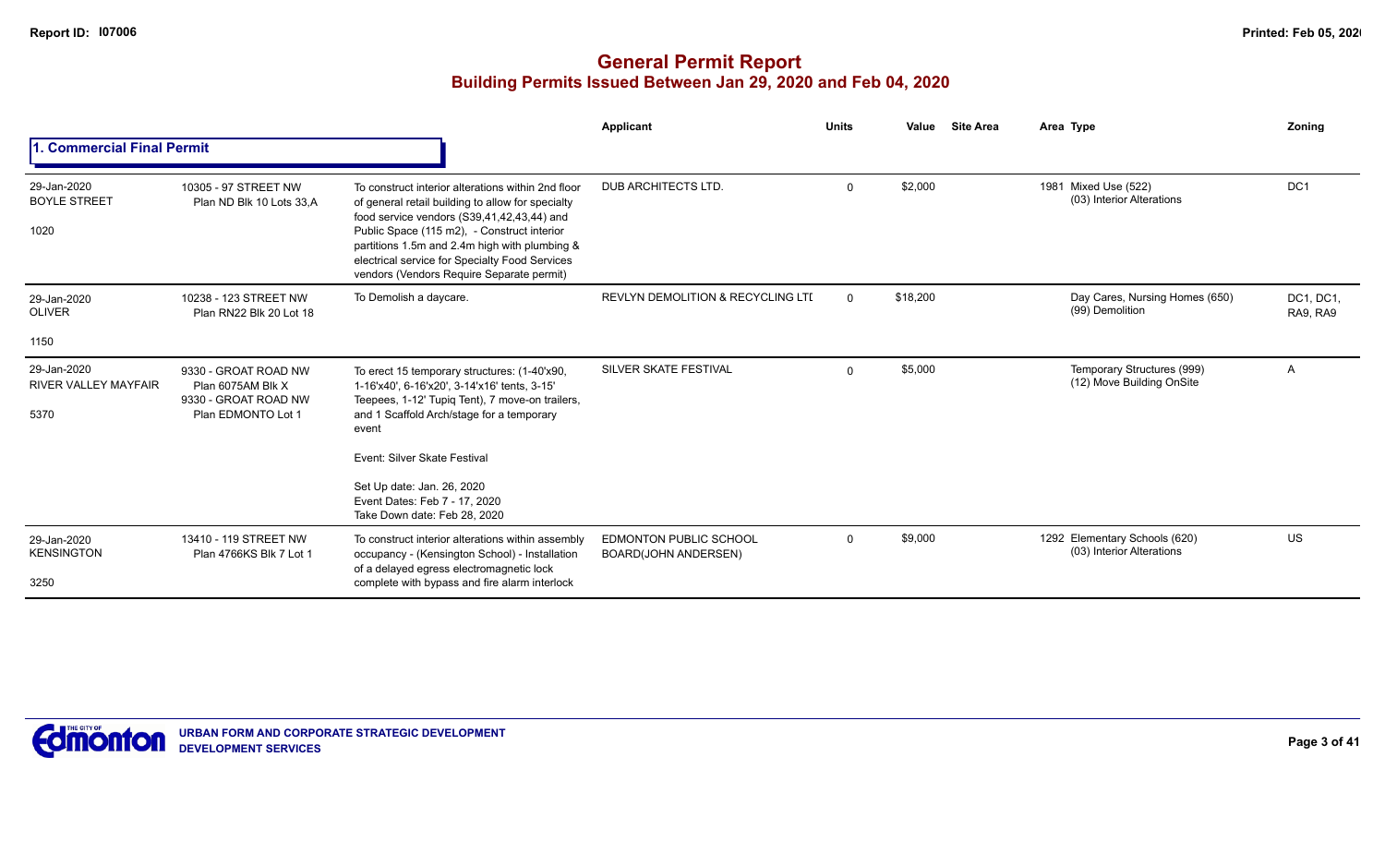|                                                    |                                                                                         |                                                                                                                                                                                                                                                                                                                                                      | Applicant                                                    | <b>Units</b> | Value    | <b>Site Area</b> | Area Type                                                  | Zoning                |
|----------------------------------------------------|-----------------------------------------------------------------------------------------|------------------------------------------------------------------------------------------------------------------------------------------------------------------------------------------------------------------------------------------------------------------------------------------------------------------------------------------------------|--------------------------------------------------------------|--------------|----------|------------------|------------------------------------------------------------|-----------------------|
| . Commercial Final Permit                          |                                                                                         |                                                                                                                                                                                                                                                                                                                                                      |                                                              |              |          |                  |                                                            |                       |
| 29-Jan-2020<br><b>BOYLE STREET</b><br>1020         | 10305 - 97 STREET NW<br>Plan ND Blk 10 Lots 33,A                                        | To construct interior alterations within 2nd floor<br>of general retail building to allow for specialty<br>food service vendors (S39,41,42,43,44) and<br>Public Space (115 m2), - Construct interior<br>partitions 1.5m and 2.4m high with plumbing &<br>electrical service for Specialty Food Services<br>vendors (Vendors Require Separate permit) | DUB ARCHITECTS LTD.                                          | $\mathbf 0$  | \$2,000  |                  | 1981 Mixed Use (522)<br>(03) Interior Alterations          | DC <sub>1</sub>       |
| 29-Jan-2020<br><b>OLIVER</b>                       | 10238 - 123 STREET NW<br>Plan RN22 Blk 20 Lot 18                                        | To Demolish a daycare.                                                                                                                                                                                                                                                                                                                               | <b>REVLYN DEMOLITION &amp; RECYCLING LTI</b>                 | $\Omega$     | \$18,200 |                  | Day Cares, Nursing Homes (650)<br>(99) Demolition          | DC1, DC1.<br>RA9, RA9 |
| 1150                                               |                                                                                         |                                                                                                                                                                                                                                                                                                                                                      |                                                              |              |          |                  |                                                            |                       |
| 29-Jan-2020<br><b>RIVER VALLEY MAYFAIR</b><br>5370 | 9330 - GROAT ROAD NW<br>Plan 6075AM Blk X<br>9330 - GROAT ROAD NW<br>Plan EDMONTO Lot 1 | To erect 15 temporary structures: (1-40'x90,<br>1-16'x40', 6-16'x20', 3-14'x16' tents, 3-15'<br>Teepees, 1-12' Tupiq Tent), 7 move-on trailers,<br>and 1 Scaffold Arch/stage for a temporary<br>event                                                                                                                                                | SILVER SKATE FESTIVAL                                        | $\mathbf 0$  | \$5,000  |                  | Temporary Structures (999)<br>(12) Move Building OnSite    | A                     |
|                                                    |                                                                                         | Event: Silver Skate Festival                                                                                                                                                                                                                                                                                                                         |                                                              |              |          |                  |                                                            |                       |
|                                                    |                                                                                         | Set Up date: Jan. 26, 2020<br>Event Dates: Feb 7 - 17, 2020<br>Take Down date: Feb 28, 2020                                                                                                                                                                                                                                                          |                                                              |              |          |                  |                                                            |                       |
| 29-Jan-2020<br><b>KENSINGTON</b>                   | 13410 - 119 STREET NW<br>Plan 4766KS Blk 7 Lot 1                                        | To construct interior alterations within assembly<br>occupancy - (Kensington School) - Installation<br>of a delayed egress electromagnetic lock                                                                                                                                                                                                      | <b>EDMONTON PUBLIC SCHOOL</b><br><b>BOARD(JOHN ANDERSEN)</b> | $\mathbf 0$  | \$9,000  |                  | 1292 Elementary Schools (620)<br>(03) Interior Alterations | US                    |
| 3250                                               |                                                                                         | complete with bypass and fire alarm interlock                                                                                                                                                                                                                                                                                                        |                                                              |              |          |                  |                                                            |                       |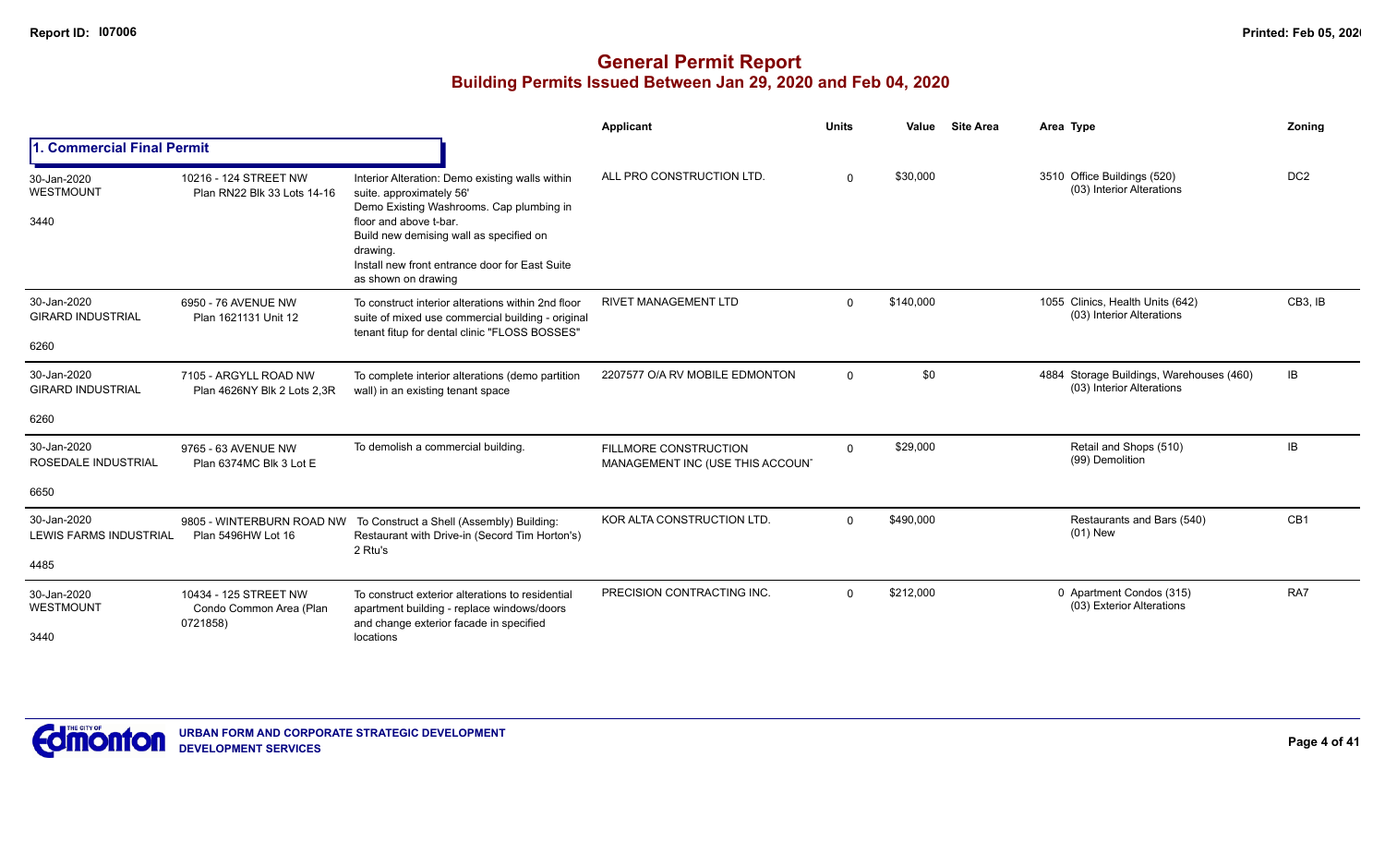|                                                 |                                                              |                                                                                                                                                                                                                                                                                   | <b>Applicant</b>                                                 | <b>Units</b> | Value<br><b>Site Area</b> | Area Type                                                             | Zoning          |
|-------------------------------------------------|--------------------------------------------------------------|-----------------------------------------------------------------------------------------------------------------------------------------------------------------------------------------------------------------------------------------------------------------------------------|------------------------------------------------------------------|--------------|---------------------------|-----------------------------------------------------------------------|-----------------|
| <b>I. Commercial Final Permit</b>               |                                                              |                                                                                                                                                                                                                                                                                   |                                                                  |              |                           |                                                                       |                 |
| 30-Jan-2020<br>WESTMOUNT<br>3440                | 10216 - 124 STREET NW<br>Plan RN22 Blk 33 Lots 14-16         | Interior Alteration: Demo existing walls within<br>suite. approximately 56'<br>Demo Existing Washrooms. Cap plumbing in<br>floor and above t-bar.<br>Build new demising wall as specified on<br>drawing.<br>Install new front entrance door for East Suite<br>as shown on drawing | ALL PRO CONSTRUCTION LTD.                                        | $\Omega$     | \$30,000                  | 3510 Office Buildings (520)<br>(03) Interior Alterations              | DC <sub>2</sub> |
| 30-Jan-2020<br><b>GIRARD INDUSTRIAL</b><br>6260 | 6950 - 76 AVENUE NW<br>Plan 1621131 Unit 12                  | To construct interior alterations within 2nd floor<br>suite of mixed use commercial building - original<br>tenant fitup for dental clinic "FLOSS BOSSES"                                                                                                                          | <b>RIVET MANAGEMENT LTD</b>                                      | $\Omega$     | \$140,000                 | 1055 Clinics, Health Units (642)<br>(03) Interior Alterations         | CB3. IB         |
| 30-Jan-2020<br><b>GIRARD INDUSTRIAL</b><br>6260 | 7105 - ARGYLL ROAD NW<br>Plan 4626NY Blk 2 Lots 2.3R         | To complete interior alterations (demo partition<br>wall) in an existing tenant space                                                                                                                                                                                             | 2207577 O/A RV MOBILE EDMONTON                                   | $\Omega$     | \$0                       | 4884 Storage Buildings, Warehouses (460)<br>(03) Interior Alterations | <b>IB</b>       |
| 30-Jan-2020<br>ROSEDALE INDUSTRIAL<br>6650      | 9765 - 63 AVENUE NW<br>Plan 6374MC Blk 3 Lot E               | To demolish a commercial building.                                                                                                                                                                                                                                                | <b>FILLMORE CONSTRUCTION</b><br>MANAGEMENT INC (USE THIS ACCOUN' | $\Omega$     | \$29,000                  | Retail and Shops (510)<br>(99) Demolition                             | <b>IB</b>       |
| 30-Jan-2020<br>LEWIS FARMS INDUSTRIAL<br>4485   | 9805 - WINTERBURN ROAD NW<br>Plan 5496HW Lot 16              | To Construct a Shell (Assembly) Building:<br>Restaurant with Drive-in (Secord Tim Horton's)<br>2 Rtu's                                                                                                                                                                            | KOR ALTA CONSTRUCTION LTD.                                       | $\Omega$     | \$490,000                 | Restaurants and Bars (540)<br>$(01)$ New                              | CB <sub>1</sub> |
| 30-Jan-2020<br>WESTMOUNT<br>3440                | 10434 - 125 STREET NW<br>Condo Common Area (Plan<br>0721858) | To construct exterior alterations to residential<br>apartment building - replace windows/doors<br>and change exterior facade in specified<br>locations                                                                                                                            | PRECISION CONTRACTING INC.                                       | $\Omega$     | \$212,000                 | 0 Apartment Condos (315)<br>(03) Exterior Alterations                 | RA7             |

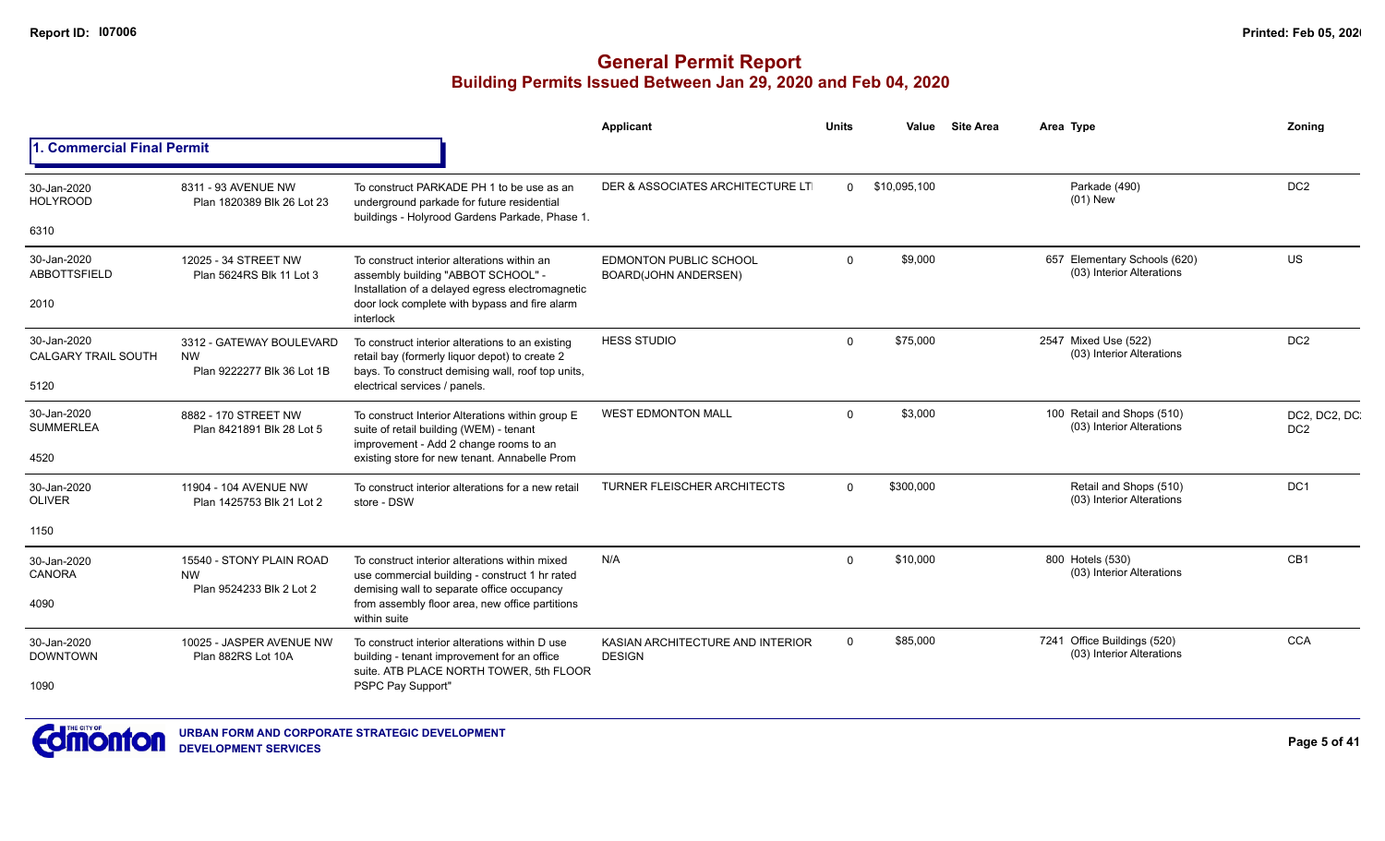|                                           |                                                    |                                                                                                                                           | Applicant                                                    | <b>Units</b> | Value        | <b>Site Area</b> | Area Type                                                 | Zoning                          |
|-------------------------------------------|----------------------------------------------------|-------------------------------------------------------------------------------------------------------------------------------------------|--------------------------------------------------------------|--------------|--------------|------------------|-----------------------------------------------------------|---------------------------------|
| 1. Commercial Final Permit                |                                                    |                                                                                                                                           |                                                              |              |              |                  |                                                           |                                 |
| 30-Jan-2020<br><b>HOLYROOD</b>            | 8311 - 93 AVENUE NW<br>Plan 1820389 Blk 26 Lot 23  | To construct PARKADE PH 1 to be use as an<br>underground parkade for future residential<br>buildings - Holyrood Gardens Parkade, Phase 1. | DER & ASSOCIATES ARCHITECTURE LT                             | $\Omega$     | \$10,095,100 |                  | Parkade (490)<br>$(01)$ New                               | DC <sub>2</sub>                 |
| 6310                                      |                                                    |                                                                                                                                           |                                                              |              |              |                  |                                                           |                                 |
| 30-Jan-2020<br><b>ABBOTTSFIELD</b>        | 12025 - 34 STREET NW<br>Plan 5624RS Blk 11 Lot 3   | To construct interior alterations within an<br>assembly building "ABBOT SCHOOL" -                                                         | <b>EDMONTON PUBLIC SCHOOL</b><br><b>BOARD(JOHN ANDERSEN)</b> | $\Omega$     | \$9,000      |                  | 657 Elementary Schools (620)<br>(03) Interior Alterations | US                              |
| 2010                                      |                                                    | Installation of a delayed egress electromagnetic<br>door lock complete with bypass and fire alarm<br>interlock                            |                                                              |              |              |                  |                                                           |                                 |
| 30-Jan-2020<br><b>CALGARY TRAIL SOUTH</b> | 3312 - GATEWAY BOULEVARD<br><b>NW</b>              | To construct interior alterations to an existing<br>retail bay (formerly liquor depot) to create 2                                        | <b>HESS STUDIO</b>                                           | $\Omega$     | \$75,000     |                  | 2547 Mixed Use (522)<br>(03) Interior Alterations         | DC <sub>2</sub>                 |
| 5120                                      | Plan 9222277 Blk 36 Lot 1B                         | bays. To construct demising wall, roof top units,<br>electrical services / panels.                                                        |                                                              |              |              |                  |                                                           |                                 |
| 30-Jan-2020<br><b>SUMMERLEA</b>           | 8882 - 170 STREET NW<br>Plan 8421891 Blk 28 Lot 5  | To construct Interior Alterations within group E<br>suite of retail building (WEM) - tenant<br>improvement - Add 2 change rooms to an     | <b>WEST EDMONTON MALL</b>                                    | $\Omega$     | \$3,000      |                  | 100 Retail and Shops (510)<br>(03) Interior Alterations   | DC2, DC2, DC<br>DC <sub>2</sub> |
| 4520                                      |                                                    | existing store for new tenant. Annabelle Prom                                                                                             |                                                              |              |              |                  |                                                           |                                 |
| 30-Jan-2020<br><b>OLIVER</b>              | 11904 - 104 AVENUE NW<br>Plan 1425753 Blk 21 Lot 2 | To construct interior alterations for a new retail<br>store - DSW                                                                         | <b>TURNER FLEISCHER ARCHITECTS</b>                           | $\Omega$     | \$300,000    |                  | Retail and Shops (510)<br>(03) Interior Alterations       | DC <sub>1</sub>                 |
| 1150                                      |                                                    |                                                                                                                                           |                                                              |              |              |                  |                                                           |                                 |
| 30-Jan-2020<br><b>CANORA</b>              | 15540 - STONY PLAIN ROAD<br><b>NW</b>              | To construct interior alterations within mixed<br>use commercial building - construct 1 hr rated                                          | N/A                                                          | $\Omega$     | \$10,000     |                  | 800 Hotels (530)<br>(03) Interior Alterations             | CB1                             |
| 4090                                      | Plan 9524233 Blk 2 Lot 2                           | demising wall to separate office occupancy<br>from assembly floor area, new office partitions<br>within suite                             |                                                              |              |              |                  |                                                           |                                 |
| 30-Jan-2020<br><b>DOWNTOWN</b>            | 10025 - JASPER AVENUE NW<br>Plan 882RS Lot 10A     | To construct interior alterations within D use<br>building - tenant improvement for an office<br>suite. ATB PLACE NORTH TOWER, 5th FLOOR  | KASIAN ARCHITECTURE AND INTERIOR<br><b>DESIGN</b>            | $\Omega$     | \$85,000     |                  | 7241 Office Buildings (520)<br>(03) Interior Alterations  | <b>CCA</b>                      |
| 1090                                      |                                                    | PSPC Pay Support"                                                                                                                         |                                                              |              |              |                  |                                                           |                                 |

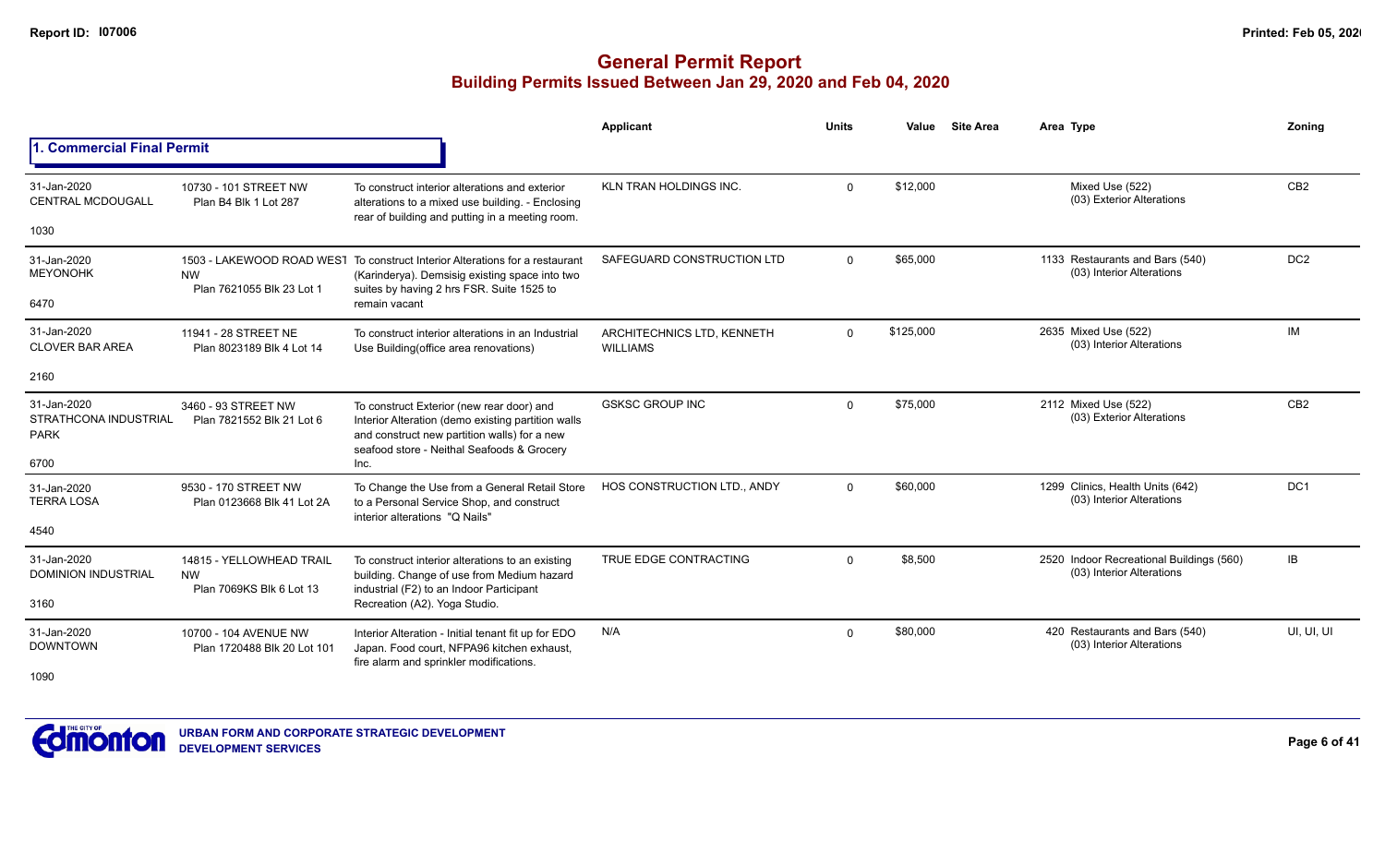|                                                                    |                                                      |                                                                                                                                                                                                       | <b>Applicant</b>                              | <b>Units</b> | Value     | <b>Site Area</b> | Area Type                                                             | Zoning          |
|--------------------------------------------------------------------|------------------------------------------------------|-------------------------------------------------------------------------------------------------------------------------------------------------------------------------------------------------------|-----------------------------------------------|--------------|-----------|------------------|-----------------------------------------------------------------------|-----------------|
| 1. Commercial Final Permit                                         |                                                      |                                                                                                                                                                                                       |                                               |              |           |                  |                                                                       |                 |
| 31-Jan-2020<br><b>CENTRAL MCDOUGALL</b>                            | 10730 - 101 STREET NW<br>Plan B4 Blk 1 Lot 287       | To construct interior alterations and exterior<br>alterations to a mixed use building. - Enclosing                                                                                                    | <b>KLN TRAN HOLDINGS INC.</b>                 | $\Omega$     | \$12,000  |                  | Mixed Use (522)<br>(03) Exterior Alterations                          | CB <sub>2</sub> |
| 1030                                                               |                                                      | rear of building and putting in a meeting room.                                                                                                                                                       |                                               |              |           |                  |                                                                       |                 |
| 31-Jan-2020<br><b>MEYONOHK</b>                                     | <b>NW</b><br>Plan 7621055 Blk 23 Lot 1               | 1503 - LAKEWOOD ROAD WEST To construct Interior Alterations for a restaurant<br>(Karinderya). Demsisig existing space into two<br>suites by having 2 hrs FSR. Suite 1525 to                           | SAFEGUARD CONSTRUCTION LTD                    | $\Omega$     | \$65,000  |                  | 1133 Restaurants and Bars (540)<br>(03) Interior Alterations          | DC <sub>2</sub> |
| 6470                                                               |                                                      | remain vacant                                                                                                                                                                                         |                                               |              |           |                  |                                                                       |                 |
| 31-Jan-2020<br><b>CLOVER BAR AREA</b>                              | 11941 - 28 STREET NE<br>Plan 8023189 Blk 4 Lot 14    | To construct interior alterations in an Industrial<br>Use Building (office area renovations)                                                                                                          | ARCHITECHNICS LTD. KENNETH<br><b>WILLIAMS</b> | $\mathbf 0$  | \$125,000 |                  | 2635 Mixed Use (522)<br>(03) Interior Alterations                     | IM              |
| 2160                                                               |                                                      |                                                                                                                                                                                                       |                                               |              |           |                  |                                                                       |                 |
| 31-Jan-2020<br><b>STRATHCONA INDUSTRIAL</b><br><b>PARK</b><br>6700 | 3460 - 93 STREET NW<br>Plan 7821552 Blk 21 Lot 6     | To construct Exterior (new rear door) and<br>Interior Alteration (demo existing partition walls<br>and construct new partition walls) for a new<br>seafood store - Neithal Seafoods & Grocery<br>Inc. | <b>GSKSC GROUP INC</b>                        | $\Omega$     | \$75,000  |                  | 2112 Mixed Use (522)<br>(03) Exterior Alterations                     | CB <sub>2</sub> |
| 31-Jan-2020                                                        | 9530 - 170 STREET NW                                 | To Change the Use from a General Retail Store                                                                                                                                                         | HOS CONSTRUCTION LTD., ANDY                   | $\Omega$     | \$60,000  |                  | 1299 Clinics, Health Units (642)                                      | DC <sub>1</sub> |
| <b>TERRA LOSA</b>                                                  | Plan 0123668 Blk 41 Lot 2A                           | to a Personal Service Shop, and construct<br>interior alterations "Q Nails"                                                                                                                           |                                               |              |           |                  | (03) Interior Alterations                                             |                 |
| 4540                                                               |                                                      |                                                                                                                                                                                                       |                                               |              |           |                  |                                                                       |                 |
| 31-Jan-2020<br><b>DOMINION INDUSTRIAL</b>                          | 14815 - YELLOWHEAD TRAIL<br><b>NW</b>                | To construct interior alterations to an existing<br>building. Change of use from Medium hazard                                                                                                        | TRUE EDGE CONTRACTING                         | $\Omega$     | \$8,500   |                  | 2520 Indoor Recreational Buildings (560)<br>(03) Interior Alterations | IB              |
| 3160                                                               | Plan 7069KS Blk 6 Lot 13                             | industrial (F2) to an Indoor Participant<br>Recreation (A2). Yoga Studio.                                                                                                                             |                                               |              |           |                  |                                                                       |                 |
| 31-Jan-2020<br><b>DOWNTOWN</b>                                     | 10700 - 104 AVENUE NW<br>Plan 1720488 Blk 20 Lot 101 | Interior Alteration - Initial tenant fit up for EDO<br>Japan. Food court, NFPA96 kitchen exhaust,<br>fire alarm and sprinkler modifications.                                                          | N/A                                           | $\Omega$     | \$80,000  |                  | 420 Restaurants and Bars (540)<br>(03) Interior Alterations           | UI, UI, UI      |
| 1090                                                               |                                                      |                                                                                                                                                                                                       |                                               |              |           |                  |                                                                       |                 |

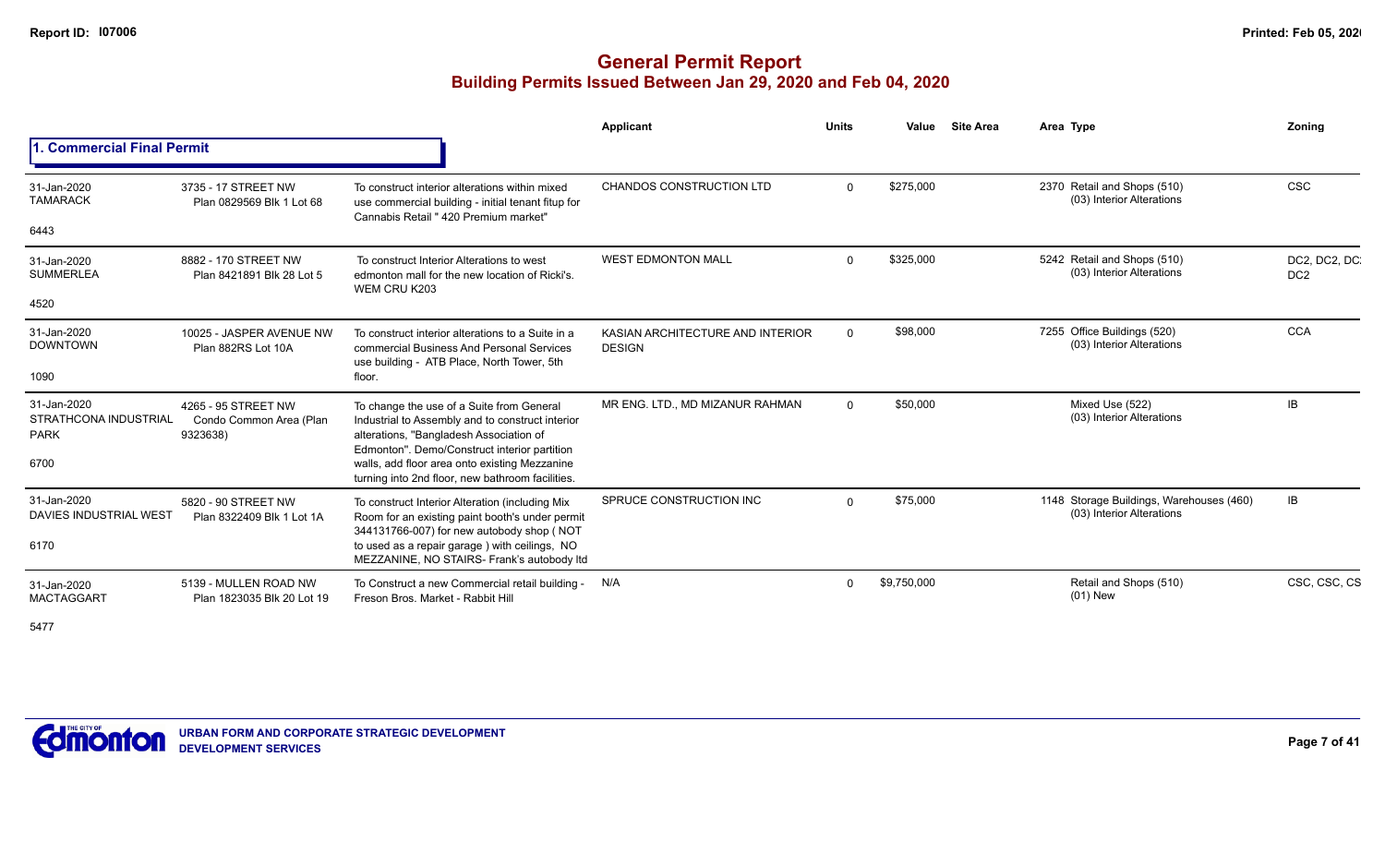## **General Permit Report Building Permits Issued Between Jan 29, 2020 and Feb 04, 2020**

|                                                     |                                                            |                                                                                                                                                                                          | Applicant                                         | <b>Units</b> | Value       | <b>Site Area</b> | Area Type                                                             | Zonina                          |
|-----------------------------------------------------|------------------------------------------------------------|------------------------------------------------------------------------------------------------------------------------------------------------------------------------------------------|---------------------------------------------------|--------------|-------------|------------------|-----------------------------------------------------------------------|---------------------------------|
| . Commercial Final Permit                           |                                                            |                                                                                                                                                                                          |                                                   |              |             |                  |                                                                       |                                 |
| 31-Jan-2020<br><b>TAMARACK</b>                      | 3735 - 17 STREET NW<br>Plan 0829569 Blk 1 Lot 68           | To construct interior alterations within mixed<br>use commercial building - initial tenant fitup for<br>Cannabis Retail " 420 Premium market"                                            | <b>CHANDOS CONSTRUCTION LTD</b>                   | $\Omega$     | \$275,000   |                  | 2370 Retail and Shops (510)<br>(03) Interior Alterations              | <b>CSC</b>                      |
| 6443                                                |                                                            |                                                                                                                                                                                          |                                                   |              |             |                  |                                                                       |                                 |
| 31-Jan-2020<br><b>SUMMERLEA</b>                     | 8882 - 170 STREET NW<br>Plan 8421891 Blk 28 Lot 5          | To construct Interior Alterations to west<br>edmonton mall for the new location of Ricki's.<br>WEM CRU K203                                                                              | <b>WEST EDMONTON MALL</b>                         | $\Omega$     | \$325,000   |                  | 5242 Retail and Shops (510)<br>(03) Interior Alterations              | DC2, DC2, DC<br>DC <sub>2</sub> |
| 4520                                                |                                                            |                                                                                                                                                                                          |                                                   |              |             |                  |                                                                       |                                 |
| 31-Jan-2020<br><b>DOWNTOWN</b>                      | 10025 - JASPER AVENUE NW<br>Plan 882RS Lot 10A             | To construct interior alterations to a Suite in a<br>commercial Business And Personal Services<br>use building - ATB Place, North Tower, 5th                                             | KASIAN ARCHITECTURE AND INTERIOR<br><b>DESIGN</b> | $\Omega$     | \$98,000    |                  | 7255 Office Buildings (520)<br>(03) Interior Alterations              | <b>CCA</b>                      |
| 1090                                                |                                                            | floor.                                                                                                                                                                                   |                                                   |              |             |                  |                                                                       |                                 |
| 31-Jan-2020<br>STRATHCONA INDUSTRIAL<br><b>PARK</b> | 4265 - 95 STREET NW<br>Condo Common Area (Plan<br>9323638) | To change the use of a Suite from General<br>Industrial to Assembly and to construct interior<br>alterations, "Bangladesh Association of<br>Edmonton". Demo/Construct interior partition | MR ENG. LTD., MD MIZANUR RAHMAN                   | $\Omega$     | \$50,000    |                  | Mixed Use (522)<br>(03) Interior Alterations                          | <b>IB</b>                       |
| 6700                                                |                                                            | walls, add floor area onto existing Mezzanine<br>turning into 2nd floor, new bathroom facilities.                                                                                        |                                                   |              |             |                  |                                                                       |                                 |
| 31-Jan-2020<br>DAVIES INDUSTRIAL WEST               | 5820 - 90 STREET NW<br>Plan 8322409 Blk 1 Lot 1A           | To construct Interior Alteration (including Mix<br>Room for an existing paint booth's under permit<br>344131766-007) for new autobody shop (NOT                                          | SPRUCE CONSTRUCTION INC                           | $\Omega$     | \$75,000    |                  | 1148 Storage Buildings, Warehouses (460)<br>(03) Interior Alterations | IB                              |
| 6170                                                |                                                            | to used as a repair garage) with ceilings, NO<br>MEZZANINE, NO STAIRS- Frank's autobody Itd                                                                                              |                                                   |              |             |                  |                                                                       |                                 |
| 31-Jan-2020<br><b>MACTAGGART</b>                    | 5139 - MULLEN ROAD NW<br>Plan 1823035 Blk 20 Lot 19        | To Construct a new Commercial retail building -<br>Freson Bros, Market - Rabbit Hill                                                                                                     | N/A                                               | $\Omega$     | \$9,750,000 |                  | Retail and Shops (510)<br>$(01)$ New                                  | CSC, CSC, CS                    |

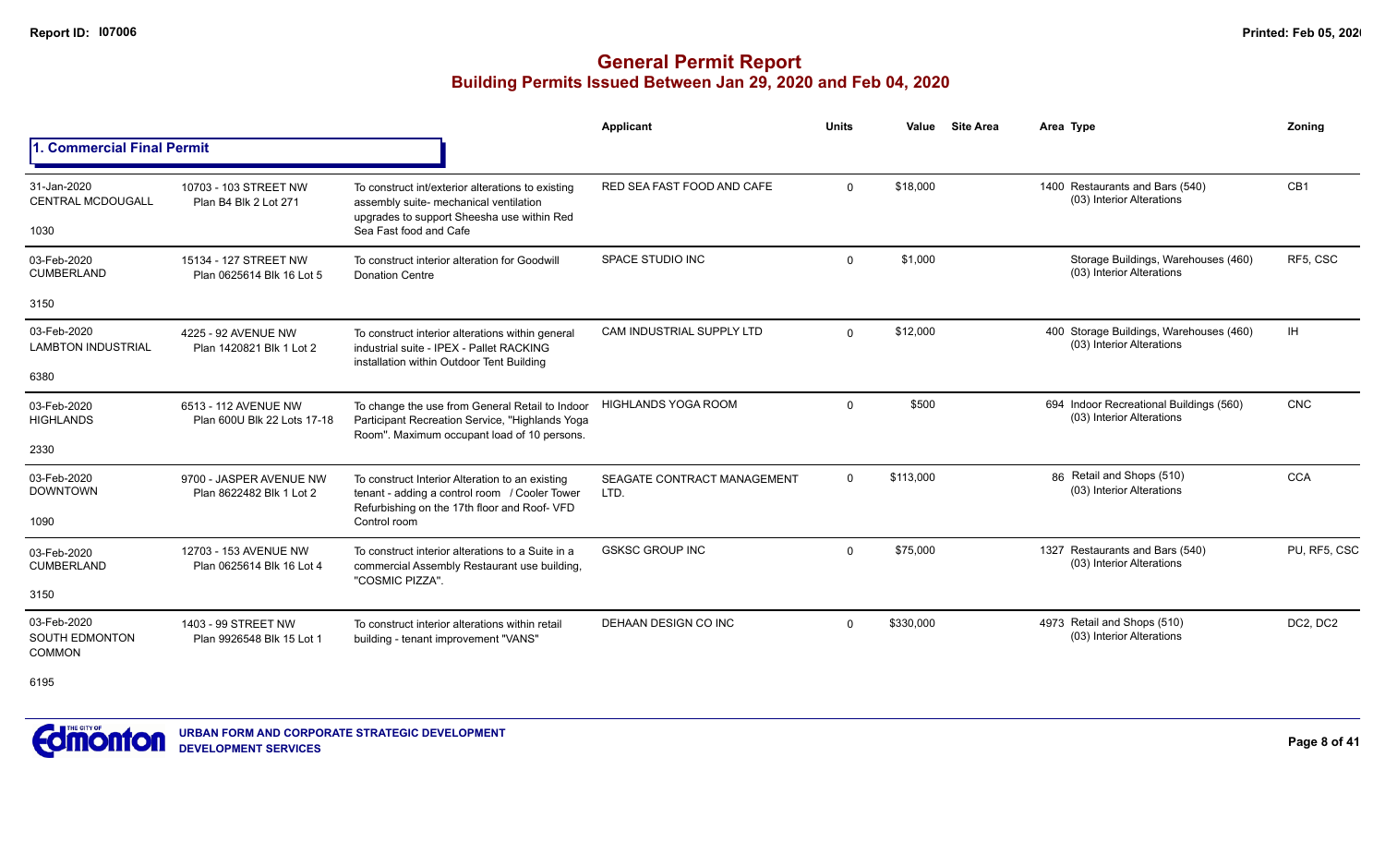## **General Permit Report Building Permits Issued Between Jan 29, 2020 and Feb 04, 2020**

|                                                       |                                                     |                                                                                                                                                                     | Applicant                           | <b>Units</b> | Value     | <b>Site Area</b> | Area Type                                                            | Zonina          |
|-------------------------------------------------------|-----------------------------------------------------|---------------------------------------------------------------------------------------------------------------------------------------------------------------------|-------------------------------------|--------------|-----------|------------------|----------------------------------------------------------------------|-----------------|
| 1. Commercial Final Permit                            |                                                     |                                                                                                                                                                     |                                     |              |           |                  |                                                                      |                 |
| 31-Jan-2020<br><b>CENTRAL MCDOUGALL</b><br>1030       | 10703 - 103 STREET NW<br>Plan B4 Blk 2 Lot 271      | To construct int/exterior alterations to existing<br>assembly suite- mechanical ventilation<br>upgrades to support Sheesha use within Red<br>Sea Fast food and Cafe | RED SEA FAST FOOD AND CAFE          | $\Omega$     | \$18,000  |                  | 1400 Restaurants and Bars (540)<br>(03) Interior Alterations         | CB <sub>1</sub> |
| 03-Feb-2020<br><b>CUMBERLAND</b>                      | 15134 - 127 STREET NW<br>Plan 0625614 Blk 16 Lot 5  | To construct interior alteration for Goodwill<br><b>Donation Centre</b>                                                                                             | SPACE STUDIO INC                    | $\mathbf{0}$ | \$1,000   |                  | Storage Buildings, Warehouses (460)<br>(03) Interior Alterations     | RF5. CSC        |
| 3150                                                  |                                                     |                                                                                                                                                                     |                                     |              |           |                  |                                                                      |                 |
| 03-Feb-2020<br><b>LAMBTON INDUSTRIAL</b>              | 4225 - 92 AVENUE NW<br>Plan 1420821 Blk 1 Lot 2     | To construct interior alterations within general<br>industrial suite - IPEX - Pallet RACKING<br>installation within Outdoor Tent Building                           | CAM INDUSTRIAL SUPPLY LTD           | $\mathbf{0}$ | \$12,000  |                  | 400 Storage Buildings, Warehouses (460)<br>(03) Interior Alterations | IH.             |
| 6380                                                  |                                                     |                                                                                                                                                                     |                                     |              |           |                  |                                                                      |                 |
| 03-Feb-2020<br><b>HIGHLANDS</b>                       | 6513 - 112 AVENUE NW<br>Plan 600U Blk 22 Lots 17-18 | To change the use from General Retail to Indoor<br>Participant Recreation Service, "Highlands Yoga<br>Room". Maximum occupant load of 10 persons.                   | <b>HIGHLANDS YOGA ROOM</b>          | 0            | \$500     |                  | 694 Indoor Recreational Buildings (560)<br>(03) Interior Alterations | <b>CNC</b>      |
| 2330                                                  |                                                     |                                                                                                                                                                     |                                     |              |           |                  |                                                                      |                 |
| 03-Feb-2020<br><b>DOWNTOWN</b>                        | 9700 - JASPER AVENUE NW<br>Plan 8622482 Blk 1 Lot 2 | To construct Interior Alteration to an existing<br>tenant - adding a control room / Cooler Tower<br>Refurbishing on the 17th floor and Roof- VFD                    | SEAGATE CONTRACT MANAGEMENT<br>LTD. | $\Omega$     | \$113,000 |                  | 86 Retail and Shops (510)<br>(03) Interior Alterations               | <b>CCA</b>      |
| 1090                                                  |                                                     | Control room                                                                                                                                                        |                                     |              |           |                  |                                                                      |                 |
| 03-Feb-2020<br><b>CUMBERLAND</b>                      | 12703 - 153 AVENUE NW<br>Plan 0625614 Blk 16 Lot 4  | To construct interior alterations to a Suite in a<br>commercial Assembly Restaurant use building,<br>"COSMIC PIZZA".                                                | <b>GSKSC GROUP INC</b>              | $\Omega$     | \$75,000  |                  | 1327 Restaurants and Bars (540)<br>(03) Interior Alterations         | PU, RF5, CSC    |
| 3150                                                  |                                                     |                                                                                                                                                                     |                                     |              |           |                  |                                                                      |                 |
| 03-Feb-2020<br><b>SOUTH EDMONTON</b><br><b>COMMON</b> | 1403 - 99 STREET NW<br>Plan 9926548 Blk 15 Lot 1    | To construct interior alterations within retail<br>building - tenant improvement "VANS"                                                                             | DEHAAN DESIGN CO INC                | $\Omega$     | \$330,000 |                  | 4973 Retail and Shops (510)<br>(03) Interior Alterations             | DC2, DC2        |

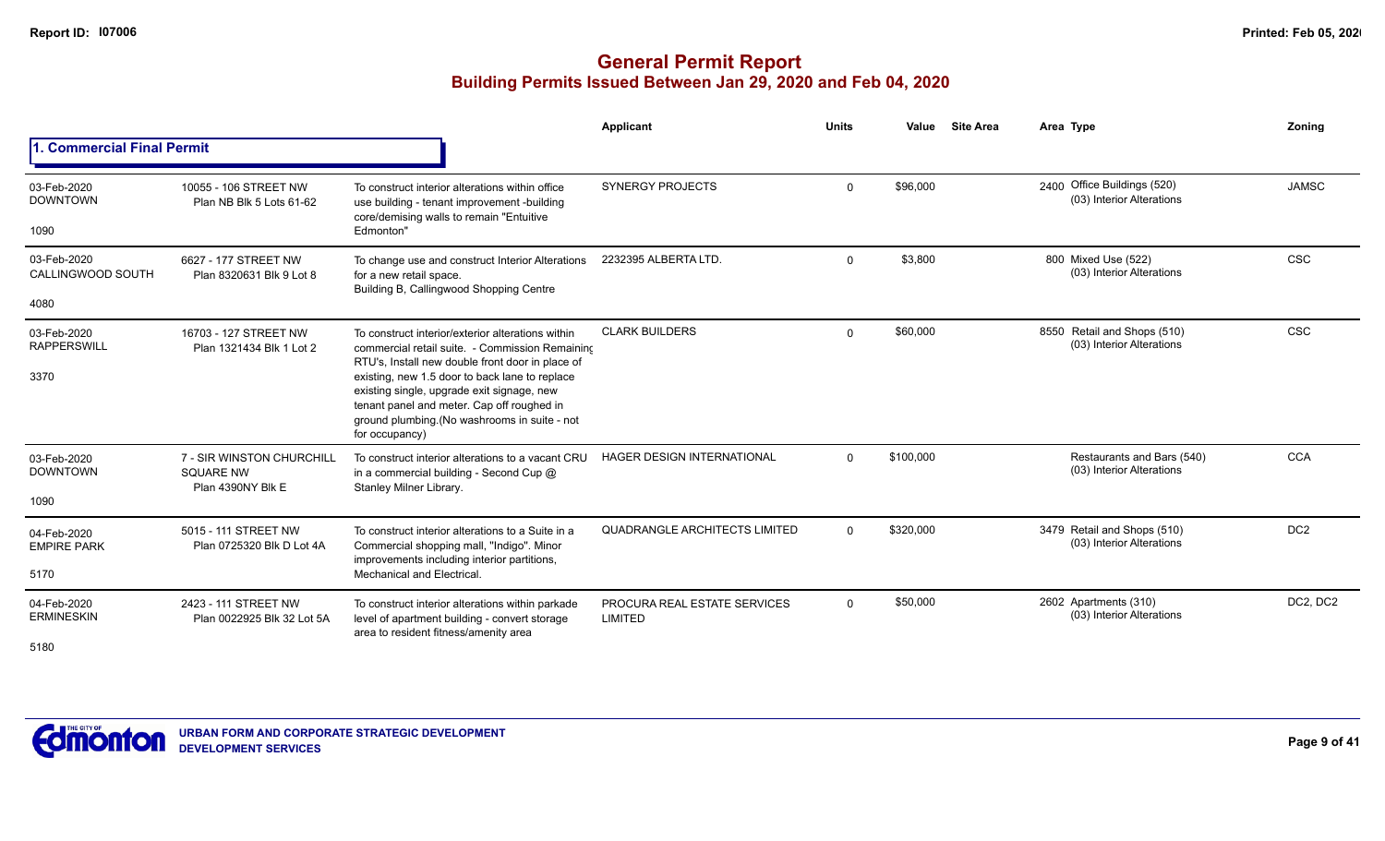|                                          |                                                                    |                                                                                                                                                                                                               | Applicant                                      | Units       | Value     | <b>Site Area</b> | Area Type                                                   | Zoning          |
|------------------------------------------|--------------------------------------------------------------------|---------------------------------------------------------------------------------------------------------------------------------------------------------------------------------------------------------------|------------------------------------------------|-------------|-----------|------------------|-------------------------------------------------------------|-----------------|
| <b>Commercial Final Permit</b>           |                                                                    |                                                                                                                                                                                                               |                                                |             |           |                  |                                                             |                 |
| 03-Feb-2020<br><b>DOWNTOWN</b><br>1090   | 10055 - 106 STREET NW<br>Plan NB Blk 5 Lots 61-62                  | To construct interior alterations within office<br>use building - tenant improvement -building<br>core/demising walls to remain "Entuitive<br>Edmonton"                                                       | <b>SYNERGY PROJECTS</b>                        | $\mathbf 0$ | \$96,000  |                  | 2400 Office Buildings (520)<br>(03) Interior Alterations    | <b>JAMSC</b>    |
| 03-Feb-2020<br>CALLINGWOOD SOUTH         | 6627 - 177 STREET NW<br>Plan 8320631 Blk 9 Lot 8                   | To change use and construct Interior Alterations<br>for a new retail space.<br>Building B, Callingwood Shopping Centre                                                                                        | 2232395 ALBERTA LTD.                           | $\mathbf 0$ | \$3,800   |                  | 800 Mixed Use (522)<br>(03) Interior Alterations            | <b>CSC</b>      |
| 4080                                     |                                                                    |                                                                                                                                                                                                               |                                                |             |           |                  |                                                             |                 |
| 03-Feb-2020<br><b>RAPPERSWILL</b>        | 16703 - 127 STREET NW<br>Plan 1321434 Blk 1 Lot 2                  | To construct interior/exterior alterations within<br>commercial retail suite. - Commission Remaining<br>RTU's, Install new double front door in place of                                                      | <b>CLARK BUILDERS</b>                          | $\Omega$    | \$60,000  |                  | Retail and Shops (510)<br>8550<br>(03) Interior Alterations | <b>CSC</b>      |
| 3370                                     |                                                                    | existing, new 1.5 door to back lane to replace<br>existing single, upgrade exit signage, new<br>tenant panel and meter. Cap off roughed in<br>ground plumbing. (No washrooms in suite - not<br>for occupancy) |                                                |             |           |                  |                                                             |                 |
| 03-Feb-2020<br><b>DOWNTOWN</b>           | 7 - SIR WINSTON CHURCHILL<br><b>SQUARE NW</b><br>Plan 4390NY Blk E | To construct interior alterations to a vacant CRU<br>in a commercial building - Second Cup @<br>Stanley Milner Library.                                                                                       | <b>HAGER DESIGN INTERNATIONAL</b>              | $\Omega$    | \$100,000 |                  | Restaurants and Bars (540)<br>(03) Interior Alterations     | <b>CCA</b>      |
| 1090                                     |                                                                    |                                                                                                                                                                                                               |                                                |             |           |                  |                                                             |                 |
| 04-Feb-2020<br><b>EMPIRE PARK</b>        | 5015 - 111 STREET NW<br>Plan 0725320 Blk D Lot 4A                  | To construct interior alterations to a Suite in a<br>Commercial shopping mall, "Indigo". Minor<br>improvements including interior partitions,                                                                 | <b>QUADRANGLE ARCHITECTS LIMITED</b>           | $\Omega$    | \$320,000 |                  | 3479 Retail and Shops (510)<br>(03) Interior Alterations    | DC <sub>2</sub> |
| 5170                                     |                                                                    | Mechanical and Electrical.                                                                                                                                                                                    |                                                |             |           |                  |                                                             |                 |
| 04-Feb-2020<br><b>ERMINESKIN</b><br>5180 | 2423 - 111 STREET NW<br>Plan 0022925 Blk 32 Lot 5A                 | To construct interior alterations within parkade<br>level of apartment building - convert storage<br>area to resident fitness/amenity area                                                                    | PROCURA REAL ESTATE SERVICES<br><b>LIMITED</b> | $\Omega$    | \$50,000  |                  | 2602 Apartments (310)<br>(03) Interior Alterations          | DC2, DC2        |
|                                          |                                                                    |                                                                                                                                                                                                               |                                                |             |           |                  |                                                             |                 |

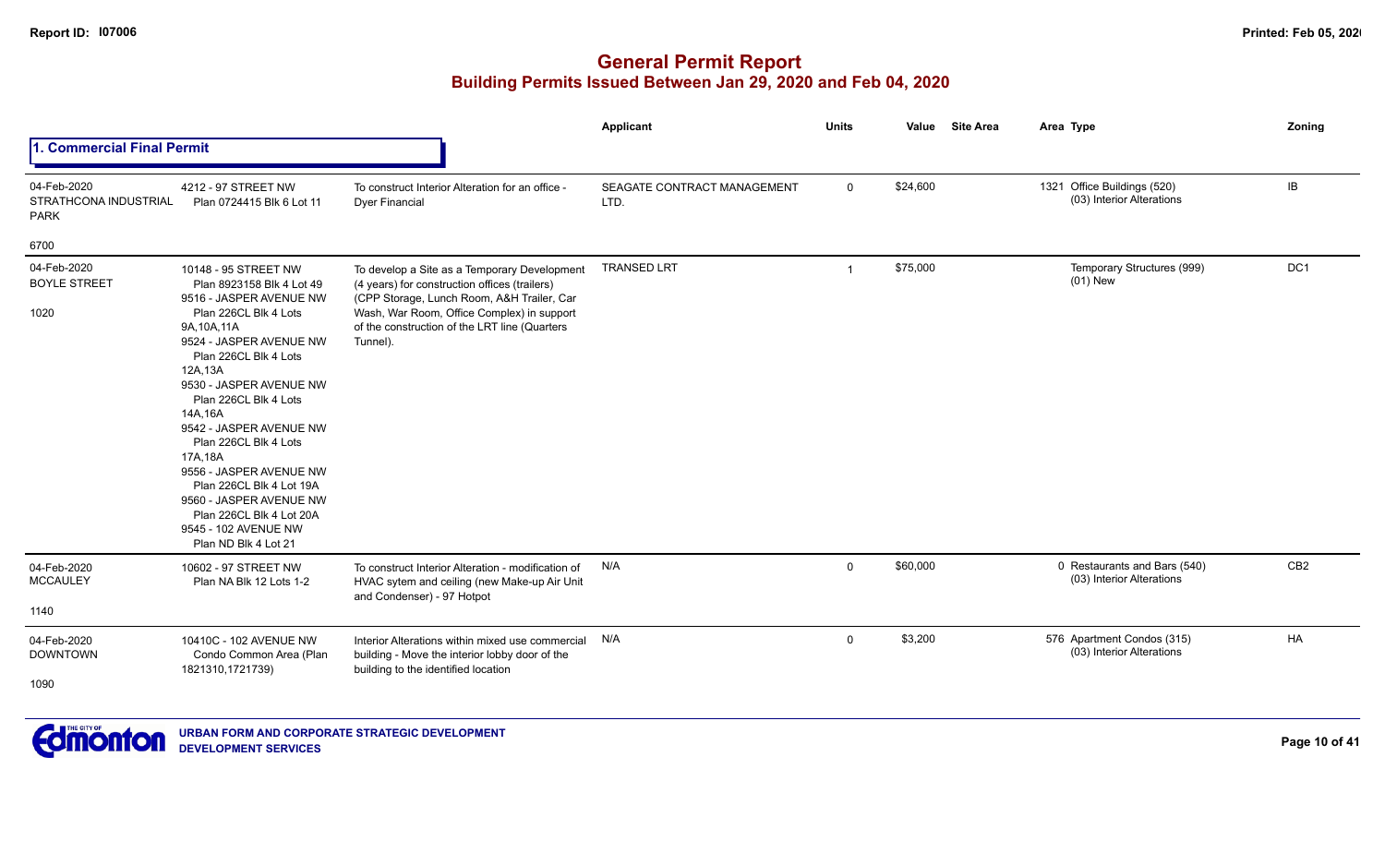|                                                     |                                                                                                                                                                                                                                                                                                                                                                                                                                                                                   |                                                                                                                                                                                                                                                        | <b>Applicant</b>                    | <b>Units</b>   | Value    | <b>Site Area</b> | Area Type                                                 | Zoning          |
|-----------------------------------------------------|-----------------------------------------------------------------------------------------------------------------------------------------------------------------------------------------------------------------------------------------------------------------------------------------------------------------------------------------------------------------------------------------------------------------------------------------------------------------------------------|--------------------------------------------------------------------------------------------------------------------------------------------------------------------------------------------------------------------------------------------------------|-------------------------------------|----------------|----------|------------------|-----------------------------------------------------------|-----------------|
| 1. Commercial Final Permit                          |                                                                                                                                                                                                                                                                                                                                                                                                                                                                                   |                                                                                                                                                                                                                                                        |                                     |                |          |                  |                                                           |                 |
| 04-Feb-2020<br>STRATHCONA INDUSTRIAL<br><b>PARK</b> | 4212 - 97 STREET NW<br>Plan 0724415 Blk 6 Lot 11                                                                                                                                                                                                                                                                                                                                                                                                                                  | To construct Interior Alteration for an office -<br><b>Dyer Financial</b>                                                                                                                                                                              | SEAGATE CONTRACT MANAGEMENT<br>LTD. | $\mathsf{O}$   | \$24,600 |                  | 1321 Office Buildings (520)<br>(03) Interior Alterations  | IB              |
| 6700                                                |                                                                                                                                                                                                                                                                                                                                                                                                                                                                                   |                                                                                                                                                                                                                                                        |                                     |                |          |                  |                                                           |                 |
| 04-Feb-2020<br><b>BOYLE STREET</b><br>1020          | 10148 - 95 STREET NW<br>Plan 8923158 Blk 4 Lot 49<br>9516 - JASPER AVENUE NW<br>Plan 226CL Blk 4 Lots<br>9A, 10A, 11A<br>9524 - JASPER AVENUE NW<br>Plan 226CL Blk 4 Lots<br>12A,13A<br>9530 - JASPER AVENUE NW<br>Plan 226CL Blk 4 Lots<br>14A, 16A<br>9542 - JASPER AVENUE NW<br>Plan 226CL Blk 4 Lots<br>17A,18A<br>9556 - JASPER AVENUE NW<br>Plan 226CL Blk 4 Lot 19A<br>9560 - JASPER AVENUE NW<br>Plan 226CL Blk 4 Lot 20A<br>9545 - 102 AVENUE NW<br>Plan ND Blk 4 Lot 21 | To develop a Site as a Temporary Development<br>(4 years) for construction offices (trailers)<br>(CPP Storage, Lunch Room, A&H Trailer, Car<br>Wash, War Room, Office Complex) in support<br>of the construction of the LRT line (Quarters<br>Tunnel). | <b>TRANSED LRT</b>                  | $\overline{1}$ | \$75,000 |                  | Temporary Structures (999)<br>$(01)$ New                  | DC <sub>1</sub> |
| 04-Feb-2020<br><b>MCCAULEY</b><br>1140              | 10602 - 97 STREET NW<br>Plan NA Blk 12 Lots 1-2                                                                                                                                                                                                                                                                                                                                                                                                                                   | To construct Interior Alteration - modification of<br>HVAC sytem and ceiling (new Make-up Air Unit<br>and Condenser) - 97 Hotpot                                                                                                                       | N/A                                 | $\mathbf 0$    | \$60,000 |                  | 0 Restaurants and Bars (540)<br>(03) Interior Alterations | CB <sub>2</sub> |
| 04-Feb-2020<br><b>DOWNTOWN</b><br>1090              | 10410C - 102 AVENUE NW<br>Condo Common Area (Plan<br>1821310,1721739)                                                                                                                                                                                                                                                                                                                                                                                                             | Interior Alterations within mixed use commercial<br>building - Move the interior lobby door of the<br>building to the identified location                                                                                                              | N/A                                 | $\mathbf 0$    | \$3,200  |                  | 576 Apartment Condos (315)<br>(03) Interior Alterations   | HA              |

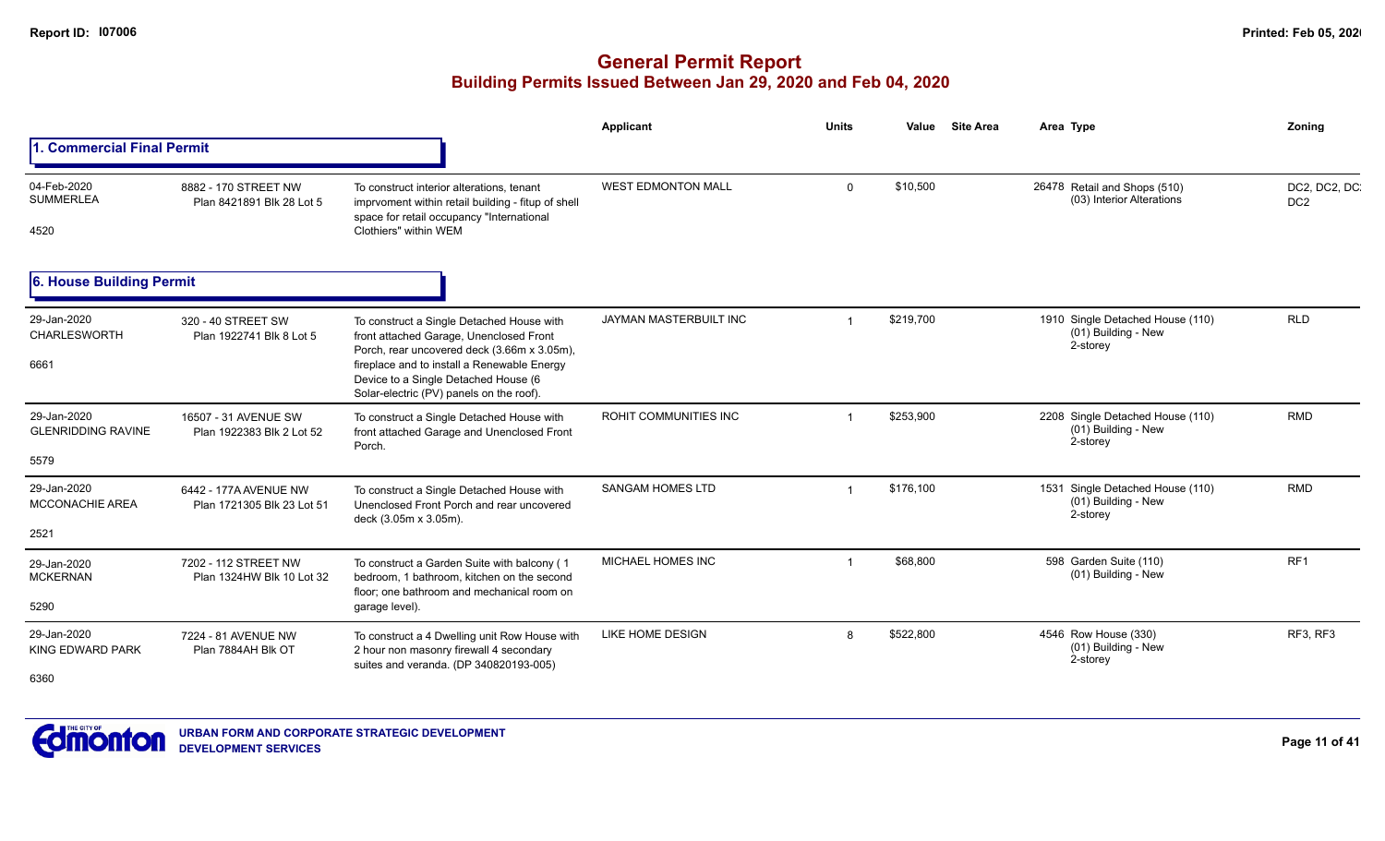|                                                  |                                                     |                                                                                                                                                                                                                                                                        | Applicant                    | <b>Units</b> | Value     | <b>Site Area</b> | Area Type                                                             | Zonina                           |
|--------------------------------------------------|-----------------------------------------------------|------------------------------------------------------------------------------------------------------------------------------------------------------------------------------------------------------------------------------------------------------------------------|------------------------------|--------------|-----------|------------------|-----------------------------------------------------------------------|----------------------------------|
| <b>Commercial Final Permit</b>                   |                                                     |                                                                                                                                                                                                                                                                        |                              |              |           |                  |                                                                       |                                  |
| 04-Feb-2020<br><b>SUMMERLEA</b><br>4520          | 8882 - 170 STREET NW<br>Plan 8421891 Blk 28 Lot 5   | To construct interior alterations, tenant<br>imprvoment within retail building - fitup of shell<br>space for retail occupancy "International<br>Clothiers" within WEM                                                                                                  | <b>WEST EDMONTON MALL</b>    | $\Omega$     | \$10,500  |                  | 26478 Retail and Shops (510)<br>(03) Interior Alterations             | DC2, DC2, DC.<br>DC <sub>2</sub> |
| 6. House Building Permit                         |                                                     |                                                                                                                                                                                                                                                                        |                              |              |           |                  |                                                                       |                                  |
| 29-Jan-2020<br>CHARLESWORTH<br>6661              | 320 - 40 STREET SW<br>Plan 1922741 Blk 8 Lot 5      | To construct a Single Detached House with<br>front attached Garage, Unenclosed Front<br>Porch, rear uncovered deck (3.66m x 3.05m),<br>fireplace and to install a Renewable Energy<br>Device to a Single Detached House (6<br>Solar-electric (PV) panels on the roof). | JAYMAN MASTERBUILT INC       |              | \$219,700 |                  | 1910 Single Detached House (110)<br>(01) Building - New<br>2-storey   | <b>RLD</b>                       |
| 29-Jan-2020<br><b>GLENRIDDING RAVINE</b><br>5579 | 16507 - 31 AVENUE SW<br>Plan 1922383 Blk 2 Lot 52   | To construct a Single Detached House with<br>front attached Garage and Unenclosed Front<br>Porch.                                                                                                                                                                      | <b>ROHIT COMMUNITIES INC</b> |              | \$253,900 |                  | 2208 Single Detached House (110)<br>(01) Building - New<br>2-storey   | <b>RMD</b>                       |
| 29-Jan-2020<br><b>MCCONACHIE AREA</b><br>2521    | 6442 - 177A AVENUE NW<br>Plan 1721305 Blk 23 Lot 51 | To construct a Single Detached House with<br>Unenclosed Front Porch and rear uncovered<br>deck (3.05m x 3.05m).                                                                                                                                                        | <b>SANGAM HOMES LTD</b>      | -1           | \$176,100 |                  | 1531 Single Detached House (110)<br>$(01)$ Building - New<br>2-storey | <b>RMD</b>                       |
| 29-Jan-2020<br><b>MCKERNAN</b><br>5290           | 7202 - 112 STREET NW<br>Plan 1324HW Blk 10 Lot 32   | To construct a Garden Suite with balcony (1<br>bedroom. 1 bathroom, kitchen on the second<br>floor: one bathroom and mechanical room on<br>garage level).                                                                                                              | MICHAEL HOMES INC            |              | \$68,800  |                  | 598 Garden Suite (110)<br>(01) Building - New                         | RF <sub>1</sub>                  |
| 29-Jan-2020<br><b>KING EDWARD PARK</b><br>6360   | 7224 - 81 AVENUE NW<br>Plan 7884AH Blk OT           | To construct a 4 Dwelling unit Row House with<br>2 hour non masonry firewall 4 secondary<br>suites and veranda. (DP 340820193-005)                                                                                                                                     | LIKE HOME DESIGN             | 8            | \$522,800 |                  | 4546 Row House (330)<br>(01) Building - New<br>2-storey               | RF3, RF3                         |

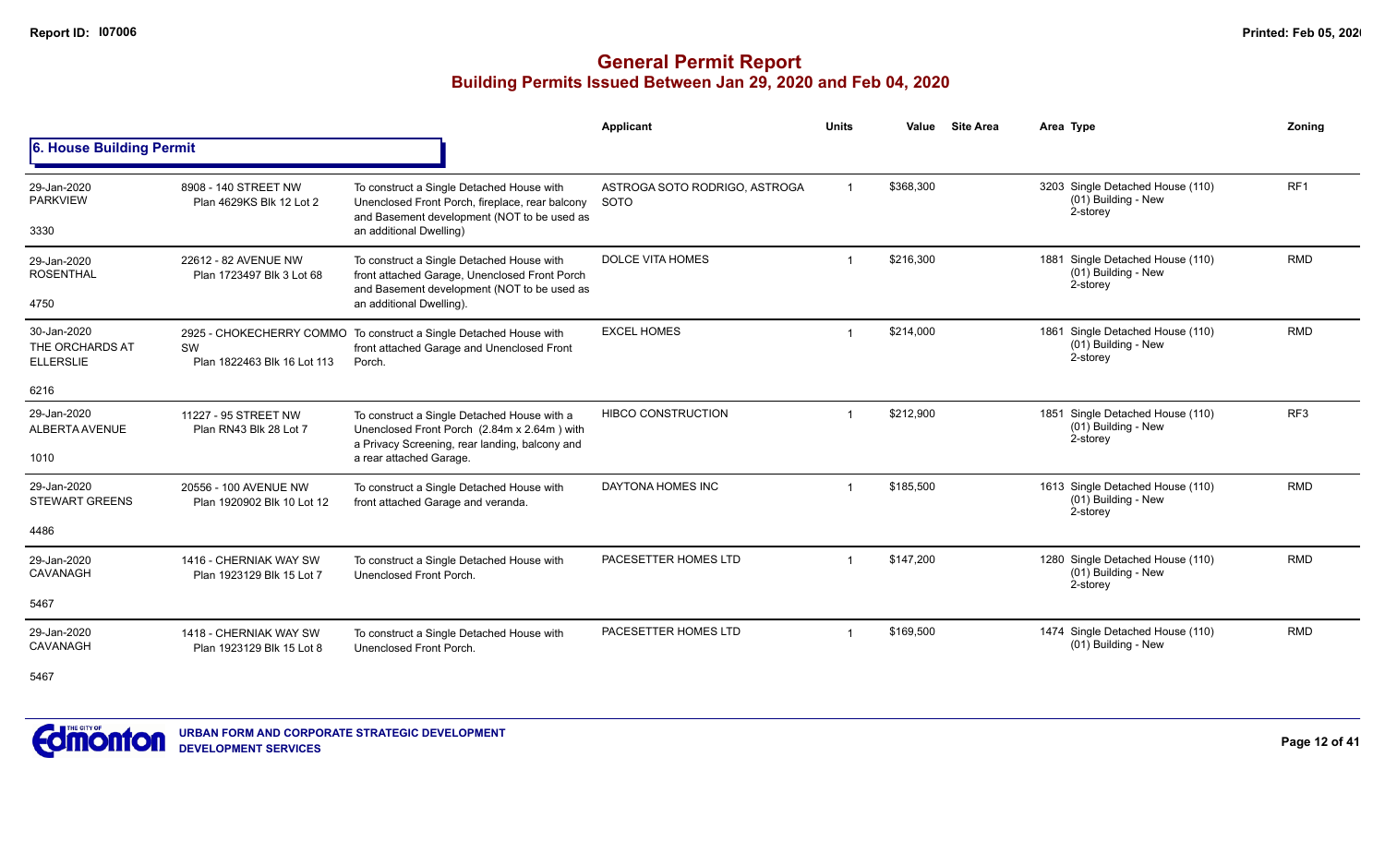### **General Permit Report Building Permits Issued Between Jan 29, 2020 and Feb 04, 2020**

|                                                    |                                                     |                                                                                                                                                                        | <b>Applicant</b>                      | <b>Units</b> | Value     | <b>Site Area</b> | Area Type                                                           | Zoning          |
|----------------------------------------------------|-----------------------------------------------------|------------------------------------------------------------------------------------------------------------------------------------------------------------------------|---------------------------------------|--------------|-----------|------------------|---------------------------------------------------------------------|-----------------|
| 6. House Building Permit                           |                                                     |                                                                                                                                                                        |                                       |              |           |                  |                                                                     |                 |
| 29-Jan-2020<br><b>PARKVIEW</b><br>3330             | 8908 - 140 STREET NW<br>Plan 4629KS Blk 12 Lot 2    | To construct a Single Detached House with<br>Unenclosed Front Porch, fireplace, rear balcony<br>and Basement development (NOT to be used as<br>an additional Dwelling) | ASTROGA SOTO RODRIGO, ASTROGA<br>SOTO |              | \$368,300 |                  | 3203 Single Detached House (110)<br>(01) Building - New<br>2-storey | RF <sub>1</sub> |
|                                                    |                                                     |                                                                                                                                                                        |                                       |              |           |                  |                                                                     |                 |
| 29-Jan-2020<br><b>ROSENTHAL</b>                    | 22612 - 82 AVENUE NW<br>Plan 1723497 Blk 3 Lot 68   | To construct a Single Detached House with<br>front attached Garage, Unenclosed Front Porch<br>and Basement development (NOT to be used as                              | <b>DOLCE VITA HOMES</b>               |              | \$216,300 |                  | 1881 Single Detached House (110)<br>(01) Building - New<br>2-storey | <b>RMD</b>      |
| 4750                                               |                                                     | an additional Dwelling).                                                                                                                                               |                                       |              |           |                  |                                                                     |                 |
| 30-Jan-2020<br>THE ORCHARDS AT<br><b>ELLERSLIE</b> | SW<br>Plan 1822463 Blk 16 Lot 113                   | 2925 - CHOKECHERRY COMMO To construct a Single Detached House with<br>front attached Garage and Unenclosed Front<br>Porch.                                             | <b>EXCEL HOMES</b>                    |              | \$214,000 |                  | 1861 Single Detached House (110)<br>(01) Building - New<br>2-storey | <b>RMD</b>      |
| 6216                                               |                                                     |                                                                                                                                                                        |                                       |              |           |                  |                                                                     |                 |
| 29-Jan-2020<br>ALBERTA AVENUE                      | 11227 - 95 STREET NW<br>Plan RN43 Blk 28 Lot 7      | To construct a Single Detached House with a<br>Unenclosed Front Porch (2.84m x 2.64m) with<br>a Privacy Screening, rear landing, balcony and                           | <b>HIBCO CONSTRUCTION</b>             |              | \$212,900 |                  | 1851 Single Detached House (110)<br>(01) Building - New<br>2-storey | RF <sub>3</sub> |
| 1010                                               |                                                     | a rear attached Garage.                                                                                                                                                |                                       |              |           |                  |                                                                     |                 |
| 29-Jan-2020<br><b>STEWART GREENS</b>               | 20556 - 100 AVENUE NW<br>Plan 1920902 Blk 10 Lot 12 | To construct a Single Detached House with<br>front attached Garage and veranda.                                                                                        | DAYTONA HOMES INC                     |              | \$185,500 |                  | 1613 Single Detached House (110)<br>(01) Building - New<br>2-storey | <b>RMD</b>      |
| 4486                                               |                                                     |                                                                                                                                                                        |                                       |              |           |                  |                                                                     |                 |
| 29-Jan-2020<br>CAVANAGH                            | 1416 - CHERNIAK WAY SW<br>Plan 1923129 Blk 15 Lot 7 | To construct a Single Detached House with<br>Unenclosed Front Porch.                                                                                                   | PACESETTER HOMES LTD                  |              | \$147,200 |                  | 1280 Single Detached House (110)<br>(01) Building - New<br>2-storey | <b>RMD</b>      |
| 5467                                               |                                                     |                                                                                                                                                                        |                                       |              |           |                  |                                                                     |                 |
| 29-Jan-2020<br>CAVANAGH                            | 1418 - CHERNIAK WAY SW<br>Plan 1923129 Blk 15 Lot 8 | To construct a Single Detached House with<br>Unenclosed Front Porch.                                                                                                   | PACESETTER HOMES LTD                  |              | \$169,500 |                  | 1474 Single Detached House (110)<br>(01) Building - New             | <b>RMD</b>      |

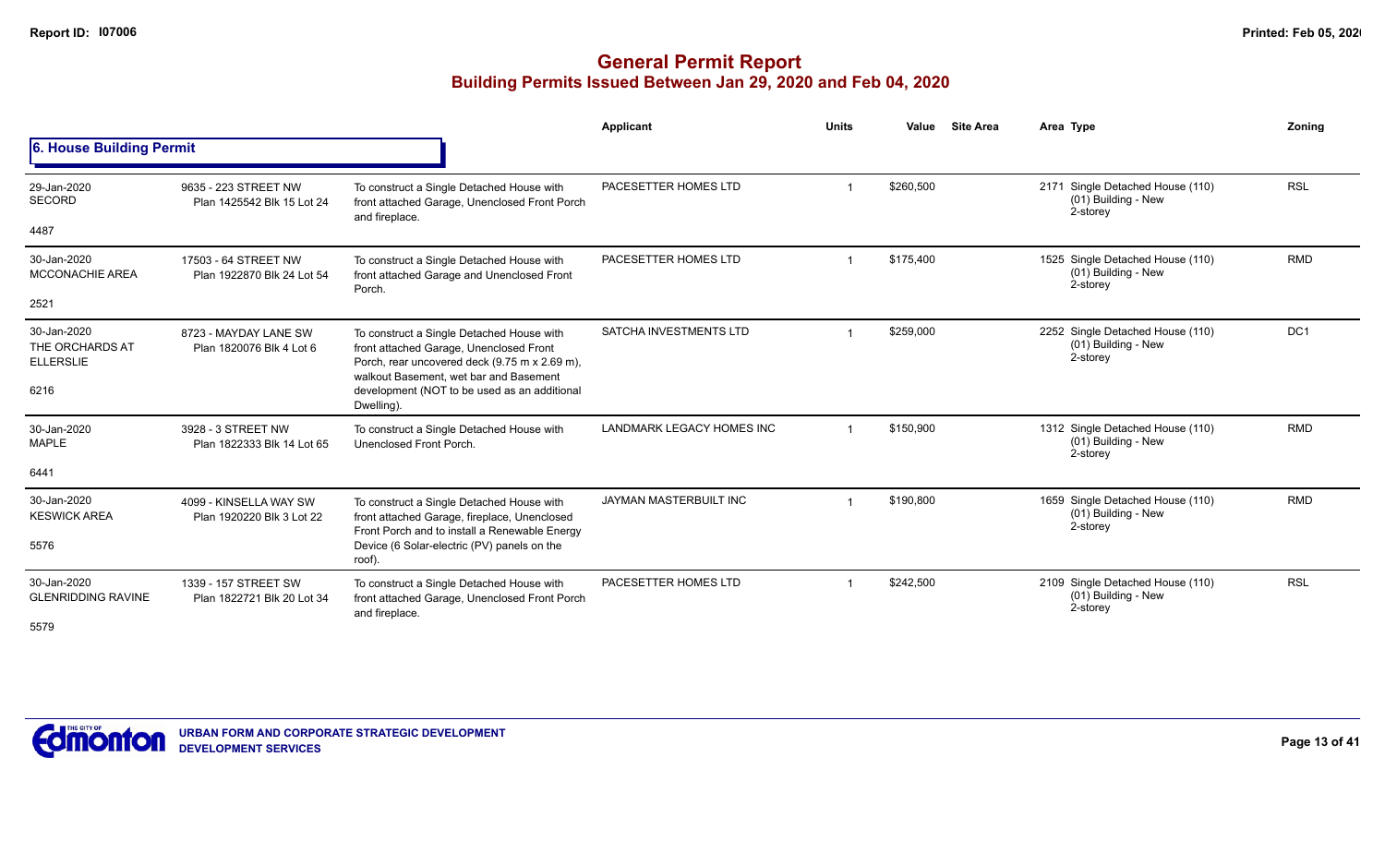|                                                            |                                                     |                                                                                                                                                                                                                                               | Applicant                        | <b>Units</b> | Value     | <b>Site Area</b> | Area Type                                                             | Zoning          |
|------------------------------------------------------------|-----------------------------------------------------|-----------------------------------------------------------------------------------------------------------------------------------------------------------------------------------------------------------------------------------------------|----------------------------------|--------------|-----------|------------------|-----------------------------------------------------------------------|-----------------|
| 6. House Building Permit                                   |                                                     |                                                                                                                                                                                                                                               |                                  |              |           |                  |                                                                       |                 |
| 29-Jan-2020<br><b>SECORD</b><br>4487                       | 9635 - 223 STREET NW<br>Plan 1425542 Blk 15 Lot 24  | To construct a Single Detached House with<br>front attached Garage, Unenclosed Front Porch<br>and fireplace.                                                                                                                                  | PACESETTER HOMES LTD             |              | \$260,500 |                  | 2171 Single Detached House (110)<br>(01) Building - New<br>2-storey   | <b>RSL</b>      |
|                                                            |                                                     |                                                                                                                                                                                                                                               |                                  |              |           |                  |                                                                       |                 |
| 30-Jan-2020<br><b>MCCONACHIE AREA</b>                      | 17503 - 64 STREET NW<br>Plan 1922870 Blk 24 Lot 54  | To construct a Single Detached House with<br>front attached Garage and Unenclosed Front<br>Porch.                                                                                                                                             | PACESETTER HOMES LTD             |              | \$175,400 |                  | 1525 Single Detached House (110)<br>(01) Building - New<br>2-storey   | <b>RMD</b>      |
| 2521                                                       |                                                     |                                                                                                                                                                                                                                               |                                  |              |           |                  |                                                                       |                 |
| 30-Jan-2020<br>THE ORCHARDS AT<br><b>ELLERSLIE</b><br>6216 | 8723 - MAYDAY LANE SW<br>Plan 1820076 Blk 4 Lot 6   | To construct a Single Detached House with<br>front attached Garage, Unenclosed Front<br>Porch, rear uncovered deck (9.75 m x 2.69 m),<br>walkout Basement, wet bar and Basement<br>development (NOT to be used as an additional<br>Dwelling). | SATCHA INVESTMENTS LTD           |              | \$259,000 |                  | 2252 Single Detached House (110)<br>(01) Building - New<br>2-storey   | DC <sub>1</sub> |
| 30-Jan-2020<br><b>MAPLE</b>                                | 3928 - 3 STREET NW<br>Plan 1822333 Blk 14 Lot 65    | To construct a Single Detached House with<br>Unenclosed Front Porch.                                                                                                                                                                          | <b>LANDMARK LEGACY HOMES INC</b> |              | \$150,900 |                  | 1312 Single Detached House (110)<br>(01) Building - New<br>2-storey   | <b>RMD</b>      |
| 6441                                                       |                                                     |                                                                                                                                                                                                                                               |                                  |              |           |                  |                                                                       |                 |
| 30-Jan-2020<br><b>KESWICK AREA</b>                         | 4099 - KINSELLA WAY SW<br>Plan 1920220 Blk 3 Lot 22 | To construct a Single Detached House with<br>front attached Garage, fireplace, Unenclosed<br>Front Porch and to install a Renewable Energy                                                                                                    | JAYMAN MASTERBUILT INC           |              | \$190.800 |                  | 1659 Single Detached House (110)<br>(01) Building - New<br>2-storey   | <b>RMD</b>      |
| 5576                                                       |                                                     | Device (6 Solar-electric (PV) panels on the<br>roof).                                                                                                                                                                                         |                                  |              |           |                  |                                                                       |                 |
| 30-Jan-2020<br><b>GLENRIDDING RAVINE</b><br>5579           | 1339 - 157 STREET SW<br>Plan 1822721 Blk 20 Lot 34  | To construct a Single Detached House with<br>front attached Garage, Unenclosed Front Porch<br>and fireplace.                                                                                                                                  | PACESETTER HOMES LTD             |              | \$242,500 |                  | 2109 Single Detached House (110)<br>$(01)$ Building - New<br>2-storey | <b>RSL</b>      |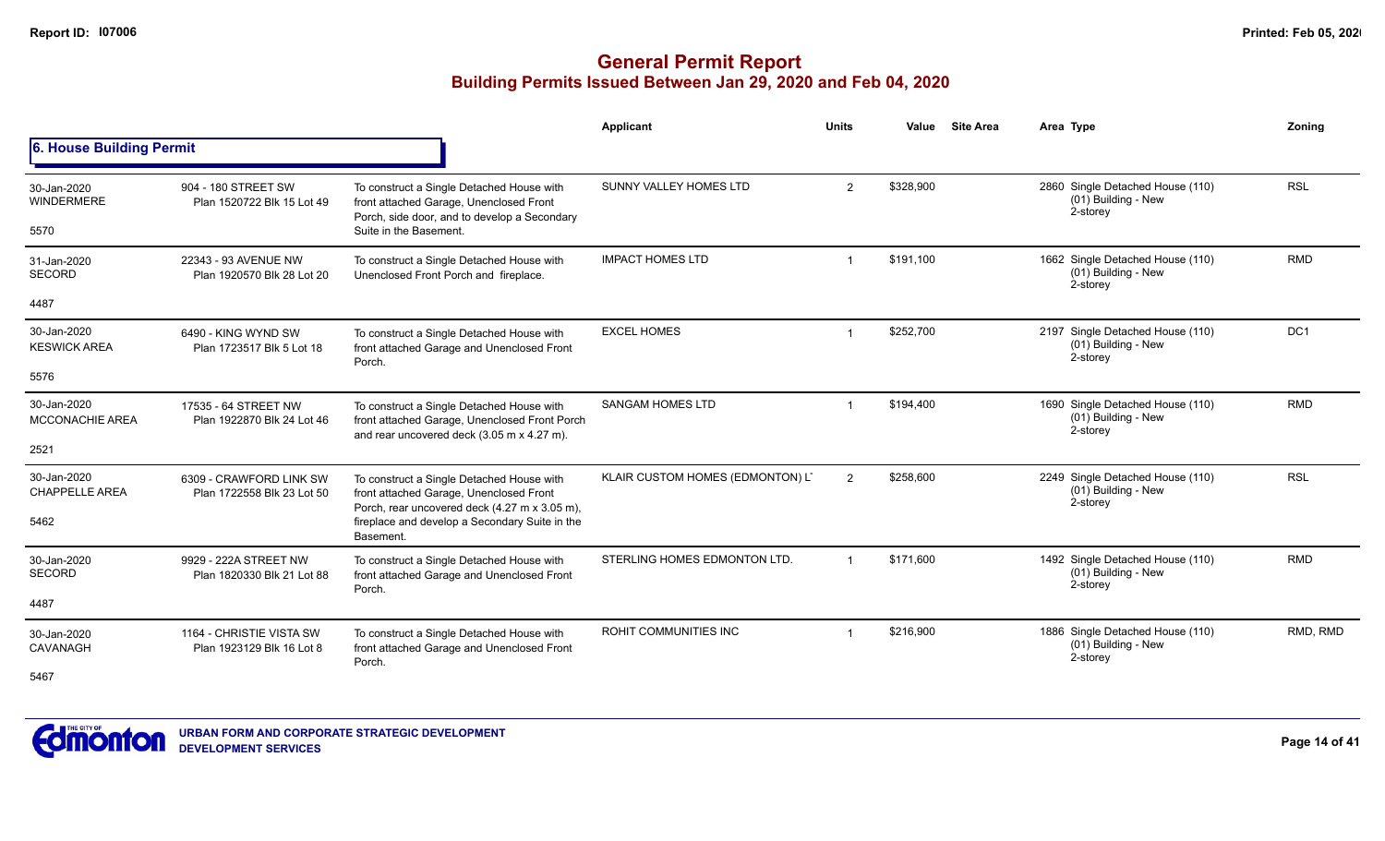|                                       |                                                       |                                                                                                                                          | <b>Applicant</b>                 | <b>Units</b>   | Value     | <b>Site Area</b> | Area Type                                                           | Zoning     |
|---------------------------------------|-------------------------------------------------------|------------------------------------------------------------------------------------------------------------------------------------------|----------------------------------|----------------|-----------|------------------|---------------------------------------------------------------------|------------|
| 6. House Building Permit              |                                                       |                                                                                                                                          |                                  |                |           |                  |                                                                     |            |
| 30-Jan-2020<br><b>WINDERMERE</b>      | 904 - 180 STREET SW<br>Plan 1520722 Blk 15 Lot 49     | To construct a Single Detached House with<br>front attached Garage, Unenclosed Front<br>Porch, side door, and to develop a Secondary     | SUNNY VALLEY HOMES LTD           | $\overline{2}$ | \$328,900 |                  | 2860 Single Detached House (110)<br>(01) Building - New<br>2-storey | <b>RSL</b> |
| 5570                                  |                                                       | Suite in the Basement.                                                                                                                   |                                  |                |           |                  |                                                                     |            |
| 31-Jan-2020<br>SECORD                 | 22343 - 93 AVENUE NW<br>Plan 1920570 Blk 28 Lot 20    | To construct a Single Detached House with<br>Unenclosed Front Porch and fireplace.                                                       | <b>IMPACT HOMES LTD</b>          | -1             | \$191,100 |                  | 1662 Single Detached House (110)<br>(01) Building - New<br>2-storey | <b>RMD</b> |
| 4487                                  |                                                       |                                                                                                                                          |                                  |                |           |                  |                                                                     |            |
| 30-Jan-2020<br><b>KESWICK AREA</b>    | 6490 - KING WYND SW<br>Plan 1723517 Blk 5 Lot 18      | To construct a Single Detached House with<br>front attached Garage and Unenclosed Front<br>Porch.                                        | <b>EXCEL HOMES</b>               | -1             | \$252,700 |                  | 2197 Single Detached House (110)<br>(01) Building - New<br>2-storey | DC1        |
| 5576                                  |                                                       |                                                                                                                                          |                                  |                |           |                  |                                                                     |            |
| 30-Jan-2020<br><b>MCCONACHIE AREA</b> | 17535 - 64 STREET NW<br>Plan 1922870 Blk 24 Lot 46    | To construct a Single Detached House with<br>front attached Garage, Unenclosed Front Porch<br>and rear uncovered deck (3.05 m x 4.27 m). | <b>SANGAM HOMES LTD</b>          | -1             | \$194,400 |                  | 1690 Single Detached House (110)<br>(01) Building - New<br>2-storey | <b>RMD</b> |
| 2521                                  |                                                       |                                                                                                                                          |                                  |                |           |                  |                                                                     |            |
| 30-Jan-2020<br><b>CHAPPELLE AREA</b>  | 6309 - CRAWFORD LINK SW<br>Plan 1722558 Blk 23 Lot 50 | To construct a Single Detached House with<br>front attached Garage, Unenclosed Front<br>Porch, rear uncovered deck (4.27 m x 3.05 m),    | KLAIR CUSTOM HOMES (EDMONTON) L' | $\overline{2}$ | \$258,600 |                  | 2249 Single Detached House (110)<br>(01) Building - New<br>2-storey | <b>RSL</b> |
| 5462                                  |                                                       | fireplace and develop a Secondary Suite in the<br>Basement.                                                                              |                                  |                |           |                  |                                                                     |            |
| 30-Jan-2020<br>SECORD                 | 9929 - 222A STREET NW<br>Plan 1820330 Blk 21 Lot 88   | To construct a Single Detached House with<br>front attached Garage and Unenclosed Front                                                  | STERLING HOMES EDMONTON LTD.     | $\overline{1}$ | \$171.600 |                  | 1492 Single Detached House (110)<br>(01) Building - New<br>2-storey | <b>RMD</b> |
| 4487                                  |                                                       | Porch.                                                                                                                                   |                                  |                |           |                  |                                                                     |            |
| 30-Jan-2020<br>CAVANAGH               | 1164 - CHRISTIE VISTA SW<br>Plan 1923129 Blk 16 Lot 8 | To construct a Single Detached House with<br>front attached Garage and Unenclosed Front<br>Porch.                                        | ROHIT COMMUNITIES INC            |                | \$216.900 |                  | 1886 Single Detached House (110)<br>(01) Building - New<br>2-storey | RMD, RMD   |
| 5467                                  |                                                       |                                                                                                                                          |                                  |                |           |                  |                                                                     |            |

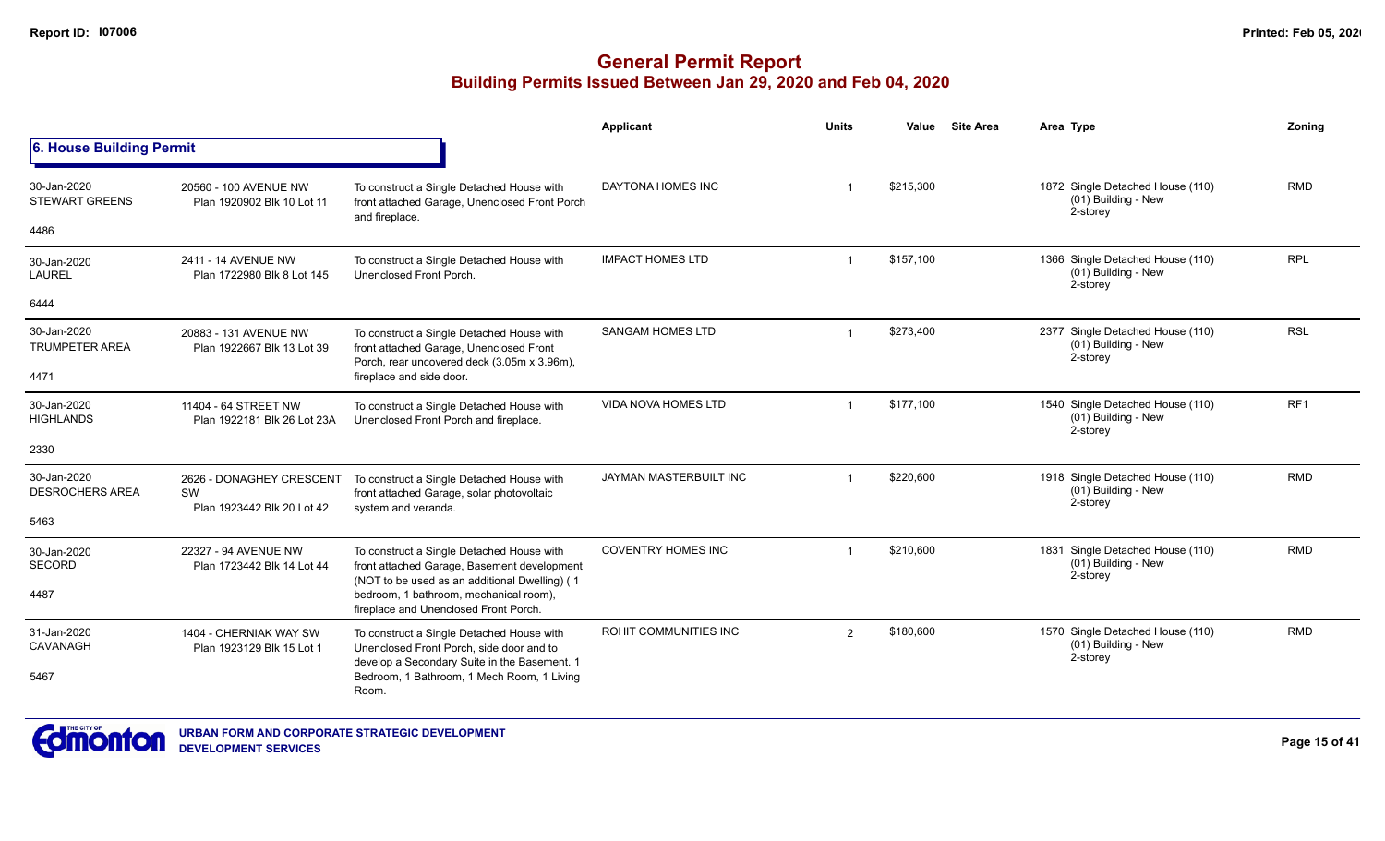|                                       |                                                                                                                                              |                                                                                                                                           | <b>Applicant</b>             | <b>Units</b> | Value     | <b>Site Area</b> | Area Type                                                           | Zoning          |
|---------------------------------------|----------------------------------------------------------------------------------------------------------------------------------------------|-------------------------------------------------------------------------------------------------------------------------------------------|------------------------------|--------------|-----------|------------------|---------------------------------------------------------------------|-----------------|
| <b>6. House Building Permit</b>       |                                                                                                                                              |                                                                                                                                           |                              |              |           |                  |                                                                     |                 |
| 30-Jan-2020<br><b>STEWART GREENS</b>  | 20560 - 100 AVENUE NW<br>Plan 1920902 Blk 10 Lot 11                                                                                          | To construct a Single Detached House with<br>front attached Garage, Unenclosed Front Porch<br>and fireplace.                              | DAYTONA HOMES INC            | -1           | \$215,300 |                  | 1872 Single Detached House (110)<br>(01) Building - New<br>2-storey | <b>RMD</b>      |
| 4486                                  |                                                                                                                                              |                                                                                                                                           |                              |              |           |                  |                                                                     |                 |
| 30-Jan-2020<br><b>LAUREL</b>          | 2411 - 14 AVENUE NW<br>Plan 1722980 Blk 8 Lot 145                                                                                            | To construct a Single Detached House with<br>Unenclosed Front Porch.                                                                      | <b>IMPACT HOMES LTD</b>      |              | \$157,100 |                  | 1366 Single Detached House (110)<br>(01) Building - New<br>2-storey | <b>RPL</b>      |
| 6444                                  |                                                                                                                                              |                                                                                                                                           |                              |              |           |                  |                                                                     |                 |
| 30-Jan-2020<br><b>TRUMPETER AREA</b>  | 20883 - 131 AVENUE NW<br>Plan 1922667 Blk 13 Lot 39                                                                                          | To construct a Single Detached House with<br>front attached Garage, Unenclosed Front<br>Porch, rear uncovered deck (3.05m x 3.96m),       | <b>SANGAM HOMES LTD</b>      |              | \$273,400 |                  | 2377 Single Detached House (110)<br>(01) Building - New<br>2-storey | <b>RSL</b>      |
| 4471                                  |                                                                                                                                              | fireplace and side door.                                                                                                                  |                              |              |           |                  |                                                                     |                 |
| 30-Jan-2020<br><b>HIGHLANDS</b>       | 11404 - 64 STREET NW<br>Plan 1922181 Blk 26 Lot 23A                                                                                          | To construct a Single Detached House with<br>Unenclosed Front Porch and fireplace.                                                        | <b>VIDA NOVA HOMES LTD</b>   |              | \$177,100 |                  | 1540 Single Detached House (110)<br>(01) Building - New<br>2-storey | RF <sub>1</sub> |
| 2330                                  |                                                                                                                                              |                                                                                                                                           |                              |              |           |                  |                                                                     |                 |
| 30-Jan-2020<br><b>DESROCHERS AREA</b> | 2626 - DONAGHEY CRESCENT<br>SW<br>Plan 1923442 Blk 20 Lot 42                                                                                 | To construct a Single Detached House with<br>front attached Garage, solar photovoltaic<br>system and veranda.                             | JAYMAN MASTERBUILT INC       |              | \$220,600 |                  | 1918 Single Detached House (110)<br>(01) Building - New<br>2-storey | <b>RMD</b>      |
| 5463                                  |                                                                                                                                              |                                                                                                                                           |                              |              |           |                  |                                                                     |                 |
| 30-Jan-2020<br><b>SECORD</b>          | 22327 - 94 AVENUE NW<br>Plan 1723442 Blk 14 Lot 44                                                                                           | To construct a Single Detached House with<br>front attached Garage, Basement development<br>(NOT to be used as an additional Dwelling) (1 | <b>COVENTRY HOMES INC</b>    |              | \$210,600 |                  | 1831 Single Detached House (110)<br>(01) Building - New<br>2-storey | <b>RMD</b>      |
| 4487                                  |                                                                                                                                              | bedroom, 1 bathroom, mechanical room),<br>fireplace and Unenclosed Front Porch.                                                           |                              |              |           |                  |                                                                     |                 |
| 31-Jan-2020<br>CAVANAGH               | 1404 - CHERNIAK WAY SW<br>To construct a Single Detached House with<br>Plan 1923129 Blk 15 Lot 1<br>Unenclosed Front Porch, side door and to |                                                                                                                                           | <b>ROHIT COMMUNITIES INC</b> | 2            | \$180,600 |                  | 1570 Single Detached House (110)<br>(01) Building - New<br>2-storey | <b>RMD</b>      |
| 5467                                  |                                                                                                                                              | develop a Secondary Suite in the Basement. 1<br>Bedroom, 1 Bathroom, 1 Mech Room, 1 Living<br>Room.                                       |                              |              |           |                  |                                                                     |                 |

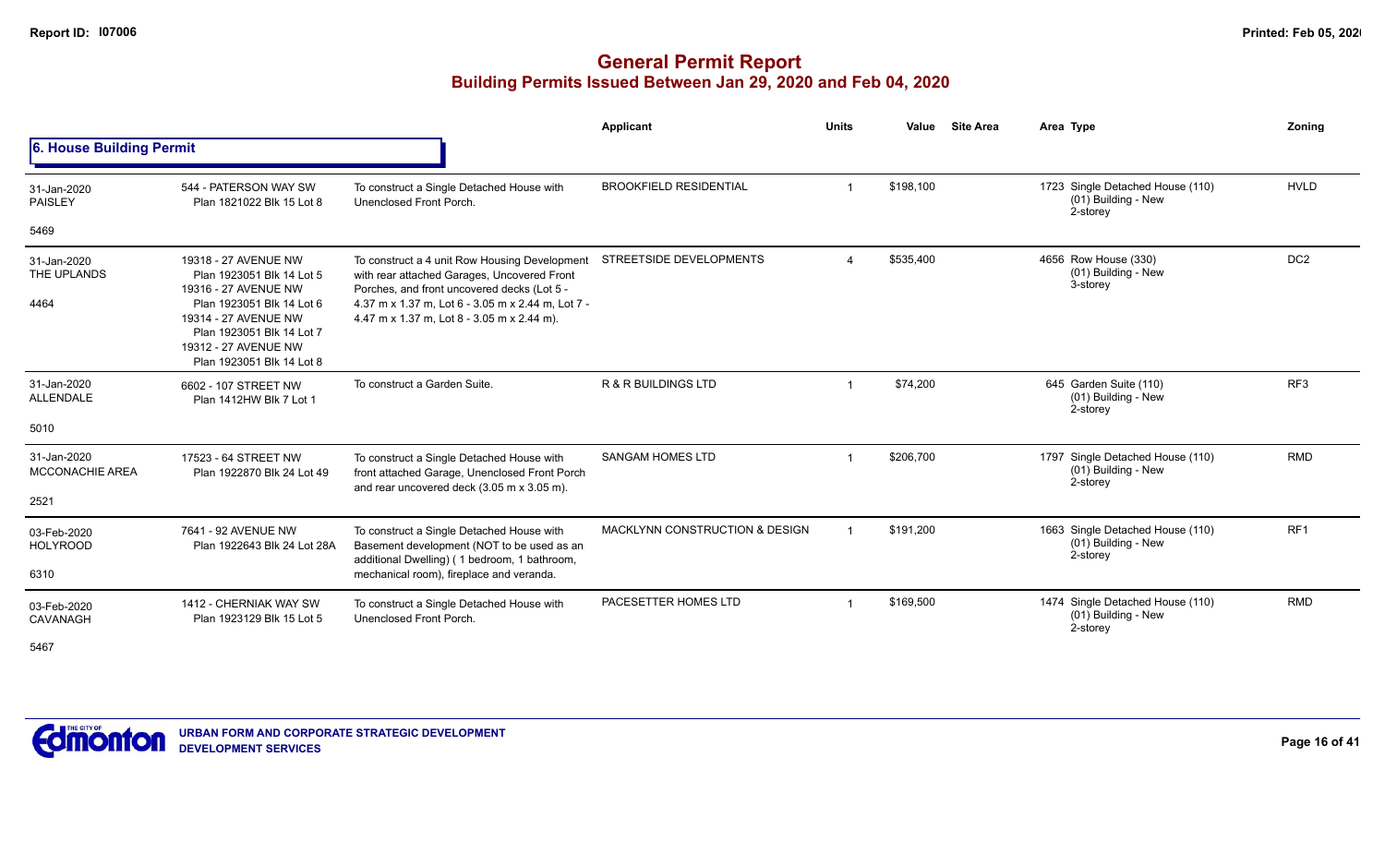## **General Permit Report Building Permits Issued Between Jan 29, 2020 and Feb 04, 2020**

|                                                                                                                                                                                                                                                                                                                                                                                                                                                                                                                                                                                                                                                                                                                                                                                                                                                                                                                                                                                                                                                                                                                                                                                                                                                                                                                                                                                                                                                                                                                                                                                                                                                                                                                                                                                                |                                                     |                                                                                                                                        | Applicant            | <b>Units</b> | Value     |  | Area Type                                                           | Zoning          |
|------------------------------------------------------------------------------------------------------------------------------------------------------------------------------------------------------------------------------------------------------------------------------------------------------------------------------------------------------------------------------------------------------------------------------------------------------------------------------------------------------------------------------------------------------------------------------------------------------------------------------------------------------------------------------------------------------------------------------------------------------------------------------------------------------------------------------------------------------------------------------------------------------------------------------------------------------------------------------------------------------------------------------------------------------------------------------------------------------------------------------------------------------------------------------------------------------------------------------------------------------------------------------------------------------------------------------------------------------------------------------------------------------------------------------------------------------------------------------------------------------------------------------------------------------------------------------------------------------------------------------------------------------------------------------------------------------------------------------------------------------------------------------------------------|-----------------------------------------------------|----------------------------------------------------------------------------------------------------------------------------------------|----------------------|--------------|-----------|--|---------------------------------------------------------------------|-----------------|
| <b>Site Area</b><br>6. House Building Permit<br>\$198,100<br>1723 Single Detached House (110)<br><b>BROOKFIELD RESIDENTIAL</b><br>544 - PATERSON WAY SW<br>To construct a Single Detached House with<br>31-Jan-2020<br>(01) Building - New<br><b>PAISLEY</b><br>Unenclosed Front Porch.<br>Plan 1821022 Blk 15 Lot 8<br>2-storey<br>5469<br>STREETSIDE DEVELOPMENTS<br>\$535,400<br>4656 Row House (330)<br>19318 - 27 AVENUE NW<br>To construct a 4 unit Row Housing Development<br>31-Jan-2020<br>(01) Building - New<br>THE UPLANDS<br>with rear attached Garages, Uncovered Front<br>Plan 1923051 Blk 14 Lot 5<br>3-storey<br>Porches, and front uncovered decks (Lot 5 -<br>19316 - 27 AVENUE NW<br>Plan 1923051 Blk 14 Lot 6<br>4.37 m x 1.37 m, Lot 6 - 3.05 m x 2.44 m, Lot 7 -<br>4464<br>19314 - 27 AVENUE NW<br>4.47 m x 1.37 m, Lot 8 - 3.05 m x 2.44 m).<br>Plan 1923051 Blk 14 Lot 7<br>19312 - 27 AVENUE NW<br>Plan 1923051 Blk 14 Lot 8<br>31-Jan-2020<br>To construct a Garden Suite.<br><b>R &amp; R BUILDINGS LTD</b><br>\$74,200<br>645 Garden Suite (110)<br>6602 - 107 STREET NW<br>$\overline{\mathbf{1}}$<br>(01) Building - New<br><b>ALLENDALE</b><br>Plan 1412HW Blk 7 Lot 1<br>2-storey<br>5010<br>\$206,700<br><b>SANGAM HOMES LTD</b><br>1797 Single Detached House (110)<br>31-Jan-2020<br>17523 - 64 STREET NW<br>To construct a Single Detached House with<br>(01) Building - New<br>MCCONACHIE AREA<br>front attached Garage, Unenclosed Front Porch<br>Plan 1922870 Blk 24 Lot 49<br>2-storey<br>and rear uncovered deck (3.05 m x 3.05 m).<br>2521<br><b>MACKLYNN CONSTRUCTION &amp; DESIGN</b><br>\$191,200<br>1663 Single Detached House (110)<br>7641 - 92 AVENUE NW<br>To construct a Single Detached House with<br>03-Feb-2020<br>(01) Building - New |                                                     |                                                                                                                                        |                      |              |           |  |                                                                     |                 |
|                                                                                                                                                                                                                                                                                                                                                                                                                                                                                                                                                                                                                                                                                                                                                                                                                                                                                                                                                                                                                                                                                                                                                                                                                                                                                                                                                                                                                                                                                                                                                                                                                                                                                                                                                                                                |                                                     |                                                                                                                                        |                      |              |           |  |                                                                     | <b>HVLD</b>     |
|                                                                                                                                                                                                                                                                                                                                                                                                                                                                                                                                                                                                                                                                                                                                                                                                                                                                                                                                                                                                                                                                                                                                                                                                                                                                                                                                                                                                                                                                                                                                                                                                                                                                                                                                                                                                |                                                     |                                                                                                                                        |                      |              |           |  |                                                                     |                 |
|                                                                                                                                                                                                                                                                                                                                                                                                                                                                                                                                                                                                                                                                                                                                                                                                                                                                                                                                                                                                                                                                                                                                                                                                                                                                                                                                                                                                                                                                                                                                                                                                                                                                                                                                                                                                |                                                     |                                                                                                                                        |                      |              |           |  |                                                                     | DC <sub>2</sub> |
|                                                                                                                                                                                                                                                                                                                                                                                                                                                                                                                                                                                                                                                                                                                                                                                                                                                                                                                                                                                                                                                                                                                                                                                                                                                                                                                                                                                                                                                                                                                                                                                                                                                                                                                                                                                                |                                                     |                                                                                                                                        |                      |              |           |  |                                                                     | RF <sub>3</sub> |
|                                                                                                                                                                                                                                                                                                                                                                                                                                                                                                                                                                                                                                                                                                                                                                                                                                                                                                                                                                                                                                                                                                                                                                                                                                                                                                                                                                                                                                                                                                                                                                                                                                                                                                                                                                                                |                                                     |                                                                                                                                        |                      |              |           |  |                                                                     | <b>RMD</b>      |
|                                                                                                                                                                                                                                                                                                                                                                                                                                                                                                                                                                                                                                                                                                                                                                                                                                                                                                                                                                                                                                                                                                                                                                                                                                                                                                                                                                                                                                                                                                                                                                                                                                                                                                                                                                                                |                                                     |                                                                                                                                        |                      |              |           |  |                                                                     |                 |
|                                                                                                                                                                                                                                                                                                                                                                                                                                                                                                                                                                                                                                                                                                                                                                                                                                                                                                                                                                                                                                                                                                                                                                                                                                                                                                                                                                                                                                                                                                                                                                                                                                                                                                                                                                                                |                                                     |                                                                                                                                        |                      |              |           |  |                                                                     |                 |
| <b>HOLYROOD</b><br>6310                                                                                                                                                                                                                                                                                                                                                                                                                                                                                                                                                                                                                                                                                                                                                                                                                                                                                                                                                                                                                                                                                                                                                                                                                                                                                                                                                                                                                                                                                                                                                                                                                                                                                                                                                                        | Plan 1922643 Blk 24 Lot 28A                         | Basement development (NOT to be used as an<br>additional Dwelling) (1 bedroom, 1 bathroom,<br>mechanical room), fireplace and veranda. |                      |              |           |  | 2-storey                                                            | RF <sub>1</sub> |
| 03-Feb-2020<br><b>CAVANAGH</b><br>$-10-$                                                                                                                                                                                                                                                                                                                                                                                                                                                                                                                                                                                                                                                                                                                                                                                                                                                                                                                                                                                                                                                                                                                                                                                                                                                                                                                                                                                                                                                                                                                                                                                                                                                                                                                                                       | 1412 - CHERNIAK WAY SW<br>Plan 1923129 Blk 15 Lot 5 | To construct a Single Detached House with<br>Unenclosed Front Porch.                                                                   | PACESETTER HOMES LTD |              | \$169,500 |  | 1474 Single Detached House (110)<br>(01) Building - New<br>2-storey | <b>RMD</b>      |

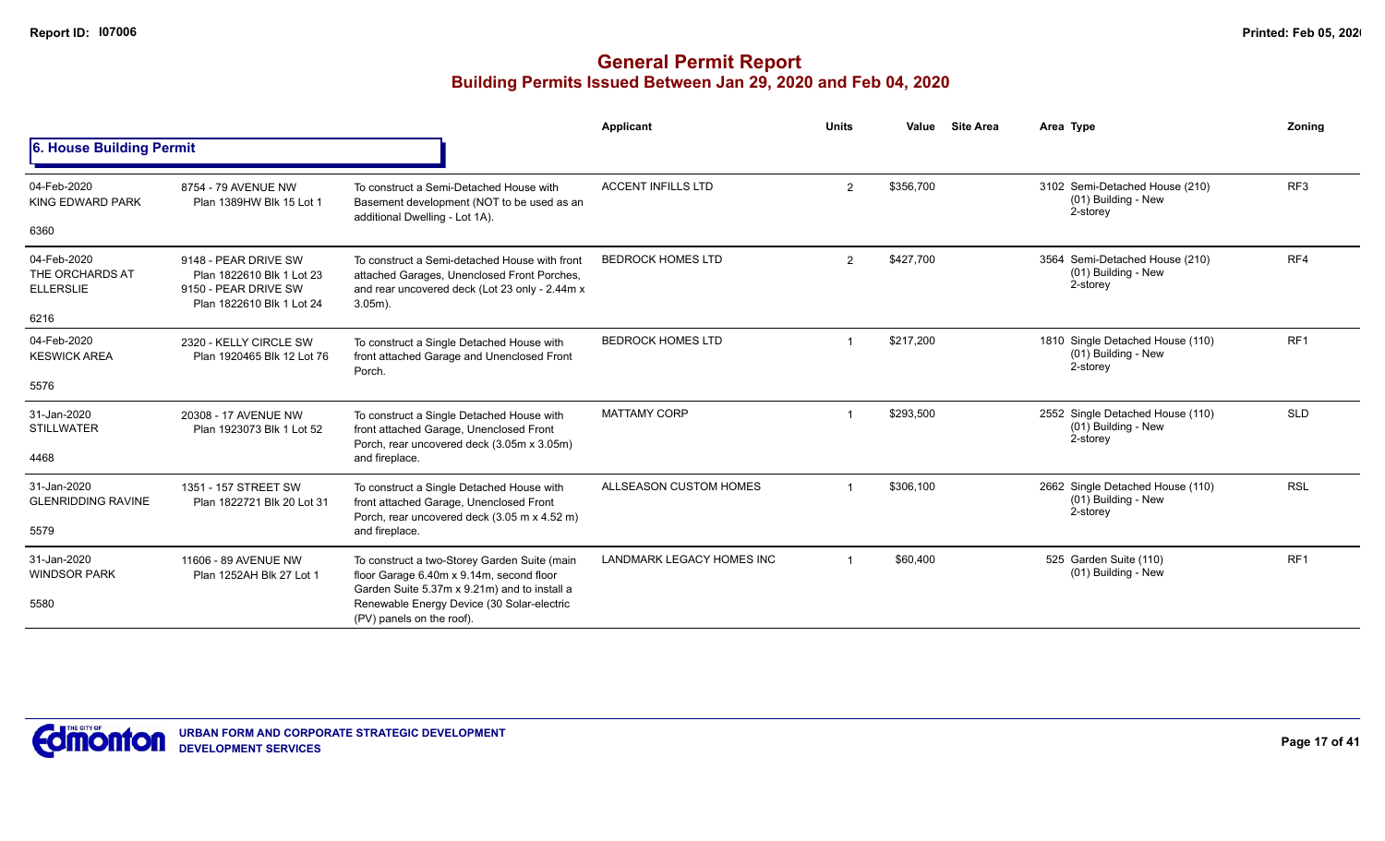|                                                            |                                                                                                        |                                                                                                                                                                                                                     | <b>Applicant</b>          | <b>Units</b> | <b>Site Area</b><br>Value | Area Type                                                             | Zoning          |
|------------------------------------------------------------|--------------------------------------------------------------------------------------------------------|---------------------------------------------------------------------------------------------------------------------------------------------------------------------------------------------------------------------|---------------------------|--------------|---------------------------|-----------------------------------------------------------------------|-----------------|
| 6. House Building Permit                                   |                                                                                                        |                                                                                                                                                                                                                     |                           |              |                           |                                                                       |                 |
| 04-Feb-2020<br><b>KING EDWARD PARK</b><br>6360             | 8754 - 79 AVENUE NW<br>Plan 1389HW Blk 15 Lot 1                                                        | To construct a Semi-Detached House with<br>Basement development (NOT to be used as an<br>additional Dwelling - Lot 1A).                                                                                             | <b>ACCENT INFILLS LTD</b> | 2            | \$356,700                 | 3102 Semi-Detached House (210)<br>(01) Building - New<br>2-storey     | RF3             |
| 04-Feb-2020<br>THE ORCHARDS AT<br><b>ELLERSLIE</b><br>6216 | 9148 - PEAR DRIVE SW<br>Plan 1822610 Blk 1 Lot 23<br>9150 - PEAR DRIVE SW<br>Plan 1822610 Blk 1 Lot 24 | To construct a Semi-detached House with front<br>attached Garages, Unenclosed Front Porches,<br>and rear uncovered deck (Lot 23 only - 2.44m x<br>$3.05m$ ).                                                        | <b>BEDROCK HOMES LTD</b>  | 2            | \$427.700                 | 3564 Semi-Detached House (210)<br>(01) Building - New<br>2-storey     | RF4             |
| 04-Feb-2020<br><b>KESWICK AREA</b><br>5576                 | 2320 - KELLY CIRCLE SW<br>Plan 1920465 Blk 12 Lot 76                                                   | To construct a Single Detached House with<br>front attached Garage and Unenclosed Front<br>Porch.                                                                                                                   | <b>BEDROCK HOMES LTD</b>  |              | \$217,200                 | 1810 Single Detached House (110)<br>(01) Building - New<br>2-storey   | RF <sub>1</sub> |
| 31-Jan-2020<br><b>STILLWATER</b><br>4468                   | 20308 - 17 AVENUE NW<br>Plan 1923073 Blk 1 Lot 52                                                      | To construct a Single Detached House with<br>front attached Garage, Unenclosed Front<br>Porch, rear uncovered deck (3.05m x 3.05m)<br>and fireplace.                                                                | <b>MATTAMY CORP</b>       |              | \$293,500                 | 2552 Single Detached House (110)<br>$(01)$ Building - New<br>2-storey | <b>SLD</b>      |
| 31-Jan-2020<br><b>GLENRIDDING RAVINE</b><br>5579           | 1351 - 157 STREET SW<br>Plan 1822721 Blk 20 Lot 31                                                     | To construct a Single Detached House with<br>front attached Garage, Unenclosed Front<br>Porch, rear uncovered deck (3.05 m x 4.52 m)<br>and fireplace.                                                              | ALLSEASON CUSTOM HOMES    |              | \$306,100                 | 2662 Single Detached House (110)<br>(01) Building - New<br>2-storey   | <b>RSL</b>      |
| 31-Jan-2020<br><b>WINDSOR PARK</b><br>5580                 | 11606 - 89 AVENUE NW<br>Plan 1252AH Blk 27 Lot 1                                                       | To construct a two-Storey Garden Suite (main<br>floor Garage 6.40m x 9.14m, second floor<br>Garden Suite 5.37m x 9.21m) and to install a<br>Renewable Energy Device (30 Solar-electric<br>(PV) panels on the roof). | LANDMARK LEGACY HOMES INC |              | \$60,400                  | 525 Garden Suite (110)<br>(01) Building - New                         | RF <sub>1</sub> |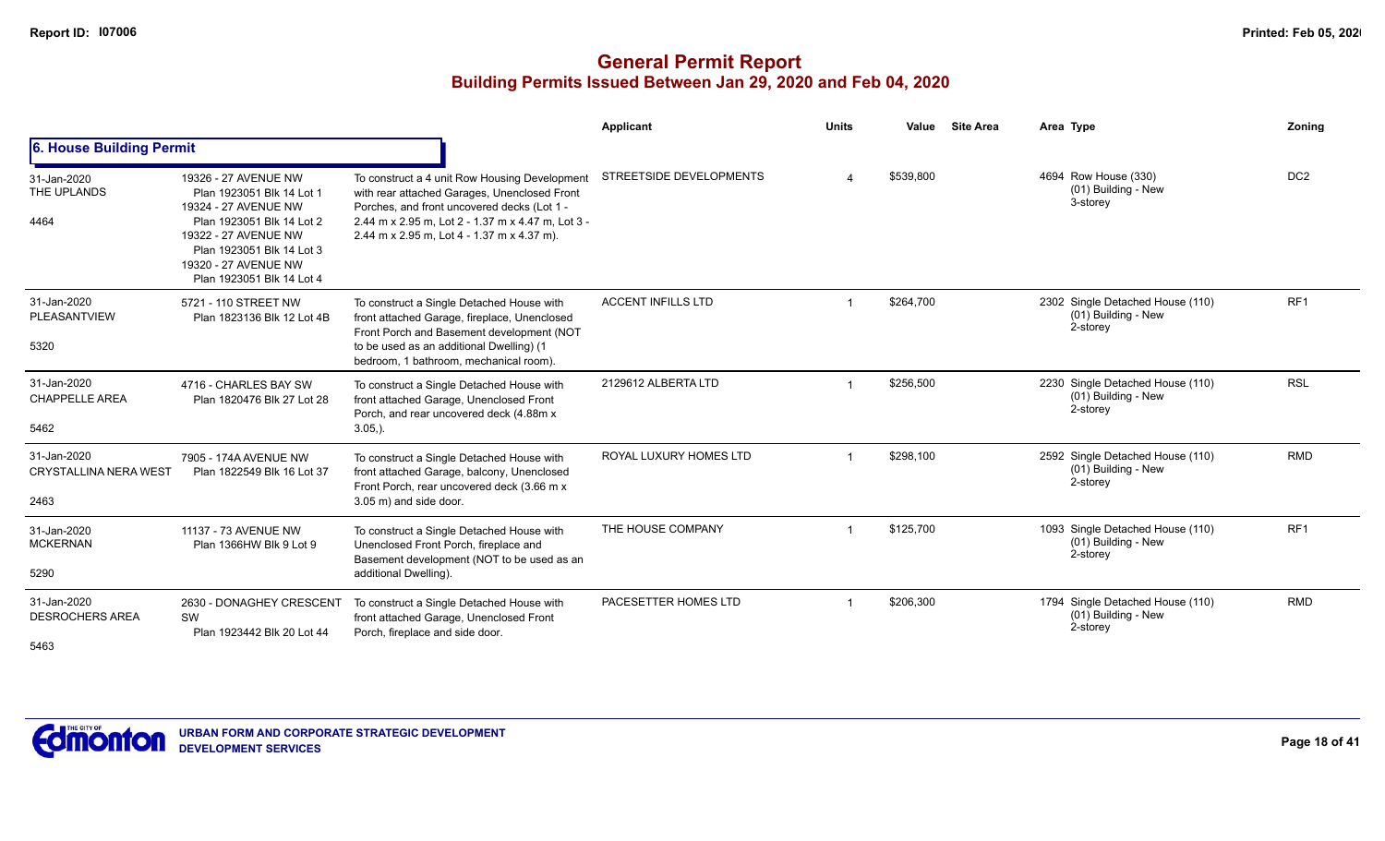|                                                     |                                                                                                                                                                                                                  |                                                                                                                                                                                                                                                 | Applicant                 | <b>Units</b> | Value     | <b>Site Area</b> | Area Type                                                             | Zoning          |
|-----------------------------------------------------|------------------------------------------------------------------------------------------------------------------------------------------------------------------------------------------------------------------|-------------------------------------------------------------------------------------------------------------------------------------------------------------------------------------------------------------------------------------------------|---------------------------|--------------|-----------|------------------|-----------------------------------------------------------------------|-----------------|
| 6. House Building Permit                            |                                                                                                                                                                                                                  |                                                                                                                                                                                                                                                 |                           |              |           |                  |                                                                       |                 |
| 31-Jan-2020<br>THE UPLANDS<br>4464                  | 19326 - 27 AVENUE NW<br>Plan 1923051 Blk 14 Lot 1<br>19324 - 27 AVENUE NW<br>Plan 1923051 Blk 14 Lot 2<br>19322 - 27 AVENUE NW<br>Plan 1923051 Blk 14 Lot 3<br>19320 - 27 AVENUE NW<br>Plan 1923051 Blk 14 Lot 4 | To construct a 4 unit Row Housing Development<br>with rear attached Garages, Unenclosed Front<br>Porches, and front uncovered decks (Lot 1 -<br>2.44 m x 2.95 m, Lot 2 - 1.37 m x 4.47 m, Lot 3 -<br>2.44 m x 2.95 m, Lot 4 - 1.37 m x 4.37 m). | STREETSIDE DEVELOPMENTS   |              | \$539.800 |                  | 4694 Row House (330)<br>(01) Building - New<br>3-storey               | DC <sub>2</sub> |
| 31-Jan-2020<br>PLEASANTVIEW<br>5320                 | 5721 - 110 STREET NW<br>Plan 1823136 Blk 12 Lot 4B                                                                                                                                                               | To construct a Single Detached House with<br>front attached Garage, fireplace, Unenclosed<br>Front Porch and Basement development (NOT<br>to be used as an additional Dwelling) (1<br>bedroom, 1 bathroom, mechanical room).                    | <b>ACCENT INFILLS LTD</b> |              | \$264,700 |                  | 2302 Single Detached House (110)<br>(01) Building - New<br>2-storey   | RF <sub>1</sub> |
| 31-Jan-2020<br><b>CHAPPELLE AREA</b><br>5462        | 4716 - CHARLES BAY SW<br>Plan 1820476 Blk 27 Lot 28                                                                                                                                                              | To construct a Single Detached House with<br>front attached Garage, Unenclosed Front<br>Porch, and rear uncovered deck (4.88m x<br>$3.05,$ ).                                                                                                   | 2129612 ALBERTA LTD       |              | \$256,500 |                  | 2230 Single Detached House (110)<br>$(01)$ Building - New<br>2-storey | <b>RSL</b>      |
| 31-Jan-2020<br><b>CRYSTALLINA NERA WEST</b><br>2463 | 7905 - 174A AVENUE NW<br>Plan 1822549 Blk 16 Lot 37                                                                                                                                                              | To construct a Single Detached House with<br>front attached Garage, balcony, Unenclosed<br>Front Porch, rear uncovered deck (3.66 m x<br>3.05 m) and side door.                                                                                 | ROYAL LUXURY HOMES LTD    |              | \$298,100 |                  | 2592 Single Detached House (110)<br>(01) Building - New<br>2-storey   | <b>RMD</b>      |
| 31-Jan-2020<br><b>MCKERNAN</b><br>5290              | 11137 - 73 AVENUE NW<br>Plan 1366HW Blk 9 Lot 9                                                                                                                                                                  | To construct a Single Detached House with<br>Unenclosed Front Porch, fireplace and<br>Basement development (NOT to be used as an<br>additional Dwelling).                                                                                       | THE HOUSE COMPANY         |              | \$125,700 |                  | 1093 Single Detached House (110)<br>(01) Building - New<br>2-storey   | RF <sub>1</sub> |
| 31-Jan-2020<br><b>DESROCHERS AREA</b><br>5463       | 2630 - DONAGHEY CRESCENT<br>SW<br>Plan 1923442 Blk 20 Lot 44                                                                                                                                                     | To construct a Single Detached House with<br>front attached Garage, Unenclosed Front<br>Porch, fireplace and side door.                                                                                                                         | PACESETTER HOMES LTD      |              | \$206,300 |                  | 1794 Single Detached House (110)<br>(01) Building - New<br>2-storey   | <b>RMD</b>      |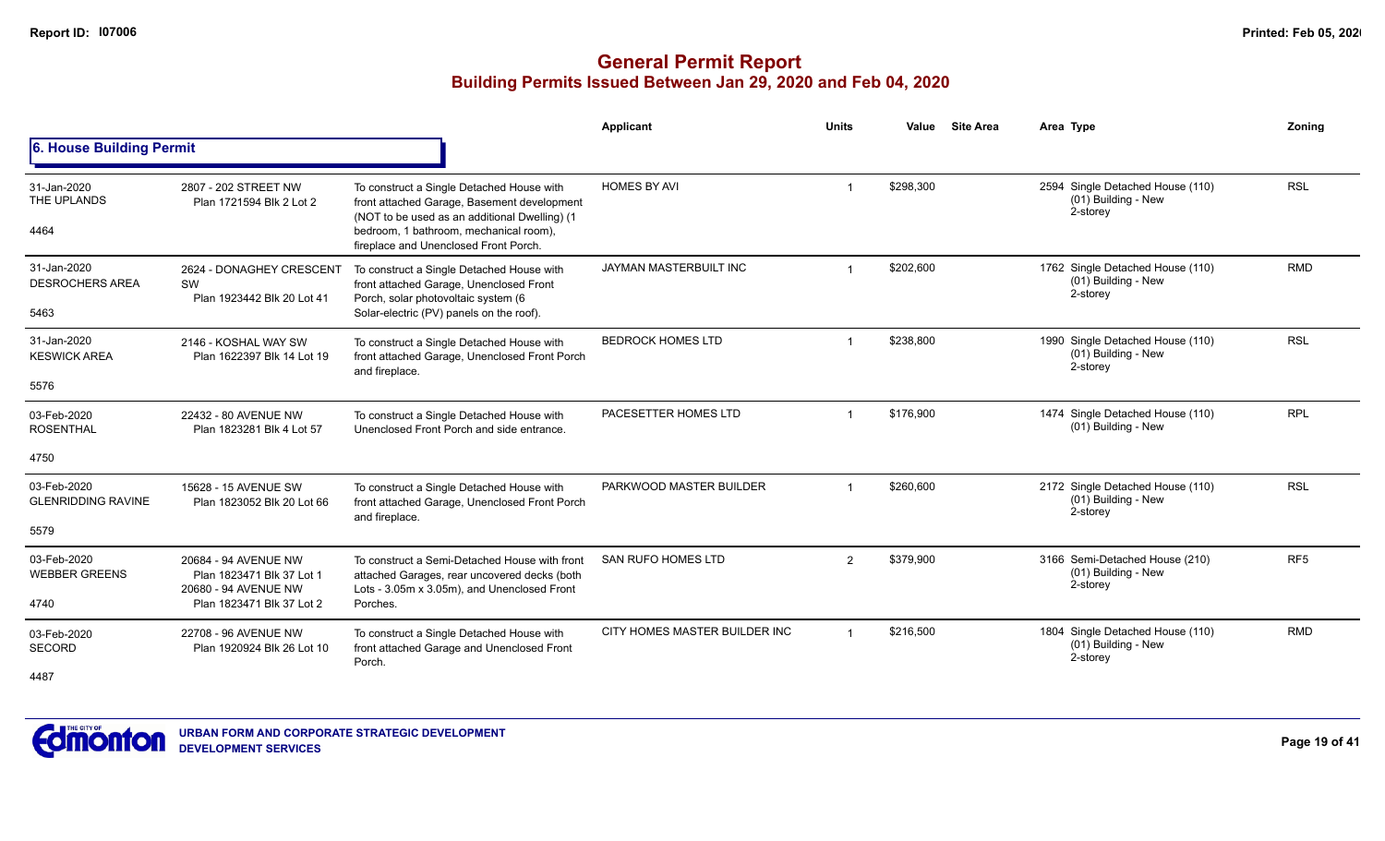|                                          |                                                                           |                                                                                                                                              | Applicant                     | <b>Units</b> | Value     | <b>Site Area</b> | Area Type                                                           | Zoning          |
|------------------------------------------|---------------------------------------------------------------------------|----------------------------------------------------------------------------------------------------------------------------------------------|-------------------------------|--------------|-----------|------------------|---------------------------------------------------------------------|-----------------|
| 6. House Building Permit                 |                                                                           |                                                                                                                                              |                               |              |           |                  |                                                                     |                 |
| 31-Jan-2020<br>THE UPLANDS               | 2807 - 202 STREET NW<br>Plan 1721594 Blk 2 Lot 2                          | To construct a Single Detached House with<br>front attached Garage, Basement development<br>(NOT to be used as an additional Dwelling) (1)   | <b>HOMES BY AVI</b>           |              | \$298,300 |                  | 2594 Single Detached House (110)<br>(01) Building - New<br>2-storey | <b>RSL</b>      |
| 4464                                     |                                                                           | bedroom, 1 bathroom, mechanical room),<br>fireplace and Unenclosed Front Porch.                                                              |                               |              |           |                  |                                                                     |                 |
| 31-Jan-2020<br><b>DESROCHERS AREA</b>    | 2624 - DONAGHEY CRESCENT<br>SW<br>Plan 1923442 Blk 20 Lot 41              | To construct a Single Detached House with<br>front attached Garage, Unenclosed Front<br>Porch, solar photovoltaic system (6                  | JAYMAN MASTERBUILT INC        |              | \$202,600 |                  | 1762 Single Detached House (110)<br>(01) Building - New<br>2-storey | <b>RMD</b>      |
| 5463                                     |                                                                           | Solar-electric (PV) panels on the roof).                                                                                                     |                               |              |           |                  |                                                                     |                 |
| 31-Jan-2020<br><b>KESWICK AREA</b>       | 2146 - KOSHAL WAY SW<br>Plan 1622397 Blk 14 Lot 19                        | To construct a Single Detached House with<br>front attached Garage, Unenclosed Front Porch<br>and fireplace.                                 | <b>BEDROCK HOMES LTD</b>      |              | \$238,800 |                  | 1990 Single Detached House (110)<br>(01) Building - New<br>2-storey | <b>RSL</b>      |
| 5576                                     |                                                                           |                                                                                                                                              |                               |              |           |                  |                                                                     |                 |
| 03-Feb-2020<br><b>ROSENTHAL</b>          | 22432 - 80 AVENUE NW<br>Plan 1823281 Blk 4 Lot 57                         | To construct a Single Detached House with<br>Unenclosed Front Porch and side entrance.                                                       | PACESETTER HOMES LTD          |              | \$176,900 |                  | 1474 Single Detached House (110)<br>(01) Building - New             | <b>RPL</b>      |
| 4750                                     |                                                                           |                                                                                                                                              |                               |              |           |                  |                                                                     |                 |
| 03-Feb-2020<br><b>GLENRIDDING RAVINE</b> | 15628 - 15 AVENUE SW<br>Plan 1823052 Blk 20 Lot 66                        | To construct a Single Detached House with<br>front attached Garage, Unenclosed Front Porch<br>and fireplace.                                 | PARKWOOD MASTER BUILDER       |              | \$260,600 |                  | 2172 Single Detached House (110)<br>(01) Building - New<br>2-storey | <b>RSL</b>      |
| 5579                                     |                                                                           |                                                                                                                                              |                               |              |           |                  |                                                                     |                 |
| 03-Feb-2020<br><b>WEBBER GREENS</b>      | 20684 - 94 AVENUE NW<br>Plan 1823471 Blk 37 Lot 1<br>20680 - 94 AVENUE NW | To construct a Semi-Detached House with front<br>attached Garages, rear uncovered decks (both<br>Lots - 3.05m x 3.05m), and Unenclosed Front | <b>SAN RUFO HOMES LTD</b>     | 2            | \$379,900 |                  | 3166 Semi-Detached House (210)<br>(01) Building - New<br>2-storey   | RF <sub>5</sub> |
| 4740                                     | Plan 1823471 Blk 37 Lot 2                                                 | Porches.                                                                                                                                     |                               |              |           |                  |                                                                     |                 |
| 03-Feb-2020<br>SECORD                    | 22708 - 96 AVENUE NW<br>Plan 1920924 Blk 26 Lot 10                        | To construct a Single Detached House with<br>front attached Garage and Unenclosed Front<br>Porch.                                            | CITY HOMES MASTER BUILDER INC |              | \$216,500 |                  | 1804 Single Detached House (110)<br>(01) Building - New<br>2-storey | <b>RMD</b>      |
| 4487                                     |                                                                           |                                                                                                                                              |                               |              |           |                  |                                                                     |                 |

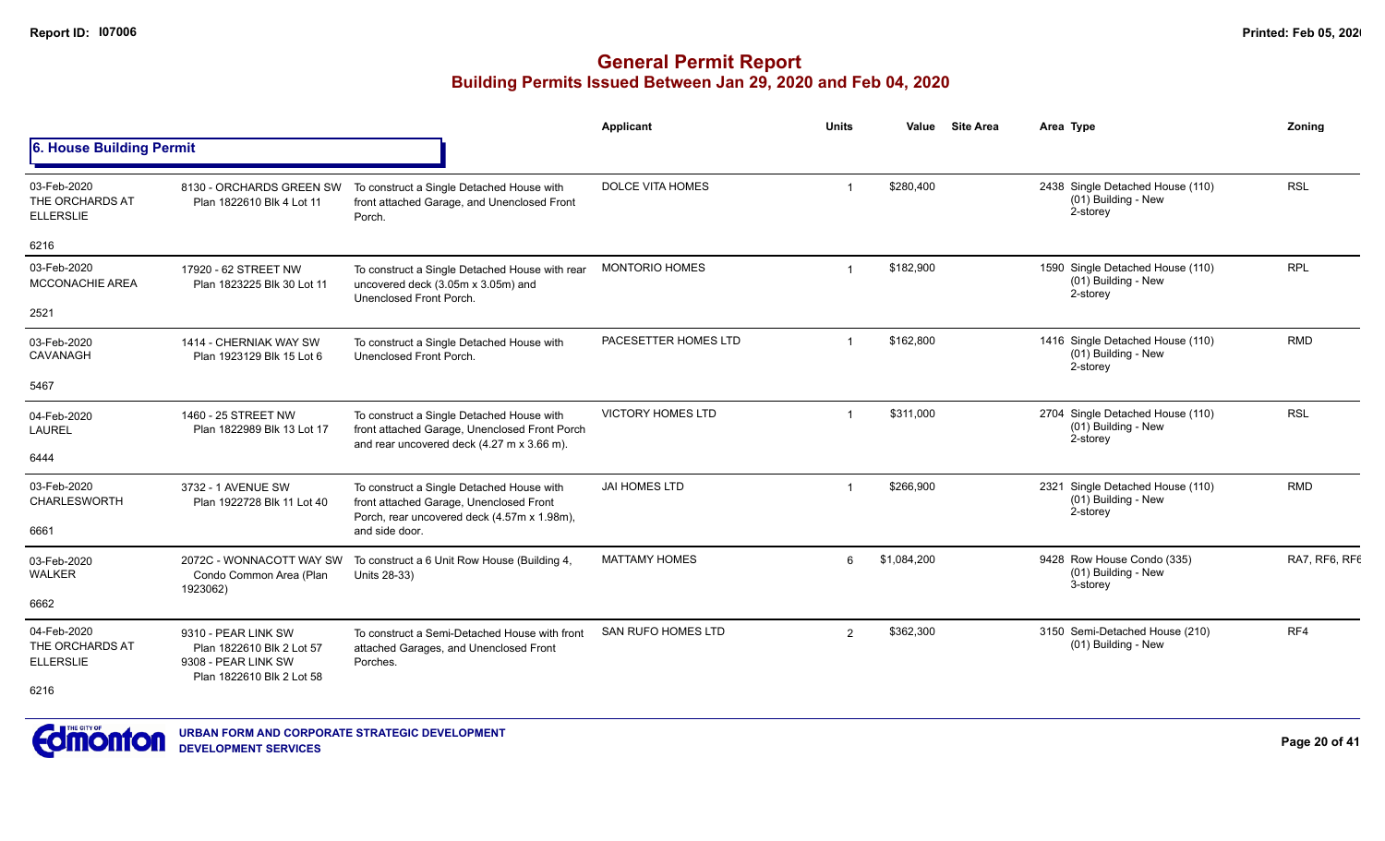|                                                    |                                                                                                      |                                                                                                                                          | <b>Applicant</b>          | <b>Units</b>   | Value       | <b>Site Area</b>                                                    | Area Type                                                             | Zonina        |
|----------------------------------------------------|------------------------------------------------------------------------------------------------------|------------------------------------------------------------------------------------------------------------------------------------------|---------------------------|----------------|-------------|---------------------------------------------------------------------|-----------------------------------------------------------------------|---------------|
| 6. House Building Permit                           |                                                                                                      |                                                                                                                                          |                           |                |             |                                                                     |                                                                       |               |
| 03-Feb-2020<br>THE ORCHARDS AT<br><b>ELLERSLIE</b> | 8130 - ORCHARDS GREEN SW<br>Plan 1822610 Blk 4 Lot 11                                                | To construct a Single Detached House with<br>front attached Garage, and Unenclosed Front<br>Porch.                                       | <b>DOLCE VITA HOMES</b>   |                | \$280,400   |                                                                     | 2438 Single Detached House (110)<br>(01) Building - New<br>2-storey   | <b>RSL</b>    |
| 6216                                               |                                                                                                      |                                                                                                                                          |                           |                |             |                                                                     |                                                                       |               |
| 03-Feb-2020<br>MCCONACHIE AREA                     | 17920 - 62 STREET NW<br>Plan 1823225 Blk 30 Lot 11                                                   | To construct a Single Detached House with rear<br>uncovered deck (3.05m x 3.05m) and<br>Unenclosed Front Porch.                          | <b>MONTORIO HOMES</b>     |                | \$182,900   | 1590 Single Detached House (110)<br>(01) Building - New<br>2-storey | <b>RPL</b>                                                            |               |
| 2521                                               |                                                                                                      |                                                                                                                                          |                           |                |             |                                                                     |                                                                       |               |
| 03-Feb-2020<br>CAVANAGH                            | 1414 - CHERNIAK WAY SW<br>Plan 1923129 Blk 15 Lot 6                                                  | To construct a Single Detached House with<br>Unenclosed Front Porch.                                                                     | PACESETTER HOMES LTD      | $\overline{1}$ | \$162,800   |                                                                     | 1416 Single Detached House (110)<br>(01) Building - New<br>2-storey   | <b>RMD</b>    |
| 5467                                               |                                                                                                      |                                                                                                                                          |                           |                |             |                                                                     |                                                                       |               |
| 04-Feb-2020<br><b>LAUREL</b>                       | 1460 - 25 STREET NW<br>Plan 1822989 Blk 13 Lot 17                                                    | To construct a Single Detached House with<br>front attached Garage, Unenclosed Front Porch<br>and rear uncovered deck (4.27 m x 3.66 m). | <b>VICTORY HOMES LTD</b>  |                | \$311,000   |                                                                     | 2704 Single Detached House (110)<br>(01) Building - New<br>2-storey   | <b>RSL</b>    |
| 6444                                               |                                                                                                      |                                                                                                                                          |                           |                |             |                                                                     |                                                                       |               |
| 03-Feb-2020<br>CHARLESWORTH                        | 3732 - 1 AVENUE SW<br>Plan 1922728 Blk 11 Lot 40                                                     | To construct a Single Detached House with<br>front attached Garage, Unenclosed Front                                                     | <b>JAI HOMES LTD</b>      | $\overline{1}$ | \$266,900   |                                                                     | 2321 Single Detached House (110)<br>$(01)$ Building - New<br>2-storey | <b>RMD</b>    |
| 6661                                               |                                                                                                      | Porch, rear uncovered deck (4.57m x 1.98m),<br>and side door.                                                                            |                           |                |             |                                                                     |                                                                       |               |
| 03-Feb-2020<br><b>WALKER</b>                       | 2072C - WONNACOTT WAY SW<br>Condo Common Area (Plan<br>1923062)                                      | To construct a 6 Unit Row House (Building 4,<br>Units 28-33)                                                                             | <b>MATTAMY HOMES</b>      | 6              | \$1,084,200 |                                                                     | 9428 Row House Condo (335)<br>(01) Building - New<br>3-storey         | RA7, RF6, RF6 |
| 6662                                               |                                                                                                      |                                                                                                                                          |                           |                |             |                                                                     |                                                                       |               |
| 04-Feb-2020<br>THE ORCHARDS AT<br><b>ELLERSLIE</b> | 9310 - PEAR LINK SW<br>Plan 1822610 Blk 2 Lot 57<br>9308 - PEAR LINK SW<br>Plan 1822610 Blk 2 Lot 58 | To construct a Semi-Detached House with front<br>attached Garages, and Unenclosed Front<br>Porches.                                      | <b>SAN RUFO HOMES LTD</b> | 2              | \$362,300   |                                                                     | 3150 Semi-Detached House (210)<br>(01) Building - New                 | RF4           |
| 6216                                               |                                                                                                      |                                                                                                                                          |                           |                |             |                                                                     |                                                                       |               |

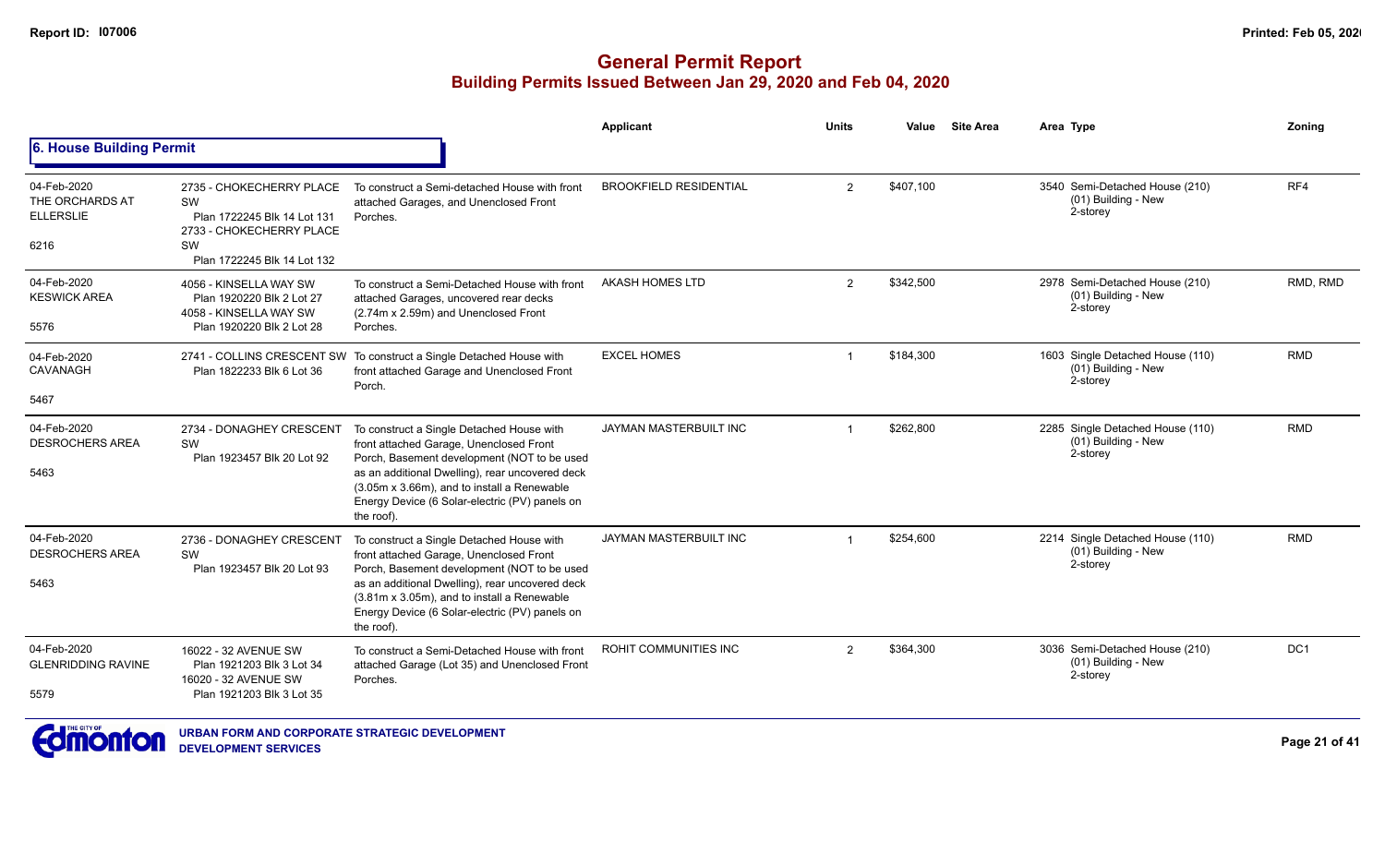|                                                            |                                                                                                                                |                                                                                                                                                                                                                                                                                                       | Applicant                     | <b>Units</b>   | Value     | <b>Site Area</b> | Area Type                                                             | Zoning          |
|------------------------------------------------------------|--------------------------------------------------------------------------------------------------------------------------------|-------------------------------------------------------------------------------------------------------------------------------------------------------------------------------------------------------------------------------------------------------------------------------------------------------|-------------------------------|----------------|-----------|------------------|-----------------------------------------------------------------------|-----------------|
| <b>6. House Building Permit</b>                            |                                                                                                                                |                                                                                                                                                                                                                                                                                                       |                               |                |           |                  |                                                                       |                 |
| 04-Feb-2020<br>THE ORCHARDS AT<br><b>ELLERSLIE</b><br>6216 | 2735 - CHOKECHERRY PLACE<br>SW<br>Plan 1722245 Blk 14 Lot 131<br>2733 - CHOKECHERRY PLACE<br>SW<br>Plan 1722245 Blk 14 Lot 132 | To construct a Semi-detached House with front<br>attached Garages, and Unenclosed Front<br>Porches.                                                                                                                                                                                                   | <b>BROOKFIELD RESIDENTIAL</b> | $\overline{2}$ | \$407.100 |                  | 3540 Semi-Detached House (210)<br>(01) Building - New<br>2-storey     | RF4             |
| 04-Feb-2020<br><b>KESWICK AREA</b><br>5576                 | 4056 - KINSELLA WAY SW<br>Plan 1920220 Blk 2 Lot 27<br>4058 - KINSELLA WAY SW<br>Plan 1920220 Blk 2 Lot 28                     | To construct a Semi-Detached House with front<br>attached Garages, uncovered rear decks<br>(2.74m x 2.59m) and Unenclosed Front<br>Porches.                                                                                                                                                           | <b>AKASH HOMES LTD</b>        | 2              | \$342,500 |                  | 2978 Semi-Detached House (210)<br>(01) Building - New<br>2-storey     | RMD, RMD        |
| 04-Feb-2020<br>CAVANAGH<br>5467                            | Plan 1822233 Blk 6 Lot 36                                                                                                      | 2741 - COLLINS CRESCENT SW To construct a Single Detached House with<br>front attached Garage and Unenclosed Front<br>Porch.                                                                                                                                                                          | <b>EXCEL HOMES</b>            | -1             | \$184,300 |                  | 1603 Single Detached House (110)<br>(01) Building - New<br>2-storey   | <b>RMD</b>      |
| 04-Feb-2020<br><b>DESROCHERS AREA</b><br>5463              | 2734 - DONAGHEY CRESCENT<br>SW<br>Plan 1923457 Blk 20 Lot 92                                                                   | To construct a Single Detached House with<br>front attached Garage, Unenclosed Front<br>Porch, Basement development (NOT to be used<br>as an additional Dwelling), rear uncovered deck<br>(3.05m x 3.66m), and to install a Renewable<br>Energy Device (6 Solar-electric (PV) panels on<br>the roof)  | JAYMAN MASTERBUILT INC        |                | \$262,800 |                  | 2285 Single Detached House (110)<br>$(01)$ Building - New<br>2-storey | <b>RMD</b>      |
| 04-Feb-2020<br><b>DESROCHERS AREA</b><br>5463              | 2736 - DONAGHEY CRESCENT<br>SW<br>Plan 1923457 Blk 20 Lot 93                                                                   | To construct a Single Detached House with<br>front attached Garage, Unenclosed Front<br>Porch, Basement development (NOT to be used<br>as an additional Dwelling), rear uncovered deck<br>(3.81m x 3.05m), and to install a Renewable<br>Energy Device (6 Solar-electric (PV) panels on<br>the roof). | JAYMAN MASTERBUILT INC        |                | \$254,600 |                  | 2214 Single Detached House (110)<br>(01) Building - New<br>2-storey   | <b>RMD</b>      |
| 04-Feb-2020<br><b>GLENRIDDING RAVINE</b><br>5579           | 16022 - 32 AVENUE SW<br>Plan 1921203 Blk 3 Lot 34<br>16020 - 32 AVENUE SW<br>Plan 1921203 Blk 3 Lot 35                         | To construct a Semi-Detached House with front<br>attached Garage (Lot 35) and Unenclosed Front<br>Porches.                                                                                                                                                                                            | ROHIT COMMUNITIES INC         | $\overline{2}$ | \$364,300 |                  | 3036 Semi-Detached House (210)<br>(01) Building - New<br>2-storey     | DC <sub>1</sub> |

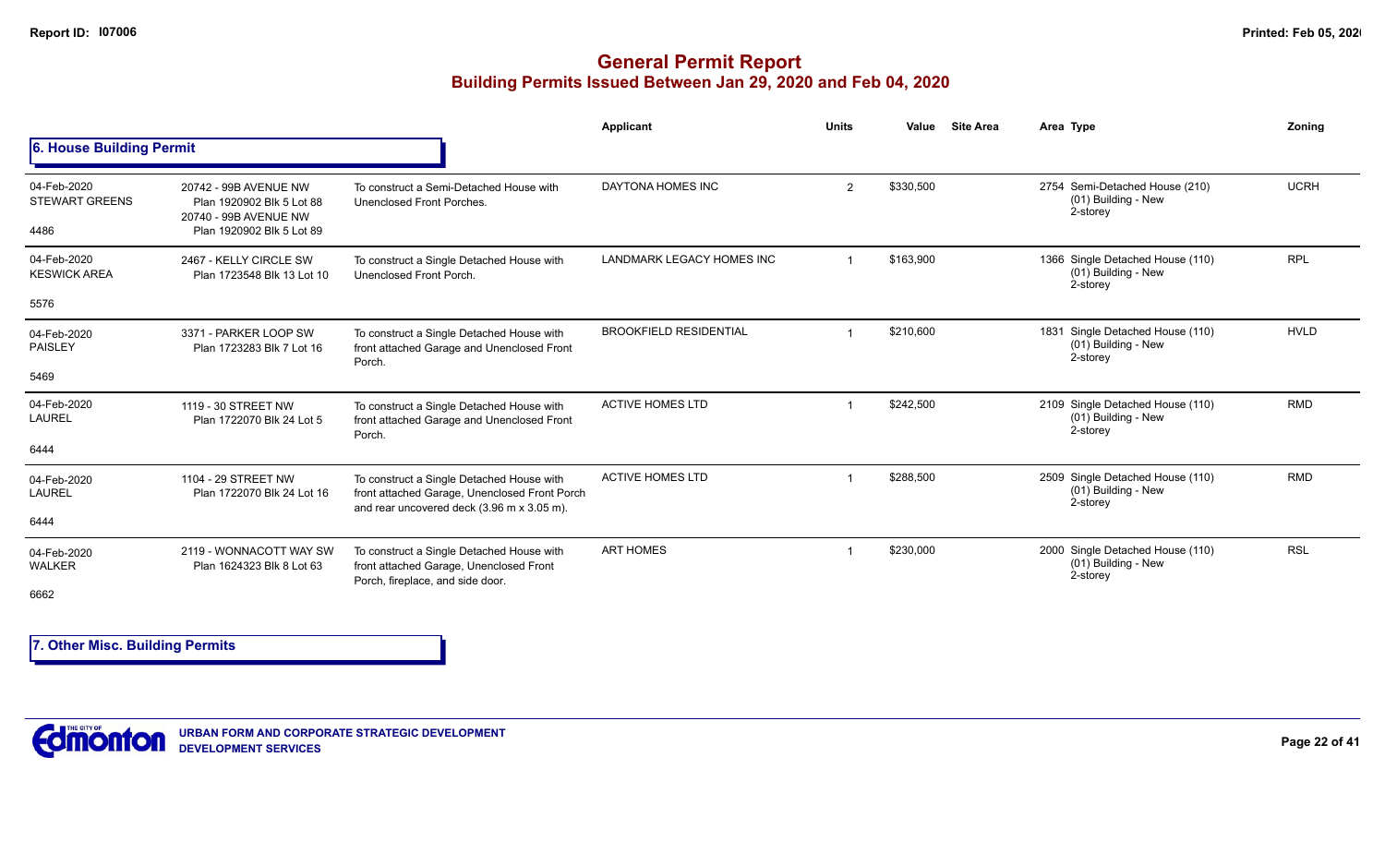### **General Permit Report Building Permits Issued Between Jan 29, 2020 and Feb 04, 2020**

|                                              |                                                                                                          |                                                                                                                                          | Applicant                     | <b>Units</b> | Value     | <b>Site Area</b> | Area Type                                                           | Zoning      |
|----------------------------------------------|----------------------------------------------------------------------------------------------------------|------------------------------------------------------------------------------------------------------------------------------------------|-------------------------------|--------------|-----------|------------------|---------------------------------------------------------------------|-------------|
| <b>6. House Building Permit</b>              |                                                                                                          |                                                                                                                                          |                               |              |           |                  |                                                                     |             |
| 04-Feb-2020<br><b>STEWART GREENS</b><br>4486 | 20742 - 99B AVENUE NW<br>Plan 1920902 Blk 5 Lot 88<br>20740 - 99B AVENUE NW<br>Plan 1920902 Blk 5 Lot 89 | To construct a Semi-Detached House with<br>Unenclosed Front Porches.                                                                     | DAYTONA HOMES INC             | 2            | \$330,500 |                  | 2754 Semi-Detached House (210)<br>(01) Building - New<br>2-storey   | <b>UCRH</b> |
| 04-Feb-2020<br><b>KESWICK AREA</b>           | 2467 - KELLY CIRCLE SW<br>Plan 1723548 Blk 13 Lot 10                                                     | To construct a Single Detached House with<br>Unenclosed Front Porch.                                                                     | LANDMARK LEGACY HOMES INC     |              | \$163,900 |                  | 1366 Single Detached House (110)<br>(01) Building - New<br>2-storey | <b>RPL</b>  |
| 5576                                         |                                                                                                          |                                                                                                                                          |                               |              |           |                  |                                                                     |             |
| 04-Feb-2020<br><b>PAISLEY</b>                | 3371 - PARKER LOOP SW<br>Plan 1723283 Blk 7 Lot 16                                                       | To construct a Single Detached House with<br>front attached Garage and Unenclosed Front<br>Porch.                                        | <b>BROOKFIELD RESIDENTIAL</b> |              | \$210.600 |                  | 1831 Single Detached House (110)<br>(01) Building - New<br>2-storey | <b>HVLD</b> |
| 5469                                         |                                                                                                          |                                                                                                                                          |                               |              |           |                  |                                                                     |             |
| 04-Feb-2020<br><b>LAUREL</b>                 | 1119 - 30 STREET NW<br>Plan 1722070 Blk 24 Lot 5                                                         | To construct a Single Detached House with<br>front attached Garage and Unenclosed Front<br>Porch.                                        | <b>ACTIVE HOMES LTD</b>       |              | \$242,500 |                  | 2109 Single Detached House (110)<br>(01) Building - New<br>2-storey | <b>RMD</b>  |
| 6444                                         |                                                                                                          |                                                                                                                                          |                               |              |           |                  |                                                                     |             |
| 04-Feb-2020<br><b>LAUREL</b>                 | 1104 - 29 STREET NW<br>Plan 1722070 Blk 24 Lot 16                                                        | To construct a Single Detached House with<br>front attached Garage, Unenclosed Front Porch<br>and rear uncovered deck (3.96 m x 3.05 m). | <b>ACTIVE HOMES LTD</b>       |              | \$288,500 |                  | 2509 Single Detached House (110)<br>(01) Building - New<br>2-storey | <b>RMD</b>  |
| 6444                                         |                                                                                                          |                                                                                                                                          |                               |              |           |                  |                                                                     |             |
| 04-Feb-2020<br><b>WALKER</b>                 | 2119 - WONNACOTT WAY SW<br>Plan 1624323 Blk 8 Lot 63                                                     | To construct a Single Detached House with<br>front attached Garage, Unenclosed Front<br>Porch, fireplace, and side door.                 | <b>ART HOMES</b>              |              | \$230,000 |                  | 2000 Single Detached House (110)<br>(01) Building - New<br>2-storey | <b>RSL</b>  |
| 6662                                         |                                                                                                          |                                                                                                                                          |                               |              |           |                  |                                                                     |             |

**7. Other Misc. Building Permits**

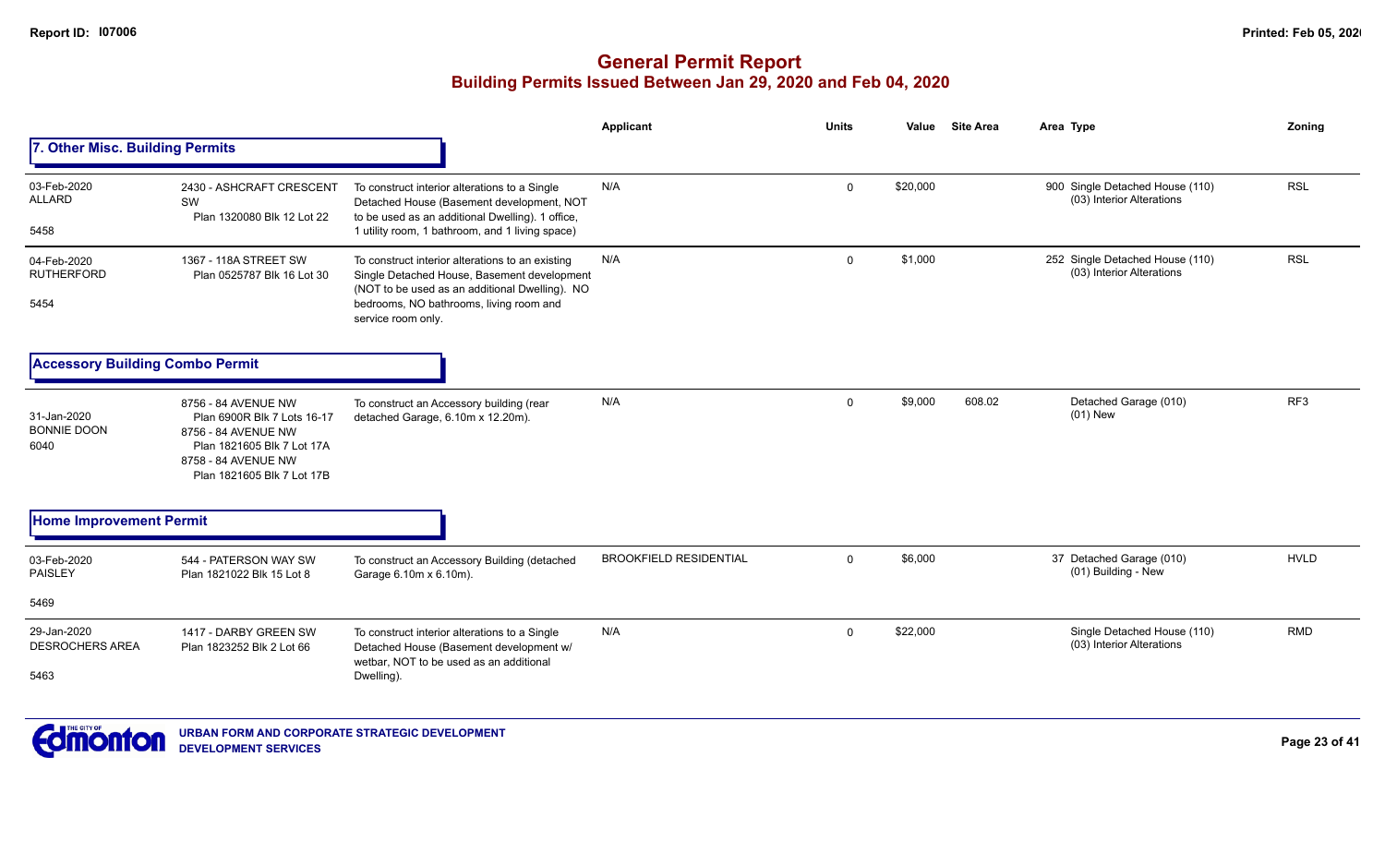|                                               |                                                                                                                                                              |                                                                                                                                                                                                                    | <b>Applicant</b>              | <b>Units</b> | Value    | <b>Site Area</b> | Area Type                                                    | Zoning      |
|-----------------------------------------------|--------------------------------------------------------------------------------------------------------------------------------------------------------------|--------------------------------------------------------------------------------------------------------------------------------------------------------------------------------------------------------------------|-------------------------------|--------------|----------|------------------|--------------------------------------------------------------|-------------|
| 7. Other Misc. Building Permits               |                                                                                                                                                              |                                                                                                                                                                                                                    |                               |              |          |                  |                                                              |             |
| 03-Feb-2020<br><b>ALLARD</b><br>5458          | 2430 - ASHCRAFT CRESCENT<br>SW<br>Plan 1320080 Blk 12 Lot 22                                                                                                 | To construct interior alterations to a Single<br>Detached House (Basement development, NOT<br>to be used as an additional Dwelling). 1 office,<br>1 utility room, 1 bathroom, and 1 living space)                  | N/A                           | $\Omega$     | \$20,000 |                  | 900 Single Detached House (110)<br>(03) Interior Alterations | <b>RSL</b>  |
| 04-Feb-2020<br><b>RUTHERFORD</b><br>5454      | 1367 - 118A STREET SW<br>Plan 0525787 Blk 16 Lot 30                                                                                                          | To construct interior alterations to an existing<br>Single Detached House, Basement development<br>(NOT to be used as an additional Dwelling). NO<br>bedrooms, NO bathrooms, living room and<br>service room only. | N/A                           | $\mathbf{0}$ | \$1,000  |                  | 252 Single Detached House (110)<br>(03) Interior Alterations | <b>RSL</b>  |
| <b>Accessory Building Combo Permit</b>        |                                                                                                                                                              |                                                                                                                                                                                                                    |                               |              |          |                  |                                                              |             |
| 31-Jan-2020<br><b>BONNIE DOON</b><br>6040     | 8756 - 84 AVENUE NW<br>Plan 6900R Blk 7 Lots 16-17<br>8756 - 84 AVENUE NW<br>Plan 1821605 Blk 7 Lot 17A<br>8758 - 84 AVENUE NW<br>Plan 1821605 Blk 7 Lot 17B | To construct an Accessory building (rear<br>detached Garage, 6.10m x 12.20m).                                                                                                                                      | N/A                           | $\mathbf{0}$ | \$9,000  | 608.02           | Detached Garage (010)<br>$(01)$ New                          | RF3         |
| <b>Home Improvement Permit</b>                |                                                                                                                                                              |                                                                                                                                                                                                                    |                               |              |          |                  |                                                              |             |
| 03-Feb-2020<br><b>PAISLEY</b>                 | 544 - PATERSON WAY SW<br>Plan 1821022 Blk 15 Lot 8                                                                                                           | To construct an Accessory Building (detached<br>Garage 6.10m x 6.10m).                                                                                                                                             | <b>BROOKFIELD RESIDENTIAL</b> | $\mathbf{0}$ | \$6,000  |                  | 37 Detached Garage (010)<br>(01) Building - New              | <b>HVLD</b> |
| 5469                                          |                                                                                                                                                              |                                                                                                                                                                                                                    |                               |              |          |                  |                                                              |             |
| 29-Jan-2020<br><b>DESROCHERS AREA</b><br>5463 | 1417 - DARBY GREEN SW<br>Plan 1823252 Blk 2 Lot 66                                                                                                           | To construct interior alterations to a Single<br>Detached House (Basement development w/<br>wetbar. NOT to be used as an additional<br>Dwelling).                                                                  | N/A                           | $\Omega$     | \$22,000 |                  | Single Detached House (110)<br>(03) Interior Alterations     | <b>RMD</b>  |
|                                               |                                                                                                                                                              |                                                                                                                                                                                                                    |                               |              |          |                  |                                                              |             |

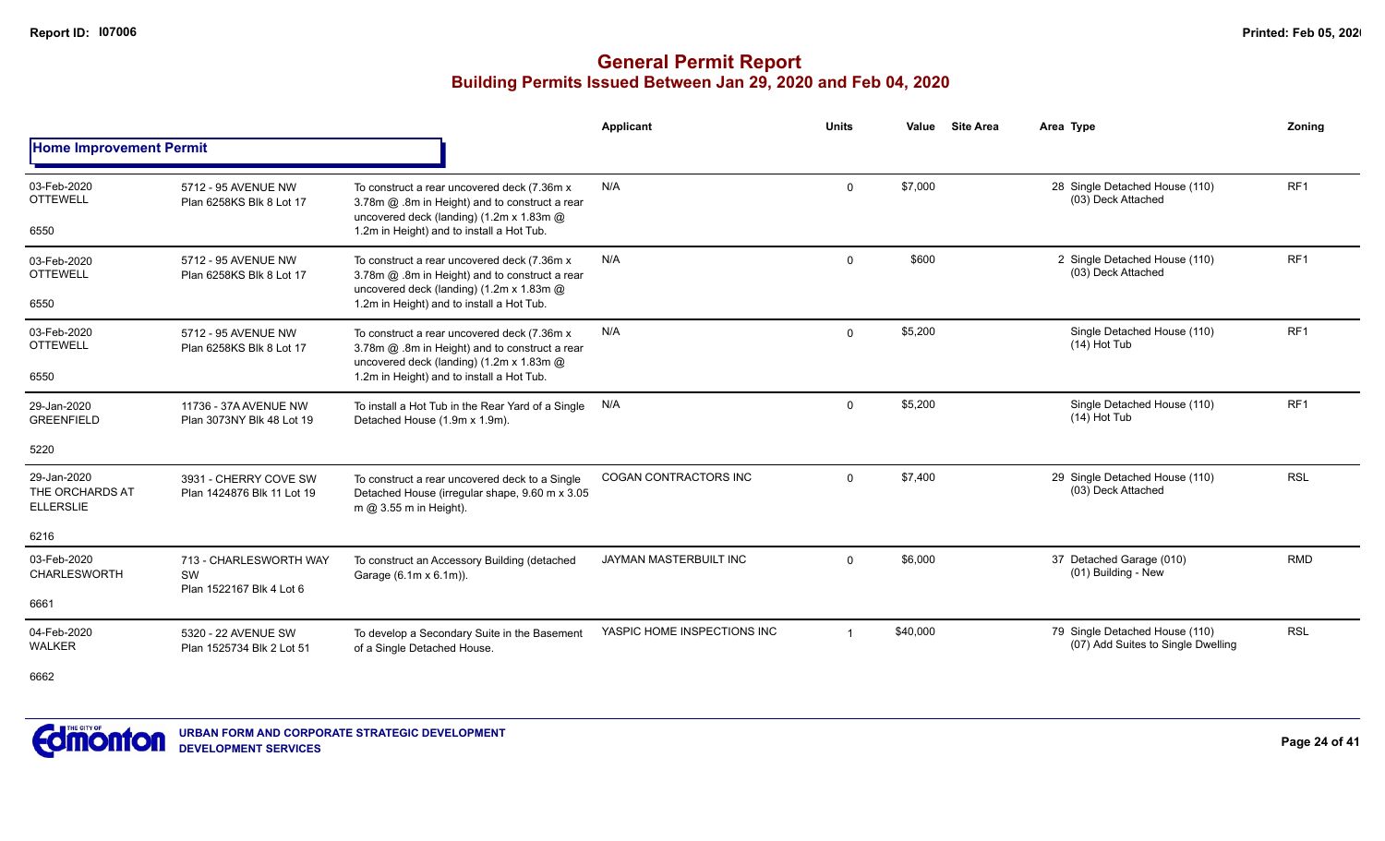### **General Permit Report Building Permits Issued Between Jan 29, 2020 and Feb 04, 2020**

|                                                    |                                                          |                                                                                                                                            | <b>Applicant</b>             | <b>Units</b> | Value    | <b>Site Area</b> | Area Type                                                            | Zoning          |
|----------------------------------------------------|----------------------------------------------------------|--------------------------------------------------------------------------------------------------------------------------------------------|------------------------------|--------------|----------|------------------|----------------------------------------------------------------------|-----------------|
| <b>Home Improvement Permit</b>                     |                                                          |                                                                                                                                            |                              |              |          |                  |                                                                      |                 |
| 03-Feb-2020<br><b>OTTEWELL</b>                     | 5712 - 95 AVENUE NW<br>Plan 6258KS Blk 8 Lot 17          | To construct a rear uncovered deck (7.36m x)<br>3.78m @ .8m in Height) and to construct a rear<br>uncovered deck (landing) (1.2m x 1.83m @ | N/A                          | $\Omega$     | \$7,000  |                  | 28 Single Detached House (110)<br>(03) Deck Attached                 | RF <sub>1</sub> |
| 6550                                               |                                                          | 1.2m in Height) and to install a Hot Tub.                                                                                                  |                              |              |          |                  |                                                                      |                 |
| 03-Feb-2020<br><b>OTTEWELL</b>                     | 5712 - 95 AVENUE NW<br>Plan 6258KS Blk 8 Lot 17          | To construct a rear uncovered deck (7.36m x)<br>3.78m @ .8m in Height) and to construct a rear<br>uncovered deck (landing) (1.2m x 1.83m @ | N/A                          | $\Omega$     | \$600    |                  | 2 Single Detached House (110)<br>(03) Deck Attached                  | RF <sub>1</sub> |
| 6550                                               |                                                          | 1.2m in Height) and to install a Hot Tub.                                                                                                  |                              |              |          |                  |                                                                      |                 |
| 03-Feb-2020<br><b>OTTEWELL</b>                     | 5712 - 95 AVENUE NW<br>Plan 6258KS Blk 8 Lot 17          | To construct a rear uncovered deck (7.36m x)<br>3.78m @ .8m in Height) and to construct a rear<br>uncovered deck (landing) (1.2m x 1.83m @ | N/A                          | $\Omega$     | \$5,200  |                  | Single Detached House (110)<br>$(14)$ Hot Tub                        | RF1             |
| 6550                                               |                                                          | 1.2m in Height) and to install a Hot Tub.                                                                                                  |                              |              |          |                  |                                                                      |                 |
| 29-Jan-2020<br><b>GREENFIELD</b>                   | 11736 - 37A AVENUE NW<br>Plan 3073NY Blk 48 Lot 19       | To install a Hot Tub in the Rear Yard of a Single<br>Detached House (1.9m x 1.9m).                                                         | N/A                          | $\mathbf 0$  | \$5,200  |                  | Single Detached House (110)<br>(14) Hot Tub                          | RF <sub>1</sub> |
| 5220                                               |                                                          |                                                                                                                                            |                              |              |          |                  |                                                                      |                 |
| 29-Jan-2020<br>THE ORCHARDS AT<br><b>ELLERSLIE</b> | 3931 - CHERRY COVE SW<br>Plan 1424876 Blk 11 Lot 19      | To construct a rear uncovered deck to a Single<br>Detached House (irregular shape, 9.60 m x 3.05<br>m $@3.55$ m in Height).                | <b>COGAN CONTRACTORS INC</b> | $\Omega$     | \$7.400  |                  | 29 Single Detached House (110)<br>(03) Deck Attached                 | <b>RSL</b>      |
| 6216                                               |                                                          |                                                                                                                                            |                              |              |          |                  |                                                                      |                 |
| 03-Feb-2020<br>CHARLESWORTH                        | 713 - CHARLESWORTH WAY<br>SW<br>Plan 1522167 Blk 4 Lot 6 | To construct an Accessory Building (detached<br>Garage (6.1m x 6.1m)).                                                                     | JAYMAN MASTERBUILT INC       | $\Omega$     | \$6,000  |                  | 37 Detached Garage (010)<br>(01) Building - New                      | <b>RMD</b>      |
| 6661                                               |                                                          |                                                                                                                                            |                              |              |          |                  |                                                                      |                 |
| 04-Feb-2020<br><b>WALKER</b>                       | 5320 - 22 AVENUE SW<br>Plan 1525734 Blk 2 Lot 51         | To develop a Secondary Suite in the Basement<br>of a Single Detached House.                                                                | YASPIC HOME INSPECTIONS INC  | -1           | \$40,000 |                  | 79 Single Detached House (110)<br>(07) Add Suites to Single Dwelling | <b>RSL</b>      |

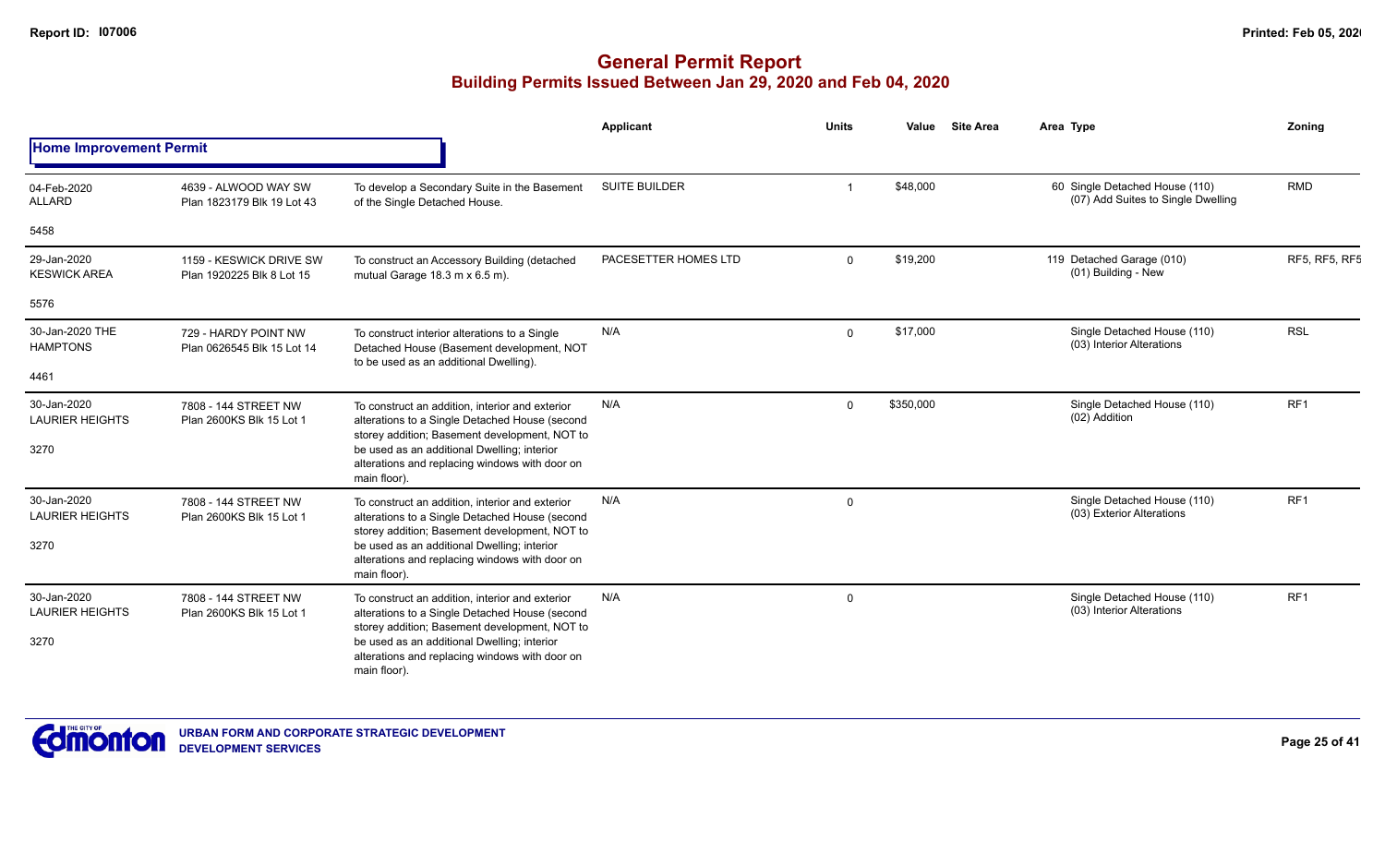|                                       |                                                      |                                                                                                                                                                | Applicant            | <b>Units</b> | Value     | <b>Site Area</b> | Area Type                                                            | Zonina               |
|---------------------------------------|------------------------------------------------------|----------------------------------------------------------------------------------------------------------------------------------------------------------------|----------------------|--------------|-----------|------------------|----------------------------------------------------------------------|----------------------|
| <b>Home Improvement Permit</b>        |                                                      |                                                                                                                                                                |                      |              |           |                  |                                                                      |                      |
| 04-Feb-2020<br><b>ALLARD</b>          | 4639 - ALWOOD WAY SW<br>Plan 1823179 Blk 19 Lot 43   | To develop a Secondary Suite in the Basement<br>of the Single Detached House.                                                                                  | <b>SUITE BUILDER</b> |              | \$48,000  |                  | 60 Single Detached House (110)<br>(07) Add Suites to Single Dwelling | <b>RMD</b>           |
| 5458                                  |                                                      |                                                                                                                                                                |                      |              |           |                  |                                                                      |                      |
| 29-Jan-2020<br><b>KESWICK AREA</b>    | 1159 - KESWICK DRIVE SW<br>Plan 1920225 Blk 8 Lot 15 | To construct an Accessory Building (detached<br>mutual Garage 18.3 m x 6.5 m).                                                                                 | PACESETTER HOMES LTD | $\Omega$     | \$19,200  |                  | 119 Detached Garage (010)<br>(01) Building - New                     | <b>RF5, RF5, RF5</b> |
| 5576                                  |                                                      |                                                                                                                                                                |                      |              |           |                  |                                                                      |                      |
| 30-Jan-2020 THE<br><b>HAMPTONS</b>    | 729 - HARDY POINT NW<br>Plan 0626545 Blk 15 Lot 14   | To construct interior alterations to a Single<br>Detached House (Basement development, NOT<br>to be used as an additional Dwelling).                           | N/A                  | $\mathbf 0$  | \$17,000  |                  | Single Detached House (110)<br>(03) Interior Alterations             | <b>RSL</b>           |
| 4461                                  |                                                      |                                                                                                                                                                |                      |              |           |                  |                                                                      |                      |
| 30-Jan-2020<br><b>LAURIER HEIGHTS</b> | 7808 - 144 STREET NW<br>Plan 2600KS Blk 15 Lot 1     | To construct an addition, interior and exterior<br>alterations to a Single Detached House (second<br>storey addition; Basement development, NOT to             | N/A                  | $\Omega$     | \$350,000 |                  | Single Detached House (110)<br>(02) Addition                         | RF <sub>1</sub>      |
| 3270                                  |                                                      | be used as an additional Dwelling; interior<br>alterations and replacing windows with door on<br>main floor).                                                  |                      |              |           |                  |                                                                      |                      |
| 30-Jan-2020<br><b>LAURIER HEIGHTS</b> | 7808 - 144 STREET NW<br>Plan 2600KS Blk 15 Lot 1     | To construct an addition, interior and exterior<br>alterations to a Single Detached House (second<br>storey addition; Basement development, NOT to             | N/A                  | $\mathbf 0$  |           |                  | Single Detached House (110)<br>(03) Exterior Alterations             | RF1                  |
| 3270                                  |                                                      | be used as an additional Dwelling; interior<br>alterations and replacing windows with door on<br>main floor).                                                  |                      |              |           |                  |                                                                      |                      |
| 30-Jan-2020<br><b>LAURIER HEIGHTS</b> | 7808 - 144 STREET NW<br>Plan 2600KS Blk 15 Lot 1     | To construct an addition, interior and exterior<br>alterations to a Single Detached House (second                                                              | N/A                  | 0            |           |                  | Single Detached House (110)<br>(03) Interior Alterations             | RF1                  |
| 3270                                  |                                                      | storey addition; Basement development, NOT to<br>be used as an additional Dwelling; interior<br>alterations and replacing windows with door on<br>main floor). |                      |              |           |                  |                                                                      |                      |

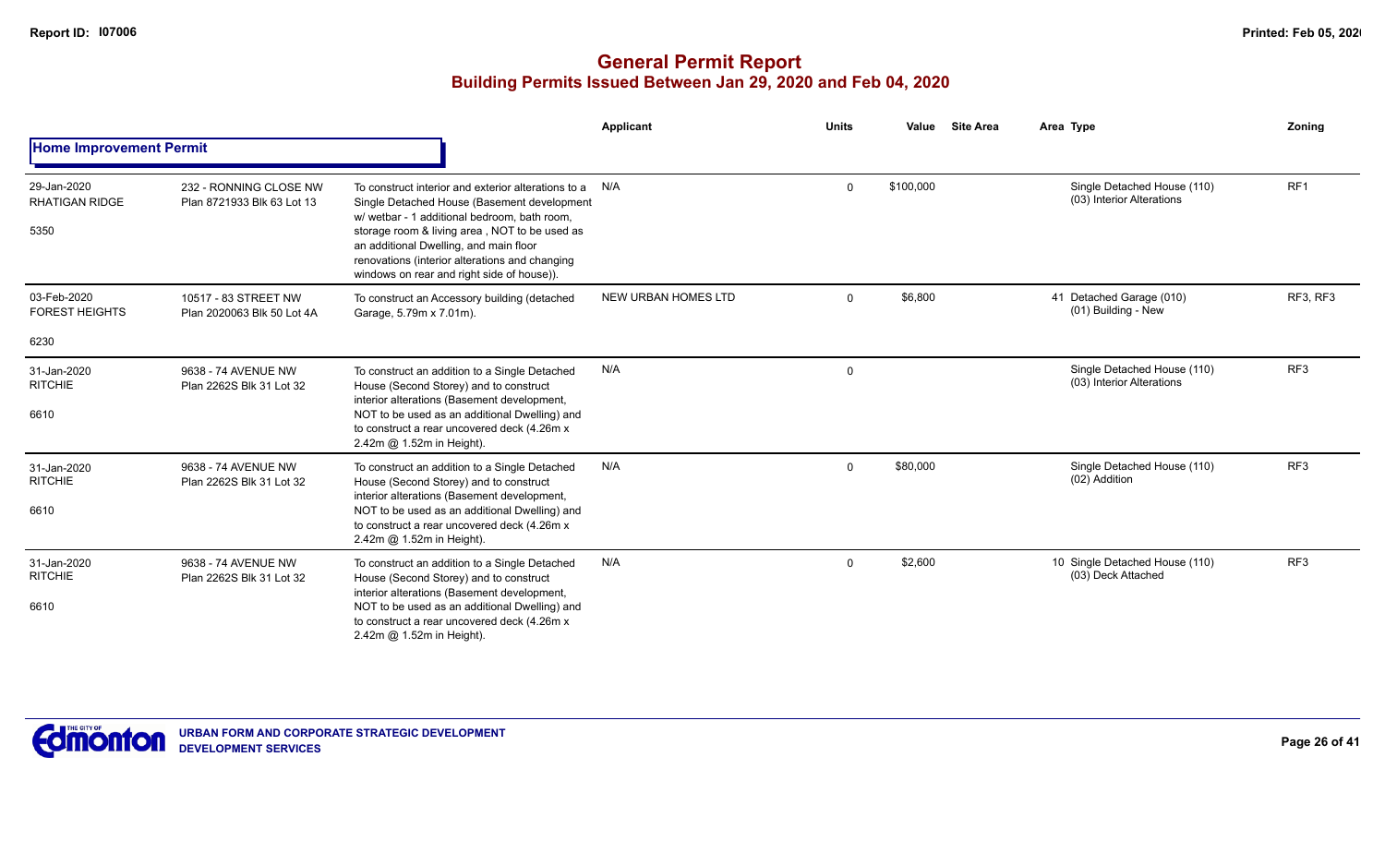|                                              |                                                      |                                                                                                                                                                                                                                                                                                                                               | <b>Applicant</b>           | <b>Units</b> | Value     | <b>Site Area</b> | Area Type                                                | Zoning          |
|----------------------------------------------|------------------------------------------------------|-----------------------------------------------------------------------------------------------------------------------------------------------------------------------------------------------------------------------------------------------------------------------------------------------------------------------------------------------|----------------------------|--------------|-----------|------------------|----------------------------------------------------------|-----------------|
| <b>Home Improvement Permit</b>               |                                                      |                                                                                                                                                                                                                                                                                                                                               |                            |              |           |                  |                                                          |                 |
| 29-Jan-2020<br><b>RHATIGAN RIDGE</b><br>5350 | 232 - RONNING CLOSE NW<br>Plan 8721933 Blk 63 Lot 13 | To construct interior and exterior alterations to a<br>Single Detached House (Basement development<br>w/ wetbar - 1 additional bedroom, bath room,<br>storage room & living area, NOT to be used as<br>an additional Dwelling, and main floor<br>renovations (interior alterations and changing<br>windows on rear and right side of house)). | N/A                        | $\mathbf 0$  | \$100,000 |                  | Single Detached House (110)<br>(03) Interior Alterations | RF <sub>1</sub> |
| 03-Feb-2020<br><b>FOREST HEIGHTS</b><br>6230 | 10517 - 83 STREET NW<br>Plan 2020063 Blk 50 Lot 4A   | To construct an Accessory building (detached<br>Garage, 5.79m x 7.01m).                                                                                                                                                                                                                                                                       | <b>NEW URBAN HOMES LTD</b> | $\mathbf 0$  | \$6,800   |                  | 41 Detached Garage (010)<br>(01) Building - New          | RF3, RF3        |
| 31-Jan-2020<br><b>RITCHIE</b><br>6610        | 9638 - 74 AVENUE NW<br>Plan 2262S Blk 31 Lot 32      | To construct an addition to a Single Detached<br>House (Second Storey) and to construct<br>interior alterations (Basement development,<br>NOT to be used as an additional Dwelling) and<br>to construct a rear uncovered deck (4.26m x<br>2.42m @ 1.52m in Height).                                                                           | N/A                        | 0            |           |                  | Single Detached House (110)<br>(03) Interior Alterations | RF <sub>3</sub> |
| 31-Jan-2020<br><b>RITCHIE</b><br>6610        | 9638 - 74 AVENUE NW<br>Plan 2262S Blk 31 Lot 32      | To construct an addition to a Single Detached<br>House (Second Storey) and to construct<br>interior alterations (Basement development,<br>NOT to be used as an additional Dwelling) and<br>to construct a rear uncovered deck (4.26m x<br>2.42m @ 1.52m in Height).                                                                           | N/A                        | $\mathbf 0$  | \$80,000  |                  | Single Detached House (110)<br>(02) Addition             | RF <sub>3</sub> |
| 31-Jan-2020<br><b>RITCHIE</b><br>6610        | 9638 - 74 AVENUE NW<br>Plan 2262S Blk 31 Lot 32      | To construct an addition to a Single Detached<br>House (Second Storey) and to construct<br>interior alterations (Basement development,<br>NOT to be used as an additional Dwelling) and<br>to construct a rear uncovered deck (4.26m x<br>2.42m @ 1.52m in Height).                                                                           | N/A                        | $\mathbf 0$  | \$2,600   |                  | 10 Single Detached House (110)<br>(03) Deck Attached     | RF <sub>3</sub> |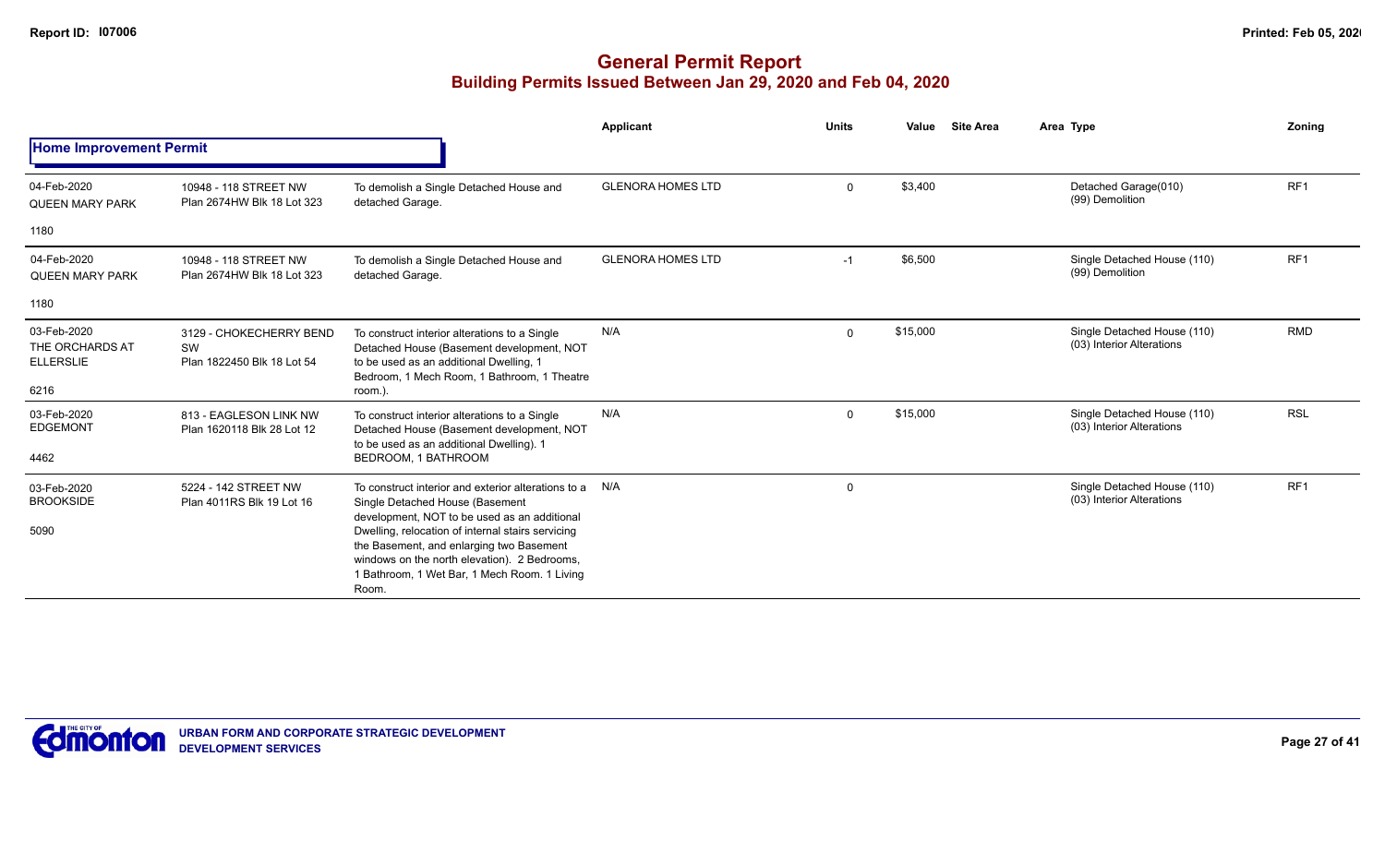|                                                            |                                                             |                                                                                                                                                                                                                                                                                                                                                      | Applicant                | <b>Units</b> | Value    | <b>Site Area</b> | Area Type                                                | Zonina          |
|------------------------------------------------------------|-------------------------------------------------------------|------------------------------------------------------------------------------------------------------------------------------------------------------------------------------------------------------------------------------------------------------------------------------------------------------------------------------------------------------|--------------------------|--------------|----------|------------------|----------------------------------------------------------|-----------------|
| <b>Home Improvement Permit</b>                             |                                                             |                                                                                                                                                                                                                                                                                                                                                      |                          |              |          |                  |                                                          |                 |
| 04-Feb-2020<br><b>QUEEN MARY PARK</b>                      | 10948 - 118 STREET NW<br>Plan 2674HW Blk 18 Lot 323         | To demolish a Single Detached House and<br>detached Garage.                                                                                                                                                                                                                                                                                          | <b>GLENORA HOMES LTD</b> | 0            | \$3,400  |                  | Detached Garage(010)<br>(99) Demolition                  | RF <sub>1</sub> |
| 1180                                                       |                                                             |                                                                                                                                                                                                                                                                                                                                                      |                          |              |          |                  |                                                          |                 |
| 04-Feb-2020<br><b>QUEEN MARY PARK</b>                      | 10948 - 118 STREET NW<br>Plan 2674HW Blk 18 Lot 323         | To demolish a Single Detached House and<br>detached Garage.                                                                                                                                                                                                                                                                                          | <b>GLENORA HOMES LTD</b> | $-1$         | \$6,500  |                  | Single Detached House (110)<br>(99) Demolition           | RF <sub>1</sub> |
| 1180                                                       |                                                             |                                                                                                                                                                                                                                                                                                                                                      |                          |              |          |                  |                                                          |                 |
| 03-Feb-2020<br>THE ORCHARDS AT<br><b>ELLERSLIE</b><br>6216 | 3129 - CHOKECHERRY BEND<br>SW<br>Plan 1822450 Blk 18 Lot 54 | To construct interior alterations to a Single<br>Detached House (Basement development, NOT<br>to be used as an additional Dwelling, 1<br>Bedroom, 1 Mech Room, 1 Bathroom, 1 Theatre<br>room.).                                                                                                                                                      | N/A                      | $\Omega$     | \$15,000 |                  | Single Detached House (110)<br>(03) Interior Alterations | <b>RMD</b>      |
| 03-Feb-2020<br><b>EDGEMONT</b><br>4462                     | 813 - EAGLESON LINK NW<br>Plan 1620118 Blk 28 Lot 12        | To construct interior alterations to a Single<br>Detached House (Basement development, NOT<br>to be used as an additional Dwelling). 1<br>BEDROOM, 1 BATHROOM                                                                                                                                                                                        | N/A                      | 0            | \$15,000 |                  | Single Detached House (110)<br>(03) Interior Alterations | <b>RSL</b>      |
| 03-Feb-2020<br><b>BROOKSIDE</b><br>5090                    | 5224 - 142 STREET NW<br>Plan 4011RS Blk 19 Lot 16           | To construct interior and exterior alterations to a N/A<br>Single Detached House (Basement<br>development, NOT to be used as an additional<br>Dwelling, relocation of internal stairs servicing<br>the Basement, and enlarging two Basement<br>windows on the north elevation). 2 Bedrooms,<br>1 Bathroom, 1 Wet Bar, 1 Mech Room. 1 Living<br>Room. |                          | 0            |          |                  | Single Detached House (110)<br>(03) Interior Alterations | RF <sub>1</sub> |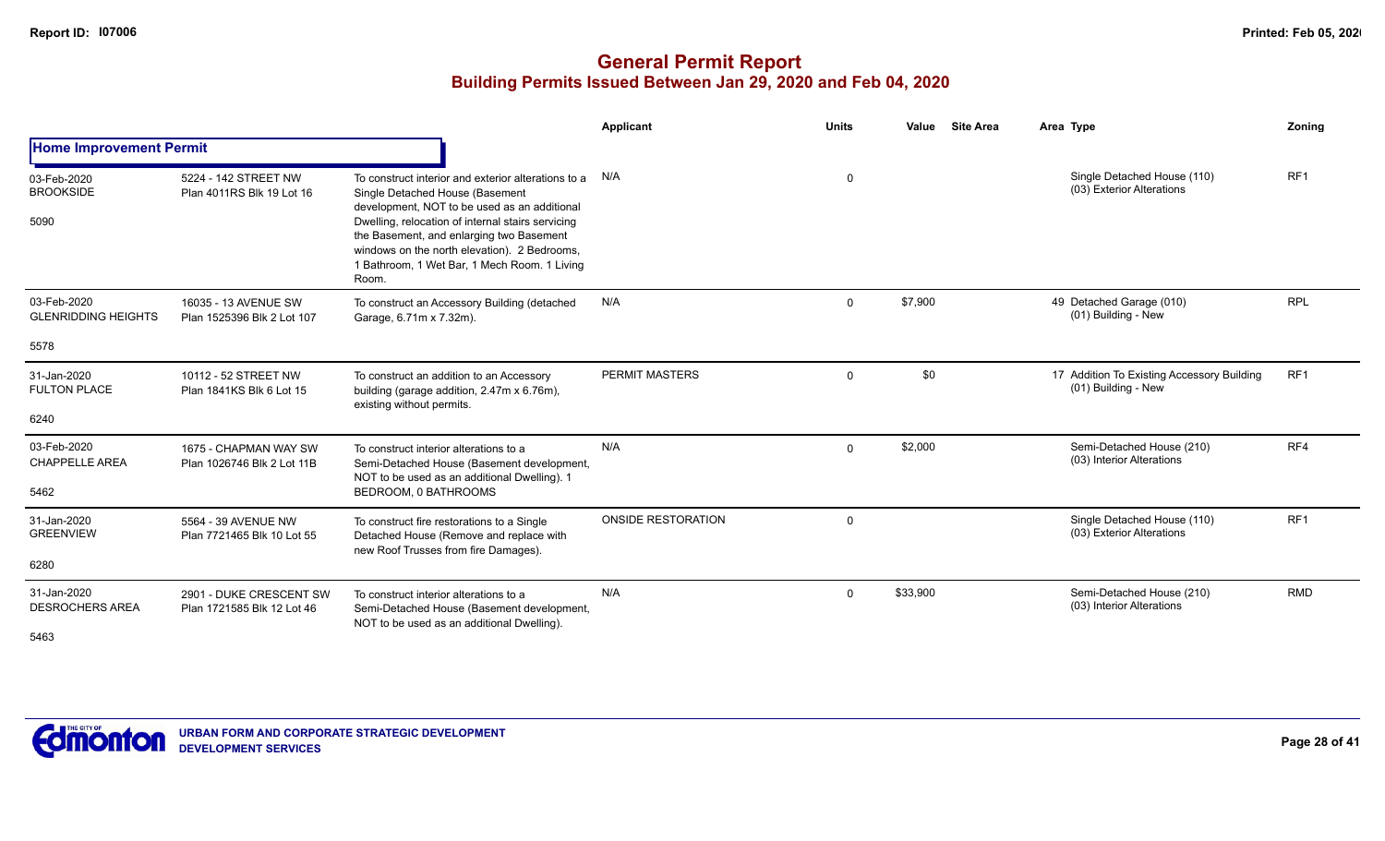|                                               |                                                       |                                                                                                                                                                                                                                                                                                                                                  | Applicant                 | <b>Units</b> | Value    | <b>Site Area</b> | Area Type                                                         | Zoning          |
|-----------------------------------------------|-------------------------------------------------------|--------------------------------------------------------------------------------------------------------------------------------------------------------------------------------------------------------------------------------------------------------------------------------------------------------------------------------------------------|---------------------------|--------------|----------|------------------|-------------------------------------------------------------------|-----------------|
| <b>Home Improvement Permit</b>                |                                                       |                                                                                                                                                                                                                                                                                                                                                  |                           |              |          |                  |                                                                   |                 |
| 03-Feb-2020<br><b>BROOKSIDE</b><br>5090       | 5224 - 142 STREET NW<br>Plan 4011RS Blk 19 Lot 16     | To construct interior and exterior alterations to a<br>Single Detached House (Basement<br>development, NOT to be used as an additional<br>Dwelling, relocation of internal stairs servicing<br>the Basement, and enlarging two Basement<br>windows on the north elevation). 2 Bedrooms,<br>1 Bathroom, 1 Wet Bar, 1 Mech Room. 1 Living<br>Room. | N/A                       | $\mathbf 0$  |          |                  | Single Detached House (110)<br>(03) Exterior Alterations          | RF <sub>1</sub> |
| 03-Feb-2020<br><b>GLENRIDDING HEIGHTS</b>     | 16035 - 13 AVENUE SW<br>Plan 1525396 Blk 2 Lot 107    | To construct an Accessory Building (detached<br>Garage, 6.71m x 7.32m).                                                                                                                                                                                                                                                                          | N/A                       | $\Omega$     | \$7,900  |                  | 49 Detached Garage (010)<br>(01) Building - New                   | <b>RPL</b>      |
| 5578                                          |                                                       |                                                                                                                                                                                                                                                                                                                                                  |                           |              |          |                  |                                                                   |                 |
| 31-Jan-2020<br><b>FULTON PLACE</b>            | 10112 - 52 STREET NW<br>Plan 1841KS Blk 6 Lot 15      | To construct an addition to an Accessory<br>building (garage addition, 2.47m x 6.76m),<br>existing without permits.                                                                                                                                                                                                                              | PERMIT MASTERS            | $\mathbf 0$  | \$0      |                  | 17 Addition To Existing Accessory Building<br>(01) Building - New | RF <sub>1</sub> |
| 6240                                          |                                                       |                                                                                                                                                                                                                                                                                                                                                  |                           |              |          |                  |                                                                   |                 |
| 03-Feb-2020<br><b>CHAPPELLE AREA</b>          | 1675 - CHAPMAN WAY SW<br>Plan 1026746 Blk 2 Lot 11B   | To construct interior alterations to a<br>Semi-Detached House (Basement development,<br>NOT to be used as an additional Dwelling). 1                                                                                                                                                                                                             | N/A                       | $\Omega$     | \$2,000  |                  | Semi-Detached House (210)<br>(03) Interior Alterations            | RF4             |
| 5462                                          |                                                       | BEDROOM, 0 BATHROOMS                                                                                                                                                                                                                                                                                                                             |                           |              |          |                  |                                                                   |                 |
| 31-Jan-2020<br><b>GREENVIEW</b>               | 5564 - 39 AVENUE NW<br>Plan 7721465 Blk 10 Lot 55     | To construct fire restorations to a Single<br>Detached House (Remove and replace with<br>new Roof Trusses from fire Damages).                                                                                                                                                                                                                    | <b>ONSIDE RESTORATION</b> | $\Omega$     |          |                  | Single Detached House (110)<br>(03) Exterior Alterations          | RF <sub>1</sub> |
| 6280                                          |                                                       |                                                                                                                                                                                                                                                                                                                                                  |                           |              |          |                  |                                                                   |                 |
| 31-Jan-2020<br><b>DESROCHERS AREA</b><br>5463 | 2901 - DUKE CRESCENT SW<br>Plan 1721585 Blk 12 Lot 46 | To construct interior alterations to a<br>Semi-Detached House (Basement development,<br>NOT to be used as an additional Dwelling).                                                                                                                                                                                                               | N/A                       | $\Omega$     | \$33,900 |                  | Semi-Detached House (210)<br>(03) Interior Alterations            | <b>RMD</b>      |

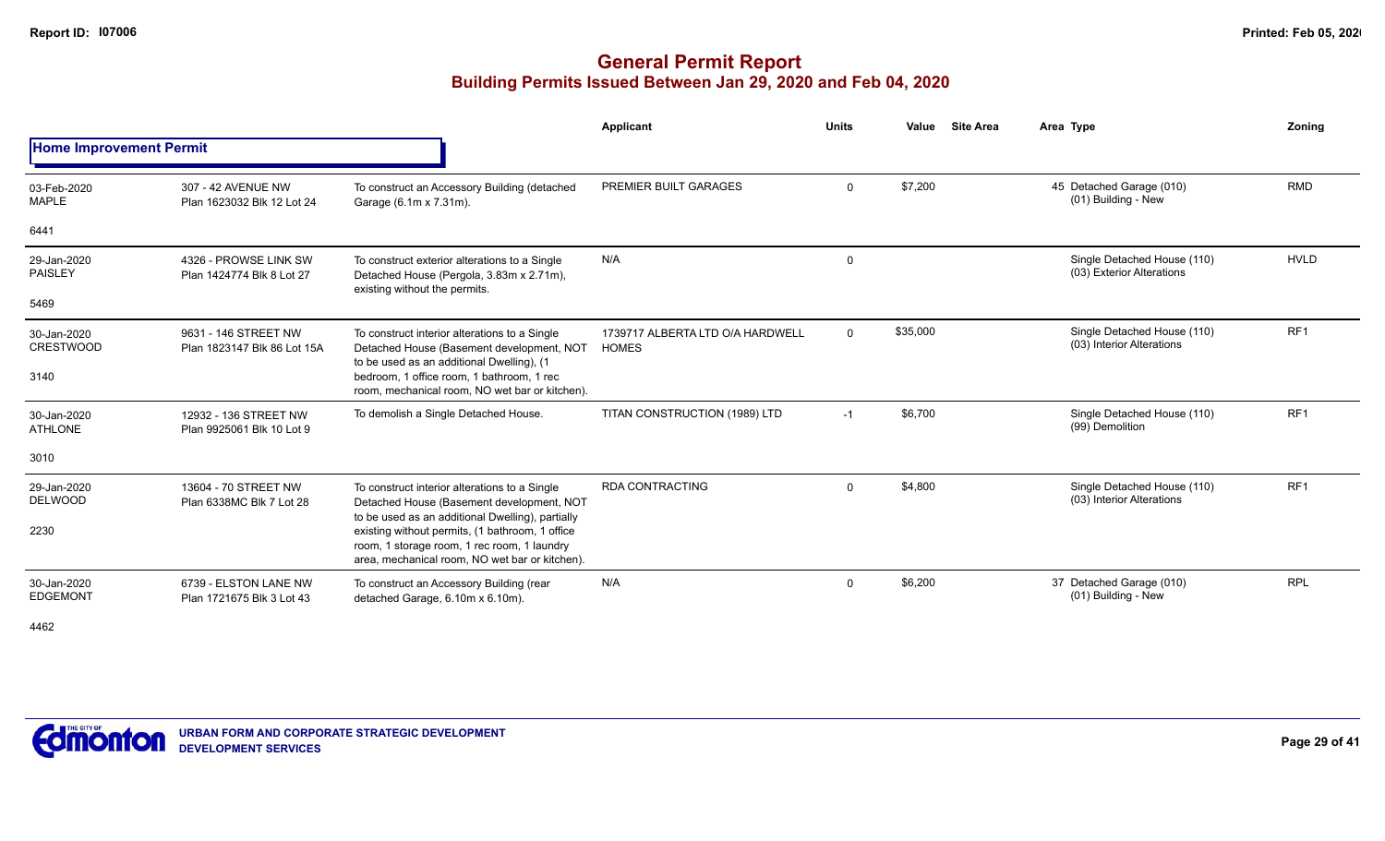## **General Permit Report Building Permits Issued Between Jan 29, 2020 and Feb 04, 2020**

|                                 |                                                     |                                                                                                                                                                                                      | <b>Applicant</b>                                 | <b>Units</b> | Value    | <b>Site Area</b> | Area Type                                                | Zoning          |
|---------------------------------|-----------------------------------------------------|------------------------------------------------------------------------------------------------------------------------------------------------------------------------------------------------------|--------------------------------------------------|--------------|----------|------------------|----------------------------------------------------------|-----------------|
| <b>Home Improvement Permit</b>  |                                                     |                                                                                                                                                                                                      |                                                  |              |          |                  |                                                          |                 |
| 03-Feb-2020<br><b>MAPLE</b>     | 307 - 42 AVENUE NW<br>Plan 1623032 Blk 12 Lot 24    | To construct an Accessory Building (detached<br>Garage (6.1m x 7.31m).                                                                                                                               | PREMIER BUILT GARAGES                            | $\mathbf{0}$ | \$7,200  |                  | 45 Detached Garage (010)<br>(01) Building - New          | <b>RMD</b>      |
| 6441                            |                                                     |                                                                                                                                                                                                      |                                                  |              |          |                  |                                                          |                 |
| 29-Jan-2020<br><b>PAISLEY</b>   | 4326 - PROWSE LINK SW<br>Plan 1424774 Blk 8 Lot 27  | To construct exterior alterations to a Single<br>Detached House (Pergola, 3.83m x 2.71m),<br>existing without the permits.                                                                           | N/A                                              | 0            |          |                  | Single Detached House (110)<br>(03) Exterior Alterations | <b>HVLD</b>     |
| 5469                            |                                                     |                                                                                                                                                                                                      |                                                  |              |          |                  |                                                          |                 |
| 30-Jan-2020<br><b>CRESTWOOD</b> | 9631 - 146 STREET NW<br>Plan 1823147 Blk 86 Lot 15A | To construct interior alterations to a Single<br>Detached House (Basement development, NOT<br>to be used as an additional Dwelling), (1                                                              | 1739717 ALBERTA LTD O/A HARDWELL<br><b>HOMES</b> | $\mathbf 0$  | \$35,000 |                  | Single Detached House (110)<br>(03) Interior Alterations | RF <sub>1</sub> |
| 3140                            |                                                     | bedroom, 1 office room, 1 bathroom, 1 rec<br>room, mechanical room, NO wet bar or kitchen).                                                                                                          |                                                  |              |          |                  |                                                          |                 |
| 30-Jan-2020<br><b>ATHLONE</b>   | 12932 - 136 STREET NW<br>Plan 9925061 Blk 10 Lot 9  | To demolish a Single Detached House.                                                                                                                                                                 | TITAN CONSTRUCTION (1989) LTD                    | $-1$         | \$6,700  |                  | Single Detached House (110)<br>(99) Demolition           | RF <sub>1</sub> |
| 3010                            |                                                     |                                                                                                                                                                                                      |                                                  |              |          |                  |                                                          |                 |
| 29-Jan-2020<br><b>DELWOOD</b>   | 13604 - 70 STREET NW<br>Plan 6338MC Blk 7 Lot 28    | To construct interior alterations to a Single<br>Detached House (Basement development, NOT                                                                                                           | <b>RDA CONTRACTING</b>                           | 0            | \$4,800  |                  | Single Detached House (110)<br>(03) Interior Alterations | RF <sub>1</sub> |
| 2230                            |                                                     | to be used as an additional Dwelling), partially<br>existing without permits, (1 bathroom, 1 office<br>room, 1 storage room, 1 rec room, 1 laundry<br>area, mechanical room. NO wet bar or kitchen). |                                                  |              |          |                  |                                                          |                 |
| 30-Jan-2020<br><b>EDGEMONT</b>  | 6739 - ELSTON LANE NW<br>Plan 1721675 Blk 3 Lot 43  | To construct an Accessory Building (rear<br>detached Garage, 6.10m x 6.10m).                                                                                                                         | N/A                                              | $\mathbf 0$  | \$6,200  |                  | 37 Detached Garage (010)<br>(01) Building - New          | <b>RPL</b>      |
| $\overline{\phantom{a}}$        |                                                     |                                                                                                                                                                                                      |                                                  |              |          |                  |                                                          |                 |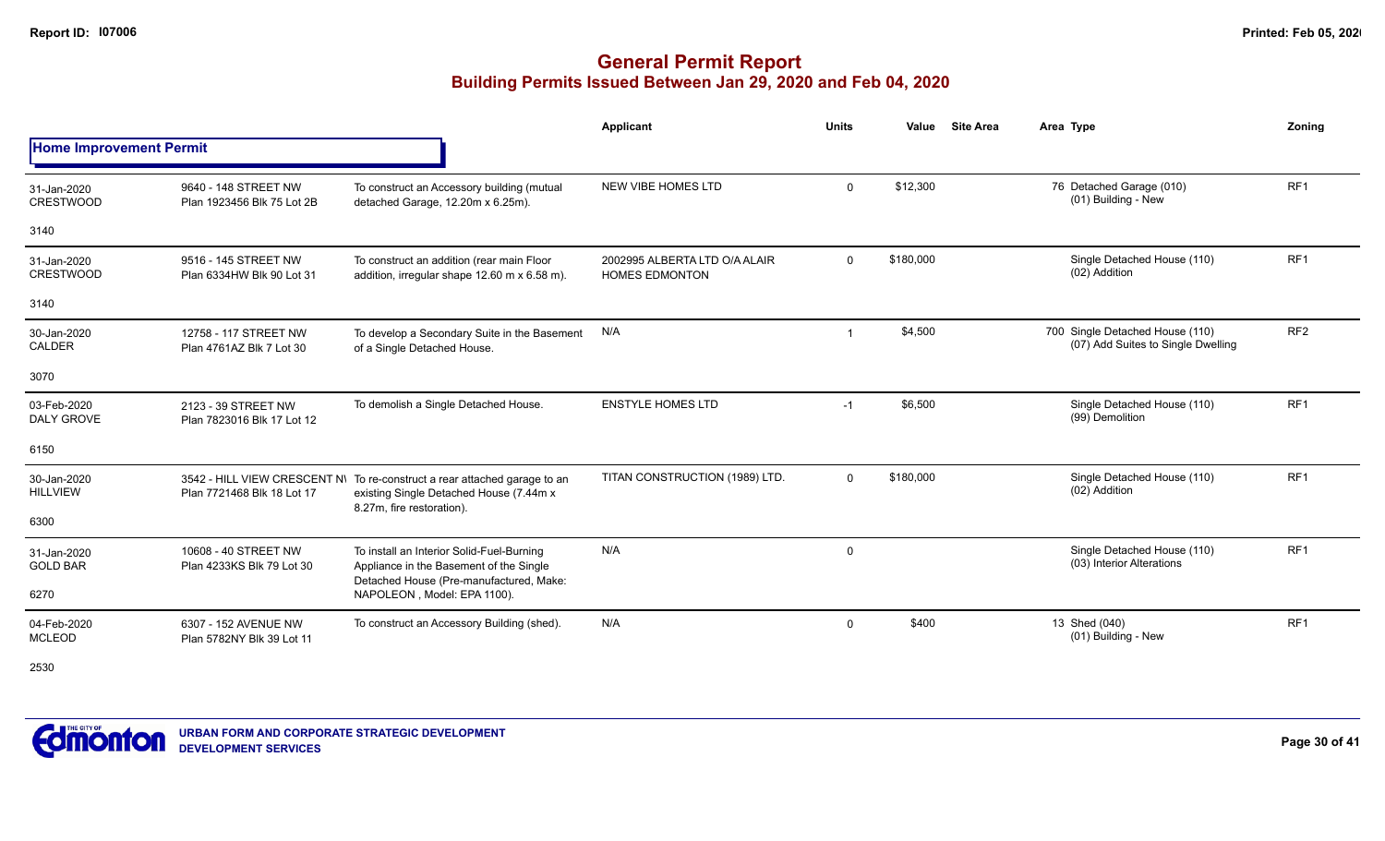## **General Permit Report Building Permits Issued Between Jan 29, 2020 and Feb 04, 2020**

|                                  |                                                    |                                                                                                                                                   | Applicant                                              | <b>Units</b> | Value     | <b>Site Area</b> | Area Type                                                             | Zonina          |
|----------------------------------|----------------------------------------------------|---------------------------------------------------------------------------------------------------------------------------------------------------|--------------------------------------------------------|--------------|-----------|------------------|-----------------------------------------------------------------------|-----------------|
| <b>Home Improvement Permit</b>   |                                                    |                                                                                                                                                   |                                                        |              |           |                  |                                                                       |                 |
| 31-Jan-2020<br><b>CRESTWOOD</b>  | 9640 - 148 STREET NW<br>Plan 1923456 Blk 75 Lot 2B | To construct an Accessory building (mutual<br>detached Garage, 12.20m x 6.25m).                                                                   | <b>NEW VIBE HOMES LTD</b>                              | $\mathbf 0$  | \$12,300  |                  | 76 Detached Garage (010)<br>(01) Building - New                       | RF1             |
| 3140                             |                                                    |                                                                                                                                                   |                                                        |              |           |                  |                                                                       |                 |
| 31-Jan-2020<br><b>CRESTWOOD</b>  | 9516 - 145 STREET NW<br>Plan 6334HW Blk 90 Lot 31  | To construct an addition (rear main Floor<br>addition, irregular shape 12.60 m x 6.58 m).                                                         | 2002995 ALBERTA LTD O/A ALAIR<br><b>HOMES EDMONTON</b> | $\mathbf 0$  | \$180,000 |                  | Single Detached House (110)<br>(02) Addition                          | RF <sub>1</sub> |
| 3140                             |                                                    |                                                                                                                                                   |                                                        |              |           |                  |                                                                       |                 |
| 30-Jan-2020<br><b>CALDER</b>     | 12758 - 117 STREET NW<br>Plan 4761AZ Blk 7 Lot 30  | To develop a Secondary Suite in the Basement<br>of a Single Detached House.                                                                       | N/A                                                    | -1           | \$4,500   |                  | 700 Single Detached House (110)<br>(07) Add Suites to Single Dwelling | RF <sub>2</sub> |
| 3070                             |                                                    |                                                                                                                                                   |                                                        |              |           |                  |                                                                       |                 |
| 03-Feb-2020<br><b>DALY GROVE</b> | 2123 - 39 STREET NW<br>Plan 7823016 Blk 17 Lot 12  | To demolish a Single Detached House.                                                                                                              | <b>ENSTYLE HOMES LTD</b>                               | $-1$         | \$6,500   |                  | Single Detached House (110)<br>(99) Demolition                        | RF <sub>1</sub> |
| 6150                             |                                                    |                                                                                                                                                   |                                                        |              |           |                  |                                                                       |                 |
| 30-Jan-2020<br><b>HILLVIEW</b>   | Plan 7721468 Blk 18 Lot 17                         | 3542 - HILL VIEW CRESCENT N\ To re-construct a rear attached garage to an<br>existing Single Detached House (7.44m x<br>8.27m, fire restoration). | TITAN CONSTRUCTION (1989) LTD.                         | $\Omega$     | \$180,000 |                  | Single Detached House (110)<br>(02) Addition                          | RF <sub>1</sub> |
| 6300                             |                                                    |                                                                                                                                                   |                                                        |              |           |                  |                                                                       |                 |
| 31-Jan-2020<br><b>GOLD BAR</b>   | 10608 - 40 STREET NW<br>Plan 4233KS Blk 79 Lot 30  | To install an Interior Solid-Fuel-Burning<br>Appliance in the Basement of the Single<br>Detached House (Pre-manufactured, Make:                   | N/A                                                    | 0            |           |                  | Single Detached House (110)<br>(03) Interior Alterations              | RF1             |
| 6270                             |                                                    | NAPOLEON, Model: EPA 1100).                                                                                                                       |                                                        |              |           |                  |                                                                       |                 |
| 04-Feb-2020<br><b>MCLEOD</b>     | 6307 - 152 AVENUE NW<br>Plan 5782NY Blk 39 Lot 11  | To construct an Accessory Building (shed).                                                                                                        | N/A                                                    | 0            | \$400     |                  | 13 Shed (040)<br>(01) Building - New                                  | RF <sub>1</sub> |

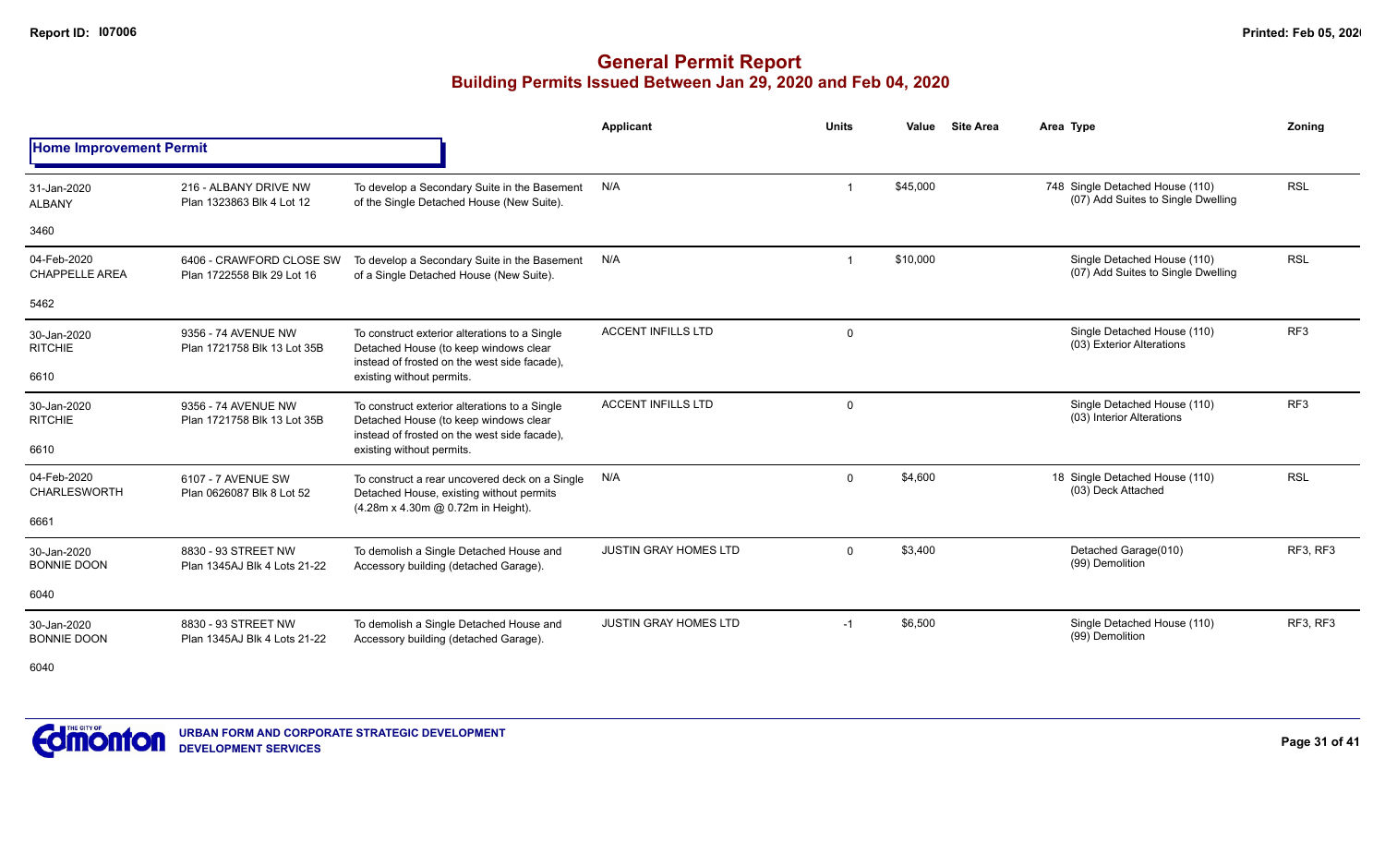### **General Permit Report Building Permits Issued Between Jan 29, 2020 and Feb 04, 2020**

|                                      |                                                        |                                                                                                                                        | Applicant                    | <b>Units</b> | Value    | <b>Site Area</b> | Area Type                                                             | Zoning          |
|--------------------------------------|--------------------------------------------------------|----------------------------------------------------------------------------------------------------------------------------------------|------------------------------|--------------|----------|------------------|-----------------------------------------------------------------------|-----------------|
| <b>Home Improvement Permit</b>       |                                                        |                                                                                                                                        |                              |              |          |                  |                                                                       |                 |
| 31-Jan-2020<br><b>ALBANY</b>         | 216 - ALBANY DRIVE NW<br>Plan 1323863 Blk 4 Lot 12     | To develop a Secondary Suite in the Basement<br>of the Single Detached House (New Suite).                                              | N/A                          |              | \$45,000 |                  | 748 Single Detached House (110)<br>(07) Add Suites to Single Dwelling | <b>RSL</b>      |
| 3460                                 |                                                        |                                                                                                                                        |                              |              |          |                  |                                                                       |                 |
| 04-Feb-2020<br><b>CHAPPELLE AREA</b> | 6406 - CRAWFORD CLOSE SW<br>Plan 1722558 Blk 29 Lot 16 | To develop a Secondary Suite in the Basement<br>of a Single Detached House (New Suite).                                                | N/A                          |              | \$10,000 |                  | Single Detached House (110)<br>(07) Add Suites to Single Dwelling     | <b>RSL</b>      |
| 5462                                 |                                                        |                                                                                                                                        |                              |              |          |                  |                                                                       |                 |
| 30-Jan-2020<br><b>RITCHIE</b>        | 9356 - 74 AVENUE NW<br>Plan 1721758 Blk 13 Lot 35B     | To construct exterior alterations to a Single<br>Detached House (to keep windows clear<br>instead of frosted on the west side facade), | <b>ACCENT INFILLS LTD</b>    | 0            |          |                  | Single Detached House (110)<br>(03) Exterior Alterations              | RF <sub>3</sub> |
| 6610                                 |                                                        | existing without permits.                                                                                                              |                              |              |          |                  |                                                                       |                 |
| 30-Jan-2020<br><b>RITCHIE</b>        | 9356 - 74 AVENUE NW<br>Plan 1721758 Blk 13 Lot 35B     | To construct exterior alterations to a Single<br>Detached House (to keep windows clear<br>instead of frosted on the west side facade), | <b>ACCENT INFILLS LTD</b>    | 0            |          |                  | Single Detached House (110)<br>(03) Interior Alterations              | RF <sub>3</sub> |
| 6610                                 |                                                        | existing without permits.                                                                                                              |                              |              |          |                  |                                                                       |                 |
| 04-Feb-2020<br>CHARLESWORTH          | 6107 - 7 AVENUE SW<br>Plan 0626087 Blk 8 Lot 52        | To construct a rear uncovered deck on a Single<br>Detached House, existing without permits<br>(4.28m x 4.30m @ 0.72m in Height).       | N/A                          | $\Omega$     | \$4,600  |                  | 18 Single Detached House (110)<br>(03) Deck Attached                  | <b>RSL</b>      |
| 6661                                 |                                                        |                                                                                                                                        |                              |              |          |                  |                                                                       |                 |
| 30-Jan-2020<br><b>BONNIE DOON</b>    | 8830 - 93 STREET NW<br>Plan 1345AJ Blk 4 Lots 21-22    | To demolish a Single Detached House and<br>Accessory building (detached Garage).                                                       | <b>JUSTIN GRAY HOMES LTD</b> | $\Omega$     | \$3,400  |                  | Detached Garage(010)<br>(99) Demolition                               | RF3, RF3        |
| 6040                                 |                                                        |                                                                                                                                        |                              |              |          |                  |                                                                       |                 |
| 30-Jan-2020<br><b>BONNIE DOON</b>    | 8830 - 93 STREET NW<br>Plan 1345AJ Blk 4 Lots 21-22    | To demolish a Single Detached House and<br>Accessory building (detached Garage).                                                       | <b>JUSTIN GRAY HOMES LTD</b> | $-1$         | \$6,500  |                  | Single Detached House (110)<br>(99) Demolition                        | RF3, RF3        |

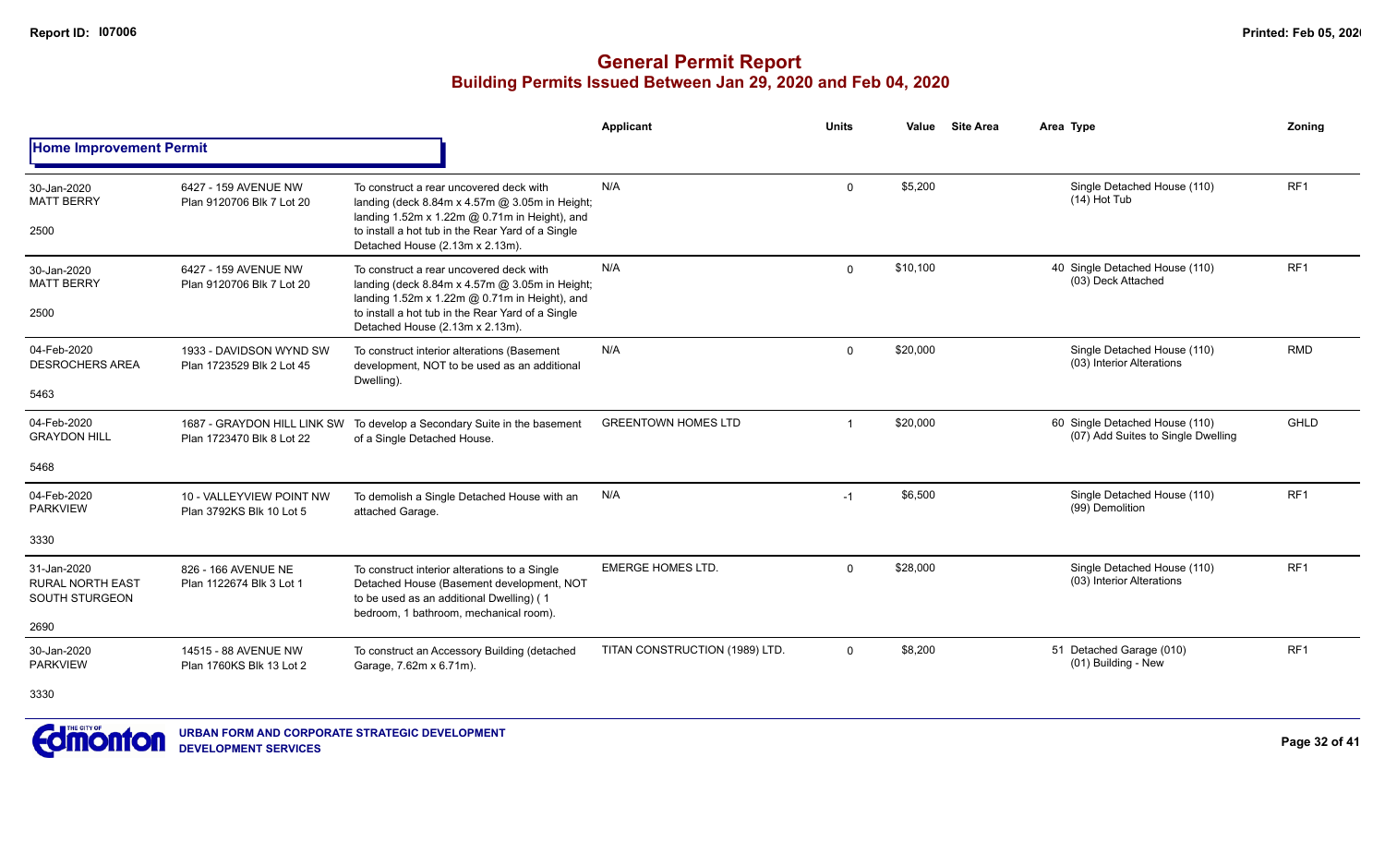|                                                                         |                                                          |                                                                                                                                                                                                                                    | <b>Applicant</b>               | <b>Units</b>            | Value    | <b>Site Area</b> | Area Type                                                            | Zoning          |
|-------------------------------------------------------------------------|----------------------------------------------------------|------------------------------------------------------------------------------------------------------------------------------------------------------------------------------------------------------------------------------------|--------------------------------|-------------------------|----------|------------------|----------------------------------------------------------------------|-----------------|
| <b>Home Improvement Permit</b>                                          |                                                          |                                                                                                                                                                                                                                    |                                |                         |          |                  |                                                                      |                 |
| 30-Jan-2020<br><b>MATT BERRY</b><br>2500                                | 6427 - 159 AVENUE NW<br>Plan 9120706 Blk 7 Lot 20        | To construct a rear uncovered deck with<br>landing (deck 8.84m x 4.57m @ 3.05m in Height;<br>landing 1.52m x 1.22m @ 0.71m in Height), and<br>to install a hot tub in the Rear Yard of a Single<br>Detached House (2.13m x 2.13m). | N/A                            | $\mathbf 0$             | \$5,200  |                  | Single Detached House (110)<br>$(14)$ Hot Tub                        | RF1             |
| 30-Jan-2020<br><b>MATT BERRY</b><br>2500                                | 6427 - 159 AVENUE NW<br>Plan 9120706 Blk 7 Lot 20        | To construct a rear uncovered deck with<br>landing (deck 8.84m x 4.57m @ 3.05m in Height;<br>landing 1.52m x 1.22m @ 0.71m in Height), and<br>to install a hot tub in the Rear Yard of a Single<br>Detached House (2.13m x 2.13m). | N/A                            | $\Omega$                | \$10,100 |                  | 40 Single Detached House (110)<br>(03) Deck Attached                 | RF <sub>1</sub> |
| 04-Feb-2020<br><b>DESROCHERS AREA</b>                                   | 1933 - DAVIDSON WYND SW<br>Plan 1723529 Blk 2 Lot 45     | To construct interior alterations (Basement<br>development, NOT to be used as an additional<br>Dwelling).                                                                                                                          | N/A                            | $\Omega$                | \$20,000 |                  | Single Detached House (110)<br>(03) Interior Alterations             | <b>RMD</b>      |
| 5463                                                                    |                                                          |                                                                                                                                                                                                                                    |                                |                         |          |                  |                                                                      |                 |
| 04-Feb-2020<br><b>GRAYDON HILL</b>                                      | 1687 - GRAYDON HILL LINK SW<br>Plan 1723470 Blk 8 Lot 22 | To develop a Secondary Suite in the basement<br>of a Single Detached House.                                                                                                                                                        | <b>GREENTOWN HOMES LTD</b>     | $\overline{\mathbf{1}}$ | \$20,000 |                  | 60 Single Detached House (110)<br>(07) Add Suites to Single Dwelling | <b>GHLD</b>     |
| 5468                                                                    |                                                          |                                                                                                                                                                                                                                    |                                |                         |          |                  |                                                                      |                 |
| 04-Feb-2020<br><b>PARKVIEW</b>                                          | 10 - VALLEYVIEW POINT NW<br>Plan 3792KS Blk 10 Lot 5     | To demolish a Single Detached House with an<br>attached Garage.                                                                                                                                                                    | N/A                            | $-1$                    | \$6,500  |                  | Single Detached House (110)<br>(99) Demolition                       | RF <sub>1</sub> |
| 3330                                                                    |                                                          |                                                                                                                                                                                                                                    |                                |                         |          |                  |                                                                      |                 |
| 31-Jan-2020<br><b>RURAL NORTH EAST</b><br><b>SOUTH STURGEON</b><br>2690 | 826 - 166 AVENUE NE<br>Plan 1122674 Blk 3 Lot 1          | To construct interior alterations to a Single<br>Detached House (Basement development, NOT<br>to be used as an additional Dwelling) (1<br>bedroom, 1 bathroom, mechanical room).                                                   | <b>EMERGE HOMES LTD.</b>       | $\mathbf 0$             | \$28,000 |                  | Single Detached House (110)<br>(03) Interior Alterations             | RF <sub>1</sub> |
| 30-Jan-2020                                                             | 14515 - 88 AVENUE NW                                     | To construct an Accessory Building (detached                                                                                                                                                                                       | TITAN CONSTRUCTION (1989) LTD. | $\Omega$                | \$8,200  |                  | 51 Detached Garage (010)                                             | RF <sub>1</sub> |
| <b>PARKVIEW</b>                                                         | Plan 1760KS Blk 13 Lot 2                                 | Garage, 7.62m x 6.71m).                                                                                                                                                                                                            |                                |                         |          |                  | (01) Building - New                                                  |                 |
| 3330                                                                    |                                                          |                                                                                                                                                                                                                                    |                                |                         |          |                  |                                                                      |                 |

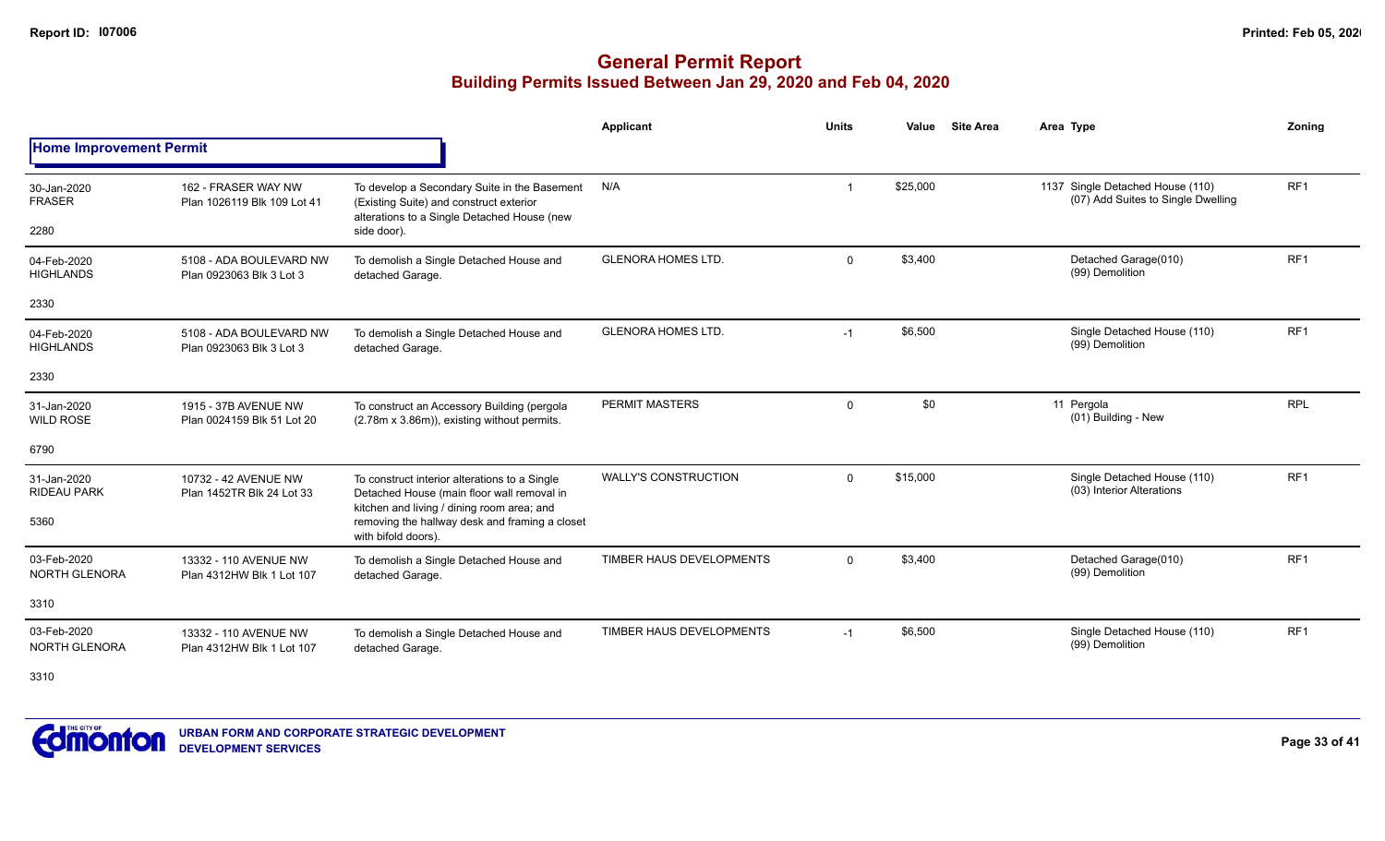### **General Permit Report Building Permits Issued Between Jan 29, 2020 and Feb 04, 2020**

|                                     |                                                     |                                                                                                                                           | Applicant                   | <b>Units</b> | <b>Site Area</b><br>Value | Area Type                                                              | Zoning          |
|-------------------------------------|-----------------------------------------------------|-------------------------------------------------------------------------------------------------------------------------------------------|-----------------------------|--------------|---------------------------|------------------------------------------------------------------------|-----------------|
| <b>Home Improvement Permit</b>      |                                                     |                                                                                                                                           |                             |              |                           |                                                                        |                 |
| 30-Jan-2020<br><b>FRASER</b>        | 162 - FRASER WAY NW<br>Plan 1026119 Blk 109 Lot 41  | To develop a Secondary Suite in the Basement<br>(Existing Suite) and construct exterior<br>alterations to a Single Detached House (new    | N/A                         |              | \$25,000                  | 1137 Single Detached House (110)<br>(07) Add Suites to Single Dwelling | RF <sub>1</sub> |
| 2280                                |                                                     | side door).                                                                                                                               |                             |              |                           |                                                                        |                 |
| 04-Feb-2020<br><b>HIGHLANDS</b>     | 5108 - ADA BOULEVARD NW<br>Plan 0923063 Blk 3 Lot 3 | To demolish a Single Detached House and<br>detached Garage.                                                                               | <b>GLENORA HOMES LTD.</b>   | $\Omega$     | \$3,400                   | Detached Garage(010)<br>(99) Demolition                                | RF <sub>1</sub> |
| 2330                                |                                                     |                                                                                                                                           |                             |              |                           |                                                                        |                 |
| 04-Feb-2020<br><b>HIGHLANDS</b>     | 5108 - ADA BOULEVARD NW<br>Plan 0923063 Blk 3 Lot 3 | To demolish a Single Detached House and<br>detached Garage.                                                                               | <b>GLENORA HOMES LTD.</b>   | $-1$         | \$6,500                   | Single Detached House (110)<br>(99) Demolition                         | RF <sub>1</sub> |
| 2330                                |                                                     |                                                                                                                                           |                             |              |                           |                                                                        |                 |
| 31-Jan-2020<br><b>WILD ROSE</b>     | 1915 - 37B AVENUE NW<br>Plan 0024159 Blk 51 Lot 20  | To construct an Accessory Building (pergola<br>(2.78m x 3.86m)), existing without permits.                                                | <b>PERMIT MASTERS</b>       | $\Omega$     | \$0                       | 11 Pergola<br>(01) Building - New                                      | <b>RPL</b>      |
| 6790                                |                                                     |                                                                                                                                           |                             |              |                           |                                                                        |                 |
| 31-Jan-2020<br><b>RIDEAU PARK</b>   | 10732 - 42 AVENUE NW<br>Plan 1452TR Blk 24 Lot 33   | To construct interior alterations to a Single<br>Detached House (main floor wall removal in<br>kitchen and living / dining room area; and | <b>WALLY'S CONSTRUCTION</b> | $\Omega$     | \$15,000                  | Single Detached House (110)<br>(03) Interior Alterations               | RF <sub>1</sub> |
| 5360                                |                                                     | removing the hallway desk and framing a closet<br>with bifold doors).                                                                     |                             |              |                           |                                                                        |                 |
| 03-Feb-2020<br><b>NORTH GLENORA</b> | 13332 - 110 AVENUE NW<br>Plan 4312HW Blk 1 Lot 107  | To demolish a Single Detached House and<br>detached Garage.                                                                               | TIMBER HAUS DEVELOPMENTS    | $\Omega$     | \$3,400                   | Detached Garage(010)<br>(99) Demolition                                | RF <sub>1</sub> |
| 3310                                |                                                     |                                                                                                                                           |                             |              |                           |                                                                        |                 |
| 03-Feb-2020<br><b>NORTH GLENORA</b> | 13332 - 110 AVENUE NW<br>Plan 4312HW Blk 1 Lot 107  | To demolish a Single Detached House and<br>detached Garage.                                                                               | TIMBER HAUS DEVELOPMENTS    | $-1$         | \$6,500                   | Single Detached House (110)<br>(99) Demolition                         | RF <sub>1</sub> |

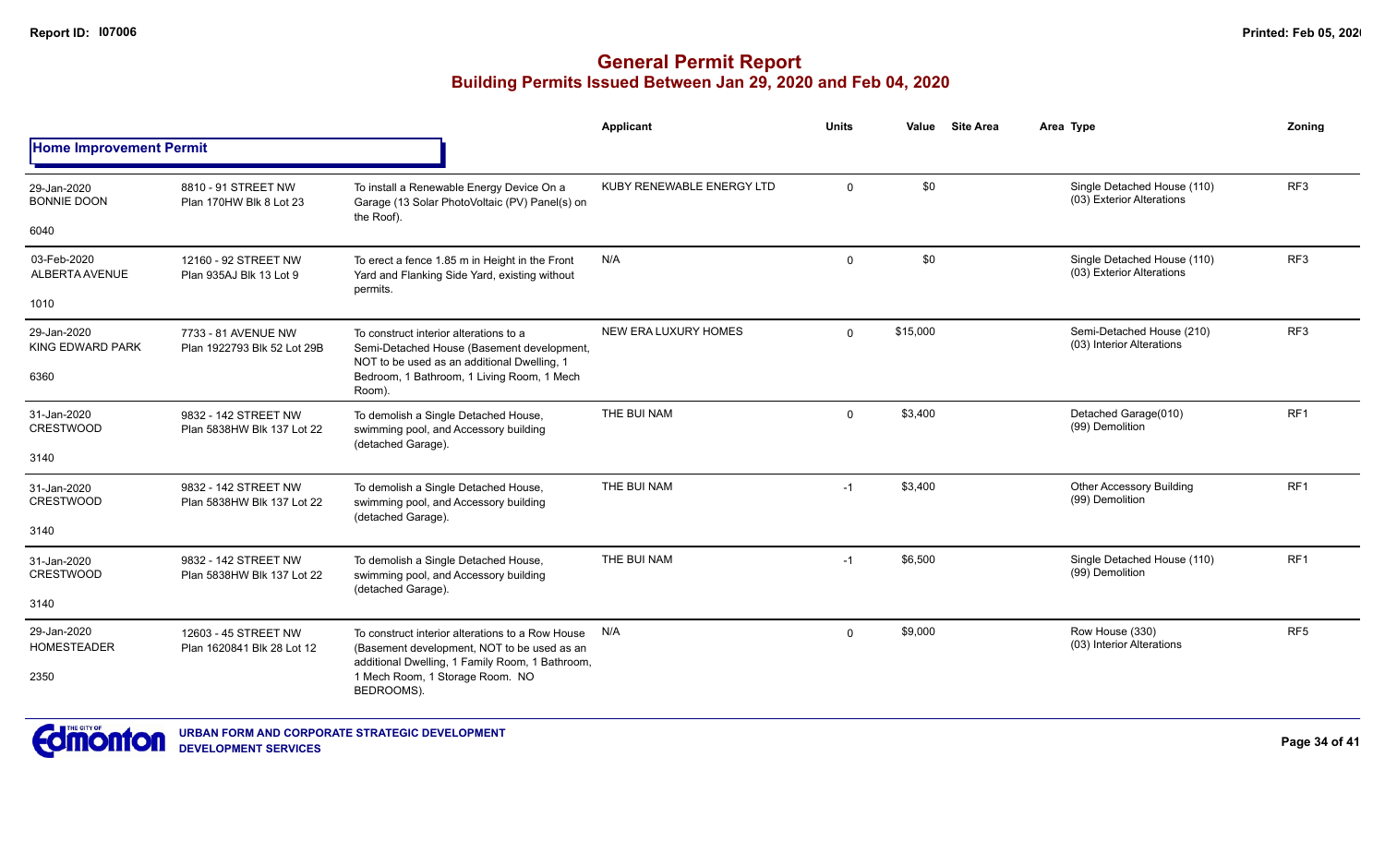|                                   |                                                                                                  |                                                                                                                                     | Applicant                 | <b>Units</b>   | Value    | <b>Site Area</b> | Area Type                                                | Zoning          |
|-----------------------------------|--------------------------------------------------------------------------------------------------|-------------------------------------------------------------------------------------------------------------------------------------|---------------------------|----------------|----------|------------------|----------------------------------------------------------|-----------------|
| <b>Home Improvement Permit</b>    |                                                                                                  |                                                                                                                                     |                           |                |          |                  |                                                          |                 |
| 29-Jan-2020<br><b>BONNIE DOON</b> | 8810 - 91 STREET NW<br>Plan 170HW Blk 8 Lot 23                                                   | To install a Renewable Energy Device On a<br>Garage (13 Solar PhotoVoltaic (PV) Panel(s) on<br>the Roof).                           | KUBY RENEWABLE ENERGY LTD | $\overline{0}$ | \$0      |                  | Single Detached House (110)<br>(03) Exterior Alterations | RF <sub>3</sub> |
| 6040                              |                                                                                                  |                                                                                                                                     |                           |                |          |                  |                                                          |                 |
| 03-Feb-2020<br>ALBERTA AVENUE     | 12160 - 92 STREET NW<br>Plan 935AJ Blk 13 Lot 9                                                  | To erect a fence 1.85 m in Height in the Front<br>Yard and Flanking Side Yard, existing without<br>permits.                         | N/A                       | $\mathbf 0$    | \$0      |                  | Single Detached House (110)<br>(03) Exterior Alterations | RF <sub>3</sub> |
| 1010                              |                                                                                                  |                                                                                                                                     |                           |                |          |                  |                                                          |                 |
| 29-Jan-2020<br>KING EDWARD PARK   | 7733 - 81 AVENUE NW<br>Plan 1922793 Blk 52 Lot 29B                                               | To construct interior alterations to a<br>Semi-Detached House (Basement development,<br>NOT to be used as an additional Dwelling, 1 | NEW ERA LUXURY HOMES      | $\mathbf 0$    | \$15,000 |                  | Semi-Detached House (210)<br>(03) Interior Alterations   | RF <sub>3</sub> |
| 6360                              |                                                                                                  | Bedroom, 1 Bathroom, 1 Living Room, 1 Mech<br>Room).                                                                                |                           |                |          |                  |                                                          |                 |
| 31-Jan-2020<br><b>CRESTWOOD</b>   | 9832 - 142 STREET NW<br>Plan 5838HW Blk 137 Lot 22                                               | To demolish a Single Detached House,<br>swimming pool, and Accessory building                                                       | THE BUI NAM               | $\mathbf{0}$   | \$3,400  |                  | Detached Garage(010)<br>(99) Demolition                  | RF <sub>1</sub> |
| 3140                              |                                                                                                  | (detached Garage).                                                                                                                  |                           |                |          |                  |                                                          |                 |
| 31-Jan-2020<br><b>CRESTWOOD</b>   | 9832 - 142 STREET NW<br>Plan 5838HW Blk 137 Lot 22                                               | To demolish a Single Detached House,<br>swimming pool, and Accessory building<br>(detached Garage).                                 | THE BUI NAM               | $-1$           | \$3,400  |                  | <b>Other Accessory Building</b><br>(99) Demolition       | RF <sub>1</sub> |
| 3140                              |                                                                                                  |                                                                                                                                     |                           |                |          |                  |                                                          |                 |
| 31-Jan-2020<br><b>CRESTWOOD</b>   | 9832 - 142 STREET NW<br>Plan 5838HW Blk 137 Lot 22                                               | To demolish a Single Detached House,<br>swimming pool, and Accessory building<br>(detached Garage).                                 | THE BUI NAM               | $-1$           | \$6,500  |                  | Single Detached House (110)<br>(99) Demolition           | RF <sub>1</sub> |
| 3140                              |                                                                                                  |                                                                                                                                     |                           |                |          |                  |                                                          |                 |
| 29-Jan-2020<br><b>HOMESTEADER</b> | 12603 - 45 STREET NW<br>Plan 1620841 Blk 28 Lot 12                                               | To construct interior alterations to a Row House<br>(Basement development, NOT to be used as an                                     | N/A                       | $\mathbf 0$    | \$9,000  |                  | Row House (330)<br>(03) Interior Alterations             | RF <sub>5</sub> |
| 2350                              | additional Dwelling, 1 Family Room, 1 Bathroom,<br>1 Mech Room, 1 Storage Room. NO<br>BEDROOMS). |                                                                                                                                     |                           |                |          |                  |                                                          |                 |

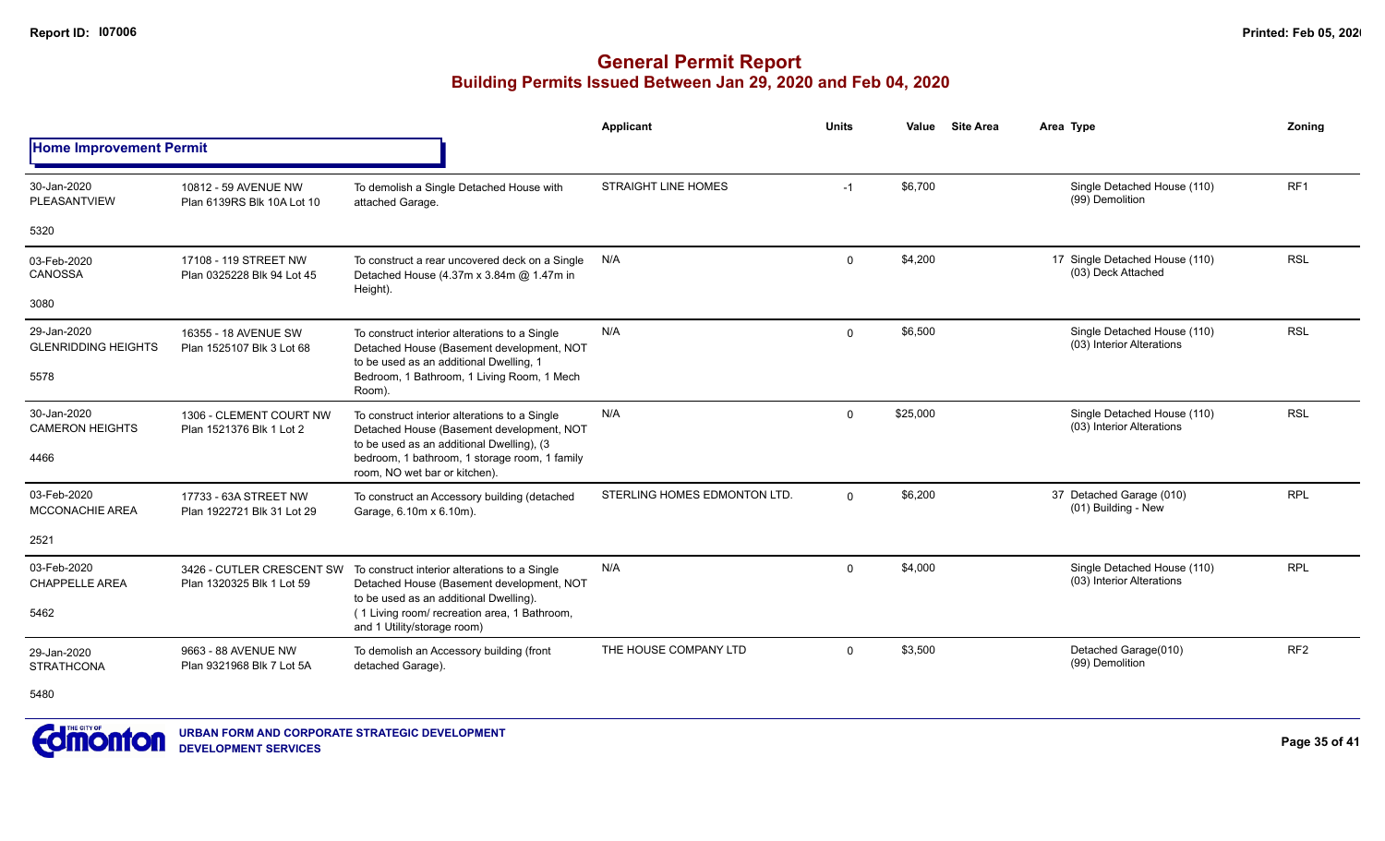|                                           |                                                                                                                       |                                                                                                                                         | <b>Applicant</b>             | <b>Units</b> | Value    | <b>Site Area</b> | Area Type                                                | Zoning          |
|-------------------------------------------|-----------------------------------------------------------------------------------------------------------------------|-----------------------------------------------------------------------------------------------------------------------------------------|------------------------------|--------------|----------|------------------|----------------------------------------------------------|-----------------|
| <b>Home Improvement Permit</b>            |                                                                                                                       |                                                                                                                                         |                              |              |          |                  |                                                          |                 |
| 30-Jan-2020<br>PLEASANTVIEW               | 10812 - 59 AVENUE NW<br>Plan 6139RS Blk 10A Lot 10                                                                    | To demolish a Single Detached House with<br>attached Garage.                                                                            | <b>STRAIGHT LINE HOMES</b>   | $-1$         | \$6,700  |                  | Single Detached House (110)<br>(99) Demolition           | RF <sub>1</sub> |
| 5320                                      |                                                                                                                       |                                                                                                                                         |                              |              |          |                  |                                                          |                 |
| 03-Feb-2020<br>CANOSSA                    | 17108 - 119 STREET NW<br>Plan 0325228 Blk 94 Lot 45                                                                   | To construct a rear uncovered deck on a Single<br>Detached House (4.37m x 3.84m @ 1.47m in<br>Height).                                  | N/A                          | 0            | \$4,200  |                  | 17 Single Detached House (110)<br>(03) Deck Attached     | <b>RSL</b>      |
| 3080                                      |                                                                                                                       |                                                                                                                                         |                              |              |          |                  |                                                          |                 |
| 29-Jan-2020<br><b>GLENRIDDING HEIGHTS</b> | 16355 - 18 AVENUE SW<br>Plan 1525107 Blk 3 Lot 68                                                                     | To construct interior alterations to a Single<br>Detached House (Basement development, NOT<br>to be used as an additional Dwelling, 1   | N/A                          | $\mathbf 0$  | \$6,500  |                  | Single Detached House (110)<br>(03) Interior Alterations | <b>RSL</b>      |
| 5578                                      |                                                                                                                       | Bedroom, 1 Bathroom, 1 Living Room, 1 Mech<br>Room).                                                                                    |                              |              |          |                  | Single Detached House (110)                              |                 |
| 30-Jan-2020<br><b>CAMERON HEIGHTS</b>     | 1306 - CLEMENT COURT NW<br>Plan 1521376 Blk 1 Lot 2                                                                   | To construct interior alterations to a Single<br>Detached House (Basement development, NOT<br>to be used as an additional Dwelling), (3 | N/A                          | 0            | \$25,000 |                  | (03) Interior Alterations                                | <b>RSL</b>      |
| 4466                                      |                                                                                                                       | bedroom, 1 bathroom, 1 storage room, 1 family<br>room, NO wet bar or kitchen).                                                          |                              |              |          |                  |                                                          |                 |
| 03-Feb-2020<br><b>MCCONACHIE AREA</b>     | 17733 - 63A STREET NW<br>Plan 1922721 Blk 31 Lot 29                                                                   | To construct an Accessory building (detached<br>Garage, 6.10m x 6.10m).                                                                 | STERLING HOMES EDMONTON LTD. | $\Omega$     | \$6,200  |                  | 37 Detached Garage (010)<br>(01) Building - New          | <b>RPL</b>      |
| 2521                                      |                                                                                                                       |                                                                                                                                         |                              |              |          |                  |                                                          |                 |
| 03-Feb-2020<br><b>CHAPPELLE AREA</b>      | 3426 - CUTLER CRESCENT SW<br>Plan 1320325 Blk 1 Lot 59                                                                | To construct interior alterations to a Single<br>Detached House (Basement development, NOT                                              | N/A                          | 0            | \$4,000  |                  | Single Detached House (110)<br>(03) Interior Alterations | <b>RPL</b>      |
| 5462                                      | to be used as an additional Dwelling).<br>(1 Living room/ recreation area, 1 Bathroom,<br>and 1 Utility/storage room) |                                                                                                                                         |                              |              |          |                  |                                                          |                 |
| 29-Jan-2020<br><b>STRATHCONA</b>          | 9663 - 88 AVENUE NW<br>Plan 9321968 Blk 7 Lot 5A                                                                      | To demolish an Accessory building (front<br>detached Garage).                                                                           | THE HOUSE COMPANY LTD        | $\Omega$     | \$3,500  |                  | Detached Garage(010)<br>(99) Demolition                  | RF <sub>2</sub> |
| 5480                                      |                                                                                                                       |                                                                                                                                         |                              |              |          |                  |                                                          |                 |

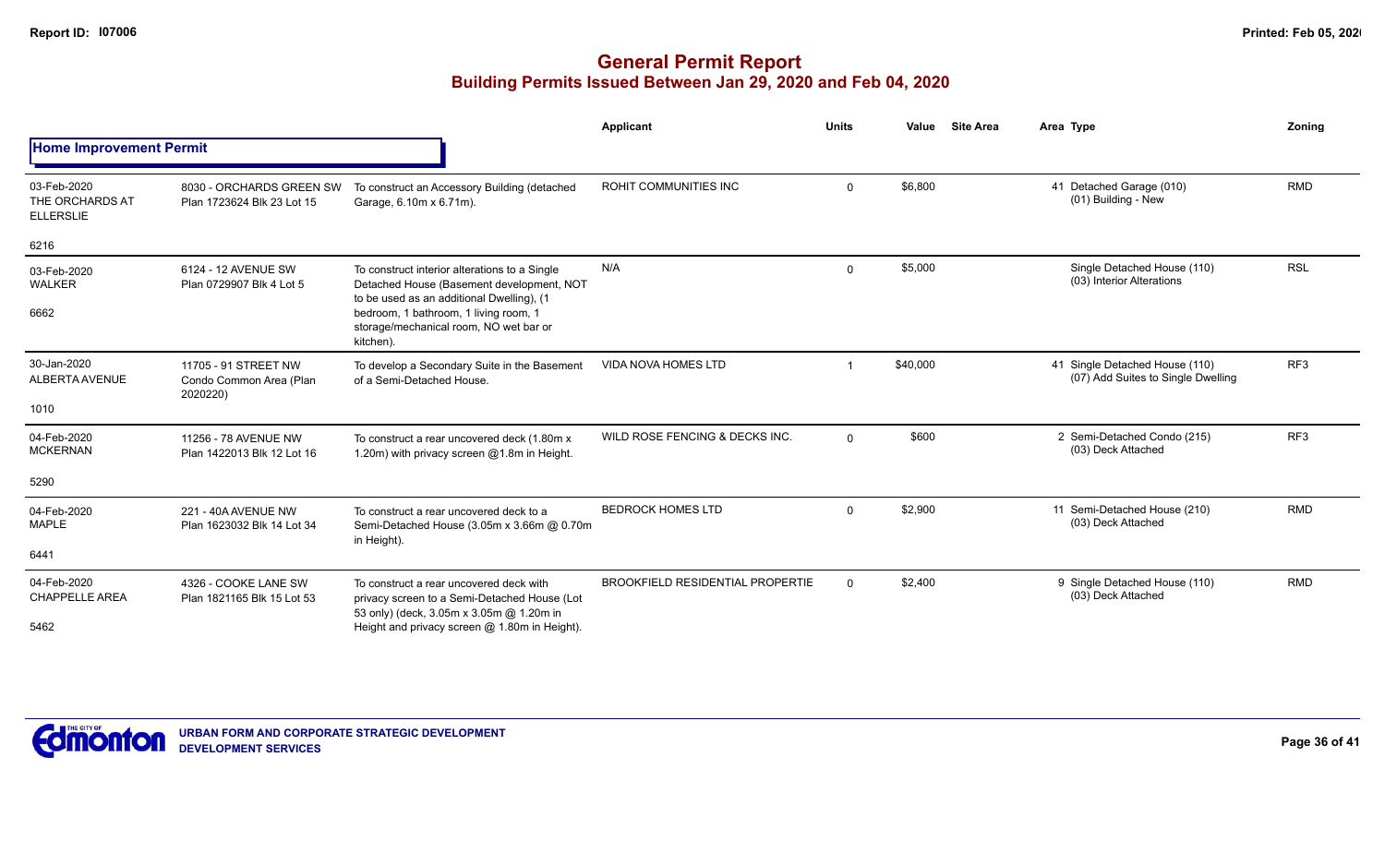|                                                    |                                                             |                                                                                                                                           | Applicant                               | <b>Units</b> | Value    | <b>Site Area</b> | Area Type                                                            | Zonina          |
|----------------------------------------------------|-------------------------------------------------------------|-------------------------------------------------------------------------------------------------------------------------------------------|-----------------------------------------|--------------|----------|------------------|----------------------------------------------------------------------|-----------------|
| <b>Home Improvement Permit</b>                     |                                                             |                                                                                                                                           |                                         |              |          |                  |                                                                      |                 |
| 03-Feb-2020<br>THE ORCHARDS AT<br><b>ELLERSLIE</b> | 8030 - ORCHARDS GREEN SW<br>Plan 1723624 Blk 23 Lot 15      | To construct an Accessory Building (detached<br>Garage, 6.10m x 6.71m).                                                                   | ROHIT COMMUNITIES INC                   | $\mathbf{0}$ | \$6,800  |                  | 41 Detached Garage (010)<br>(01) Building - New                      | <b>RMD</b>      |
| 6216                                               |                                                             |                                                                                                                                           |                                         |              |          |                  |                                                                      |                 |
| 03-Feb-2020<br><b>WALKER</b>                       | 6124 - 12 AVENUE SW<br>Plan 0729907 Blk 4 Lot 5             | To construct interior alterations to a Single<br>Detached House (Basement development, NOT                                                | N/A                                     | $\mathbf{0}$ | \$5,000  |                  | Single Detached House (110)<br>(03) Interior Alterations             | <b>RSL</b>      |
| 6662                                               |                                                             | to be used as an additional Dwelling), (1<br>bedroom, 1 bathroom, 1 living room, 1<br>storage/mechanical room, NO wet bar or<br>kitchen). |                                         |              |          |                  |                                                                      |                 |
| 30-Jan-2020<br><b>ALBERTA AVENUE</b>               | 11705 - 91 STREET NW<br>Condo Common Area (Plan<br>2020220) | To develop a Secondary Suite in the Basement<br>of a Semi-Detached House.                                                                 | <b>VIDA NOVA HOMES LTD</b>              |              | \$40,000 |                  | 41 Single Detached House (110)<br>(07) Add Suites to Single Dwelling | RF <sub>3</sub> |
| 1010                                               |                                                             |                                                                                                                                           |                                         |              |          |                  |                                                                      |                 |
| 04-Feb-2020<br><b>MCKERNAN</b>                     | 11256 - 78 AVENUE NW<br>Plan 1422013 Blk 12 Lot 16          | To construct a rear uncovered deck (1.80m x<br>1.20m) with privacy screen @1.8m in Height.                                                | WILD ROSE FENCING & DECKS INC.          | $\mathbf{0}$ | \$600    |                  | 2 Semi-Detached Condo (215)<br>(03) Deck Attached                    | RF <sub>3</sub> |
| 5290                                               |                                                             |                                                                                                                                           |                                         |              |          |                  |                                                                      |                 |
| 04-Feb-2020<br><b>MAPLE</b>                        | 221 - 40A AVENUE NW<br>Plan 1623032 Blk 14 Lot 34           | To construct a rear uncovered deck to a<br>Semi-Detached House (3.05m x 3.66m @ 0.70m<br>in Height).                                      | <b>BEDROCK HOMES LTD</b>                | $\Omega$     | \$2,900  |                  | 11 Semi-Detached House (210)<br>(03) Deck Attached                   | <b>RMD</b>      |
| 6441                                               |                                                             |                                                                                                                                           |                                         |              |          |                  |                                                                      |                 |
| 04-Feb-2020<br><b>CHAPPELLE AREA</b>               | 4326 - COOKE LANE SW<br>Plan 1821165 Blk 15 Lot 53          | To construct a rear uncovered deck with<br>privacy screen to a Semi-Detached House (Lot                                                   | <b>BROOKFIELD RESIDENTIAL PROPERTIE</b> | $\Omega$     | \$2,400  |                  | 9 Single Detached House (110)<br>(03) Deck Attached                  | <b>RMD</b>      |
| 5462                                               |                                                             | 53 only) (deck, 3.05m x 3.05m @ 1.20m in<br>Height and privacy screen @ 1.80m in Height).                                                 |                                         |              |          |                  |                                                                      |                 |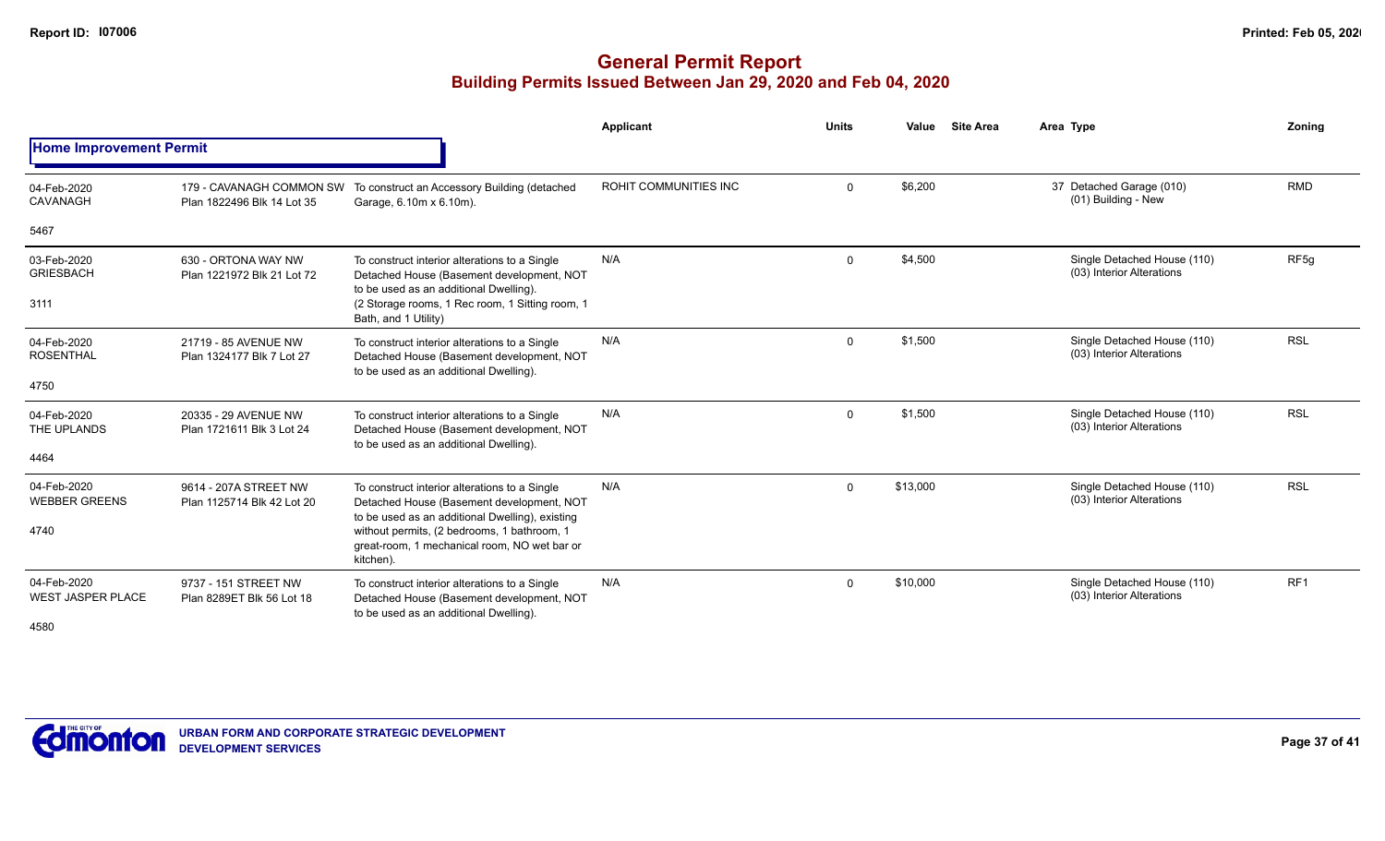|                                                 |                                                        |                                                                                                                                                                                                                                                           | Applicant             | <b>Units</b> | Value    | <b>Site Area</b> | Area Type                                                | Zoning           |
|-------------------------------------------------|--------------------------------------------------------|-----------------------------------------------------------------------------------------------------------------------------------------------------------------------------------------------------------------------------------------------------------|-----------------------|--------------|----------|------------------|----------------------------------------------------------|------------------|
| <b>Home Improvement Permit</b>                  |                                                        |                                                                                                                                                                                                                                                           |                       |              |          |                  |                                                          |                  |
| 04-Feb-2020<br>CAVANAGH                         | 179 - CAVANAGH COMMON SW<br>Plan 1822496 Blk 14 Lot 35 | To construct an Accessory Building (detached<br>Garage, 6.10m x 6.10m).                                                                                                                                                                                   | ROHIT COMMUNITIES INC | $\Omega$     | \$6,200  |                  | 37 Detached Garage (010)<br>(01) Building - New          | <b>RMD</b>       |
| 5467                                            |                                                        |                                                                                                                                                                                                                                                           |                       |              |          |                  |                                                          |                  |
| 03-Feb-2020<br><b>GRIESBACH</b><br>3111         | 630 - ORTONA WAY NW<br>Plan 1221972 Blk 21 Lot 72      | To construct interior alterations to a Single<br>Detached House (Basement development, NOT<br>to be used as an additional Dwelling).<br>(2 Storage rooms, 1 Rec room, 1 Sitting room, 1<br>Bath, and 1 Utility)                                           | N/A                   | $\Omega$     | \$4,500  |                  | Single Detached House (110)<br>(03) Interior Alterations | RF <sub>5q</sub> |
| 04-Feb-2020<br><b>ROSENTHAL</b>                 | 21719 - 85 AVENUE NW<br>Plan 1324177 Blk 7 Lot 27      | To construct interior alterations to a Single<br>Detached House (Basement development, NOT<br>to be used as an additional Dwelling).                                                                                                                      | N/A                   | $\Omega$     | \$1,500  |                  | Single Detached House (110)<br>(03) Interior Alterations | <b>RSL</b>       |
| 4750                                            |                                                        |                                                                                                                                                                                                                                                           |                       |              |          |                  |                                                          |                  |
| 04-Feb-2020<br>THE UPLANDS                      | 20335 - 29 AVENUE NW<br>Plan 1721611 Blk 3 Lot 24      | To construct interior alterations to a Single<br>Detached House (Basement development, NOT<br>to be used as an additional Dwelling).                                                                                                                      | N/A                   | $\Omega$     | \$1,500  |                  | Single Detached House (110)<br>(03) Interior Alterations | <b>RSL</b>       |
| 4464                                            |                                                        |                                                                                                                                                                                                                                                           |                       |              |          |                  |                                                          |                  |
| 04-Feb-2020<br><b>WEBBER GREENS</b><br>4740     | 9614 - 207A STREET NW<br>Plan 1125714 Blk 42 Lot 20    | To construct interior alterations to a Single<br>Detached House (Basement development, NOT<br>to be used as an additional Dwelling), existing<br>without permits, (2 bedrooms, 1 bathroom, 1<br>great-room, 1 mechanical room, NO wet bar or<br>kitchen). | N/A                   | $\Omega$     | \$13,000 |                  | Single Detached House (110)<br>(03) Interior Alterations | <b>RSL</b>       |
| 04-Feb-2020<br><b>WEST JASPER PLACE</b><br>4580 | 9737 - 151 STREET NW<br>Plan 8289ET Blk 56 Lot 18      | To construct interior alterations to a Single<br>Detached House (Basement development, NOT<br>to be used as an additional Dwelling).                                                                                                                      | N/A                   | $\Omega$     | \$10,000 |                  | Single Detached House (110)<br>(03) Interior Alterations | RF <sub>1</sub>  |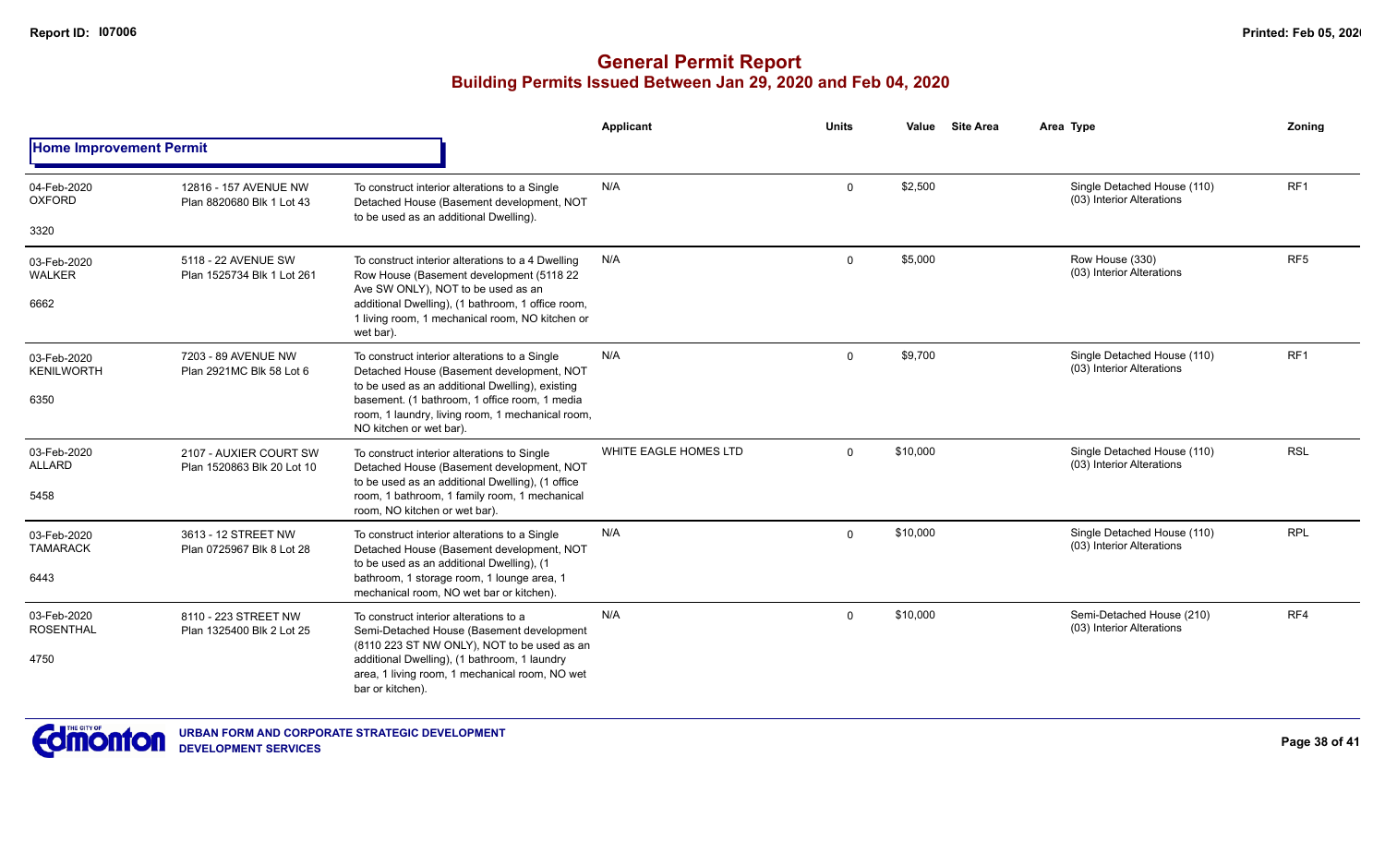|                                  |                                                      |                                                                                                                                               | Applicant             | <b>Units</b> | Value    | <b>Site Area</b> | Area Type                                                | Zoning          |
|----------------------------------|------------------------------------------------------|-----------------------------------------------------------------------------------------------------------------------------------------------|-----------------------|--------------|----------|------------------|----------------------------------------------------------|-----------------|
| <b>Home Improvement Permit</b>   |                                                      |                                                                                                                                               |                       |              |          |                  |                                                          |                 |
| 04-Feb-2020<br><b>OXFORD</b>     | 12816 - 157 AVENUE NW<br>Plan 8820680 Blk 1 Lot 43   | To construct interior alterations to a Single<br>Detached House (Basement development, NOT                                                    | N/A                   | $\mathbf 0$  | \$2,500  |                  | Single Detached House (110)<br>(03) Interior Alterations | RF <sub>1</sub> |
| 3320                             |                                                      | to be used as an additional Dwelling).                                                                                                        |                       |              |          |                  |                                                          |                 |
| 03-Feb-2020<br>WALKER            | 5118 - 22 AVENUE SW<br>Plan 1525734 Blk 1 Lot 261    | To construct interior alterations to a 4 Dwelling<br>Row House (Basement development (5118 22<br>Ave SW ONLY), NOT to be used as an           | N/A                   | 0            | \$5,000  |                  | Row House (330)<br>(03) Interior Alterations             | RF <sub>5</sub> |
| 6662                             |                                                      | additional Dwelling), (1 bathroom, 1 office room,<br>1 living room, 1 mechanical room, NO kitchen or<br>wet bar).                             |                       |              |          |                  |                                                          |                 |
| 03-Feb-2020<br><b>KENILWORTH</b> | 7203 - 89 AVENUE NW<br>Plan 2921MC Blk 58 Lot 6      | To construct interior alterations to a Single<br>Detached House (Basement development, NOT<br>to be used as an additional Dwelling), existing | N/A                   | $\mathbf 0$  | \$9,700  |                  | Single Detached House (110)<br>(03) Interior Alterations | RF <sub>1</sub> |
| 6350                             |                                                      | basement. (1 bathroom, 1 office room, 1 media<br>room, 1 laundry, living room, 1 mechanical room,<br>NO kitchen or wet bar).                  |                       |              |          |                  |                                                          |                 |
| 03-Feb-2020<br><b>ALLARD</b>     | 2107 - AUXIER COURT SW<br>Plan 1520863 Blk 20 Lot 10 | To construct interior alterations to Single<br>Detached House (Basement development, NOT<br>to be used as an additional Dwelling), (1 office  | WHITE EAGLE HOMES LTD | $\mathbf{0}$ | \$10,000 |                  | Single Detached House (110)<br>(03) Interior Alterations | <b>RSL</b>      |
| 5458                             |                                                      | room, 1 bathroom, 1 family room, 1 mechanical<br>room, NO kitchen or wet bar).                                                                |                       |              |          |                  |                                                          |                 |
| 03-Feb-2020<br><b>TAMARACK</b>   | 3613 - 12 STREET NW<br>Plan 0725967 Blk 8 Lot 28     | To construct interior alterations to a Single<br>Detached House (Basement development, NOT<br>to be used as an additional Dwelling), (1       | N/A                   | $\mathbf 0$  | \$10,000 |                  | Single Detached House (110)<br>(03) Interior Alterations | <b>RPL</b>      |
| 6443                             |                                                      | bathroom, 1 storage room, 1 lounge area, 1<br>mechanical room, NO wet bar or kitchen).                                                        |                       |              |          |                  |                                                          |                 |
| 03-Feb-2020<br><b>ROSENTHAL</b>  | 8110 - 223 STREET NW<br>Plan 1325400 Blk 2 Lot 25    | To construct interior alterations to a<br>Semi-Detached House (Basement development<br>(8110 223 ST NW ONLY), NOT to be used as an            | N/A                   | $\mathbf 0$  | \$10,000 |                  | Semi-Detached House (210)<br>(03) Interior Alterations   | RF4             |
| 4750                             |                                                      | additional Dwelling), (1 bathroom, 1 laundry<br>area, 1 living room, 1 mechanical room, NO wet<br>bar or kitchen).                            |                       |              |          |                  |                                                          |                 |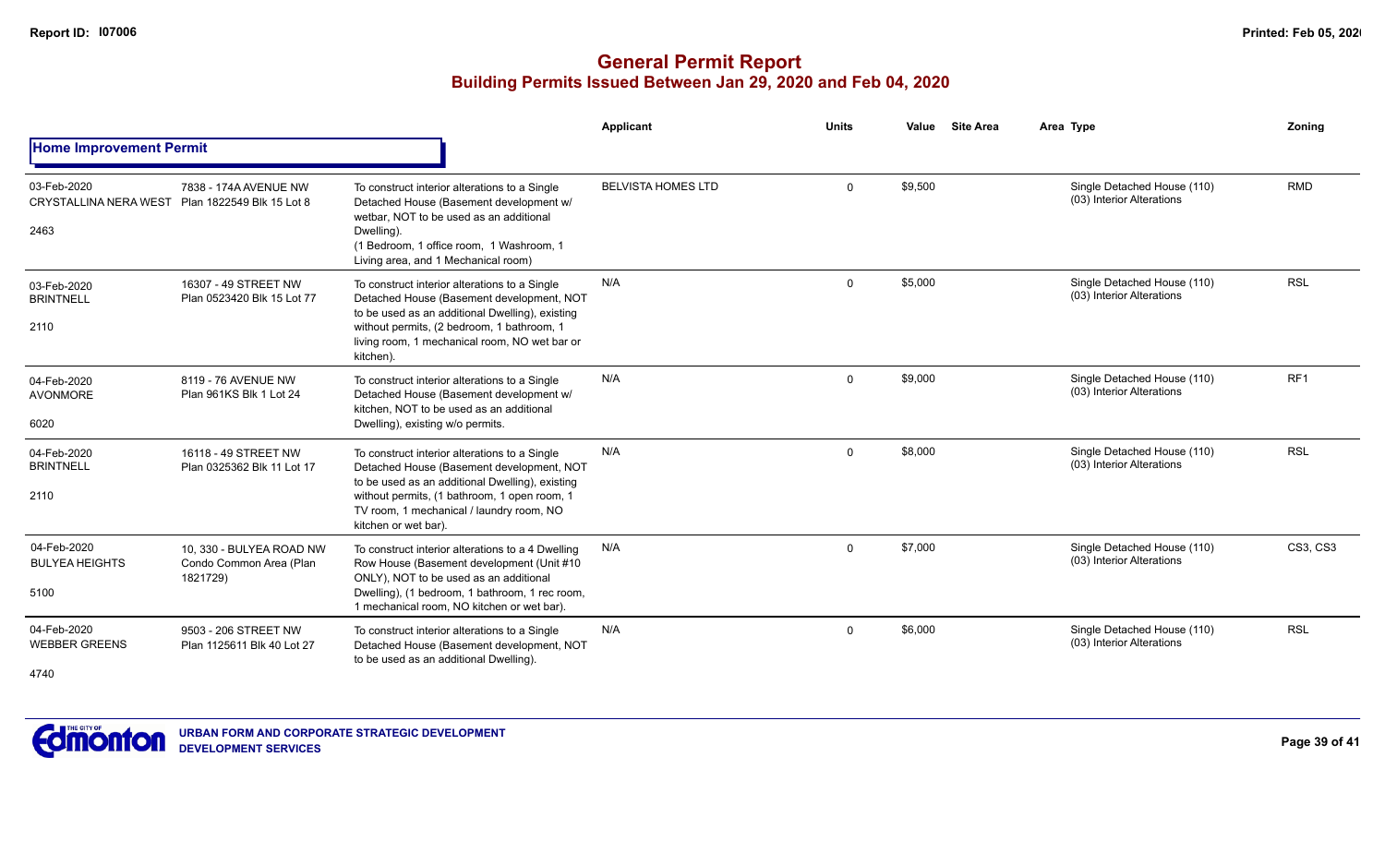|                                                     |                                                                 |                                                                                                                                                                                                                                                                   | Applicant                 | <b>Units</b> | Value   | <b>Site Area</b> | Area Type                                                | Zoning          |
|-----------------------------------------------------|-----------------------------------------------------------------|-------------------------------------------------------------------------------------------------------------------------------------------------------------------------------------------------------------------------------------------------------------------|---------------------------|--------------|---------|------------------|----------------------------------------------------------|-----------------|
| <b>Home Improvement Permit</b>                      |                                                                 |                                                                                                                                                                                                                                                                   |                           |              |         |                  |                                                          |                 |
| 03-Feb-2020<br><b>CRYSTALLINA NERA WEST</b><br>2463 | 7838 - 174A AVENUE NW<br>Plan 1822549 Blk 15 Lot 8              | To construct interior alterations to a Single<br>Detached House (Basement development w/<br>wetbar. NOT to be used as an additional<br>Dwelling).<br>(1 Bedroom, 1 office room, 1 Washroom, 1<br>Living area, and 1 Mechanical room)                              | <b>BELVISTA HOMES LTD</b> | $\Omega$     | \$9,500 |                  | Single Detached House (110)<br>(03) Interior Alterations | <b>RMD</b>      |
| 03-Feb-2020<br><b>BRINTNELL</b><br>2110             | 16307 - 49 STREET NW<br>Plan 0523420 Blk 15 Lot 77              | To construct interior alterations to a Single<br>Detached House (Basement development, NOT<br>to be used as an additional Dwelling), existing<br>without permits, (2 bedroom, 1 bathroom, 1<br>living room, 1 mechanical room, NO wet bar or<br>kitchen).         | N/A                       | $\Omega$     | \$5,000 |                  | Single Detached House (110)<br>(03) Interior Alterations | <b>RSL</b>      |
| 04-Feb-2020<br><b>AVONMORE</b><br>6020              | 8119 - 76 AVENUE NW<br>Plan 961KS Blk 1 Lot 24                  | To construct interior alterations to a Single<br>Detached House (Basement development w/<br>kitchen, NOT to be used as an additional<br>Dwelling), existing w/o permits.                                                                                          | N/A                       | $\Omega$     | \$9,000 |                  | Single Detached House (110)<br>(03) Interior Alterations | RF <sub>1</sub> |
| 04-Feb-2020<br><b>BRINTNELL</b><br>2110             | 16118 - 49 STREET NW<br>Plan 0325362 Blk 11 Lot 17              | To construct interior alterations to a Single<br>Detached House (Basement development, NOT<br>to be used as an additional Dwelling), existing<br>without permits, (1 bathroom, 1 open room, 1<br>TV room, 1 mechanical / laundry room, NO<br>kitchen or wet bar). | N/A                       | $\mathbf 0$  | \$8,000 |                  | Single Detached House (110)<br>(03) Interior Alterations | <b>RSL</b>      |
| 04-Feb-2020<br><b>BULYEA HEIGHTS</b><br>5100        | 10, 330 - BULYEA ROAD NW<br>Condo Common Area (Plan<br>1821729) | To construct interior alterations to a 4 Dwelling<br>Row House (Basement development (Unit #10<br>ONLY), NOT to be used as an additional<br>Dwelling), (1 bedroom, 1 bathroom, 1 rec room,<br>1 mechanical room, NO kitchen or wet bar).                          | N/A                       | $\Omega$     | \$7,000 |                  | Single Detached House (110)<br>(03) Interior Alterations | <b>CS3, CS3</b> |
| 04-Feb-2020<br><b>WEBBER GREENS</b><br>4740         | 9503 - 206 STREET NW<br>Plan 1125611 Blk 40 Lot 27              | To construct interior alterations to a Single<br>Detached House (Basement development, NOT<br>to be used as an additional Dwelling).                                                                                                                              | N/A                       | $\Omega$     | \$6,000 |                  | Single Detached House (110)<br>(03) Interior Alterations | <b>RSL</b>      |

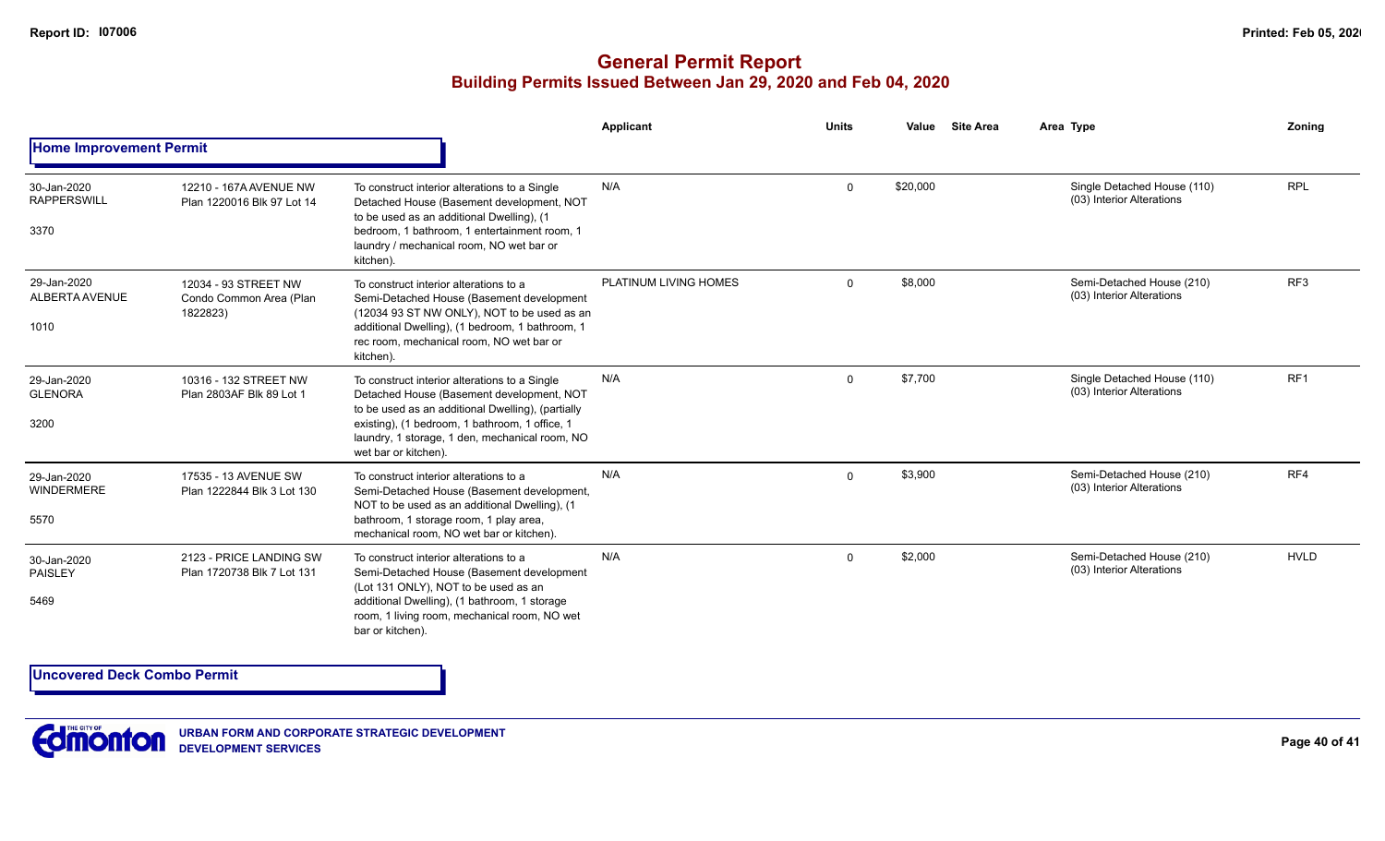### **General Permit Report Building Permits Issued Between Jan 29, 2020 and Feb 04, 2020**

|                                           |                                                             |                                                                                                                                                                                                                                                                             | Applicant             | <b>Units</b> | Value    | <b>Site Area</b> | Area Type                                                | Zonina          |
|-------------------------------------------|-------------------------------------------------------------|-----------------------------------------------------------------------------------------------------------------------------------------------------------------------------------------------------------------------------------------------------------------------------|-----------------------|--------------|----------|------------------|----------------------------------------------------------|-----------------|
| <b>Home Improvement Permit</b>            |                                                             |                                                                                                                                                                                                                                                                             |                       |              |          |                  |                                                          |                 |
| 30-Jan-2020<br><b>RAPPERSWILL</b><br>3370 | 12210 - 167A AVENUE NW<br>Plan 1220016 Blk 97 Lot 14        | To construct interior alterations to a Single<br>Detached House (Basement development, NOT<br>to be used as an additional Dwelling), (1<br>bedroom, 1 bathroom, 1 entertainment room, 1<br>laundry / mechanical room, NO wet bar or<br>kitchen).                            | N/A                   | $\Omega$     | \$20,000 |                  | Single Detached House (110)<br>(03) Interior Alterations | <b>RPL</b>      |
| 29-Jan-2020<br>ALBERTA AVENUE<br>1010     | 12034 - 93 STREET NW<br>Condo Common Area (Plan<br>1822823) | To construct interior alterations to a<br>Semi-Detached House (Basement development<br>(12034 93 ST NW ONLY), NOT to be used as an<br>additional Dwelling), (1 bedroom, 1 bathroom, 1<br>rec room, mechanical room, NO wet bar or<br>kitchen).                              | PLATINUM LIVING HOMES | $\Omega$     | \$8,000  |                  | Semi-Detached House (210)<br>(03) Interior Alterations   | RF <sub>3</sub> |
| 29-Jan-2020<br><b>GLENORA</b><br>3200     | 10316 - 132 STREET NW<br>Plan 2803AF Blk 89 Lot 1           | To construct interior alterations to a Single<br>Detached House (Basement development, NOT<br>to be used as an additional Dwelling), (partially<br>existing), (1 bedroom, 1 bathroom, 1 office, 1<br>laundry, 1 storage, 1 den, mechanical room, NO<br>wet bar or kitchen). | N/A                   | $\Omega$     | \$7,700  |                  | Single Detached House (110)<br>(03) Interior Alterations | RF <sub>1</sub> |
| 29-Jan-2020<br><b>WINDERMERE</b><br>5570  | 17535 - 13 AVENUE SW<br>Plan 1222844 Blk 3 Lot 130          | To construct interior alterations to a<br>Semi-Detached House (Basement development,<br>NOT to be used as an additional Dwelling), (1<br>bathroom, 1 storage room, 1 play area,<br>mechanical room, NO wet bar or kitchen).                                                 | N/A                   | $\Omega$     | \$3,900  |                  | Semi-Detached House (210)<br>(03) Interior Alterations   | RF4             |
| 30-Jan-2020<br>PAISLEY<br>5469            | 2123 - PRICE LANDING SW<br>Plan 1720738 Blk 7 Lot 131       | To construct interior alterations to a<br>Semi-Detached House (Basement development<br>(Lot 131 ONLY), NOT to be used as an<br>additional Dwelling), (1 bathroom, 1 storage<br>room, 1 living room, mechanical room, NO wet<br>bar or kitchen).                             | N/A                   | $\Omega$     | \$2.000  |                  | Semi-Detached House (210)<br>(03) Interior Alterations   | <b>HVLD</b>     |

**Uncovered Deck Combo Permit**